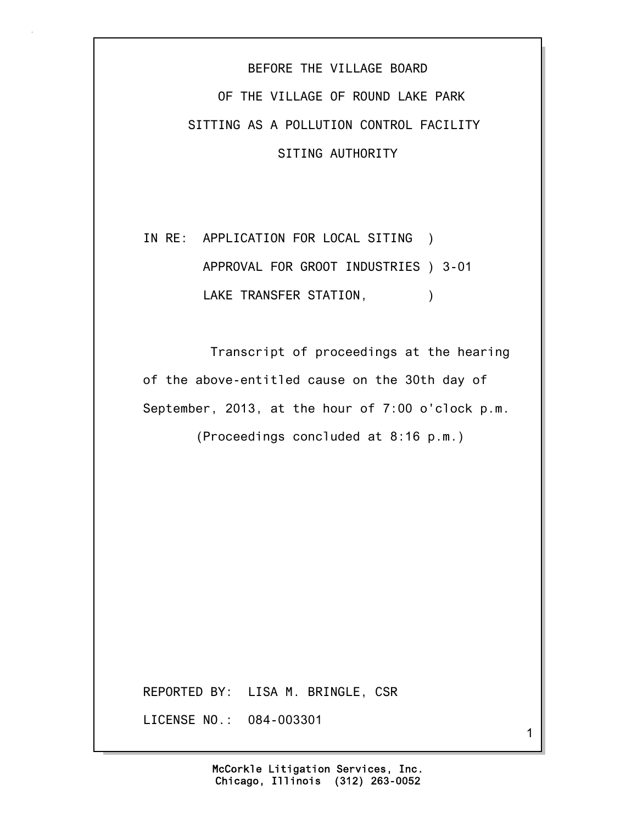## BEFORE THE VILLAGE BOARD OF THE VILLAGE OF ROUND LAKE PARK SITTING AS A POLLUTION CONTROL FACILITY SITING AUTHORITY

## IN RE: APPLICATION FOR LOCAL SITING ) APPROVAL FOR GROOT INDUSTRIES ) 3-01 LAKE TRANSFER STATION,  $)$

 Transcript of proceedings at the hearing of the above-entitled cause on the 30th day of September, 2013, at the hour of 7:00 o'clock p.m.

(Proceedings concluded at 8:16 p.m.)

REPORTED BY: LISA M. BRINGLE, CSR

LICENSE NO.: 084-003301

1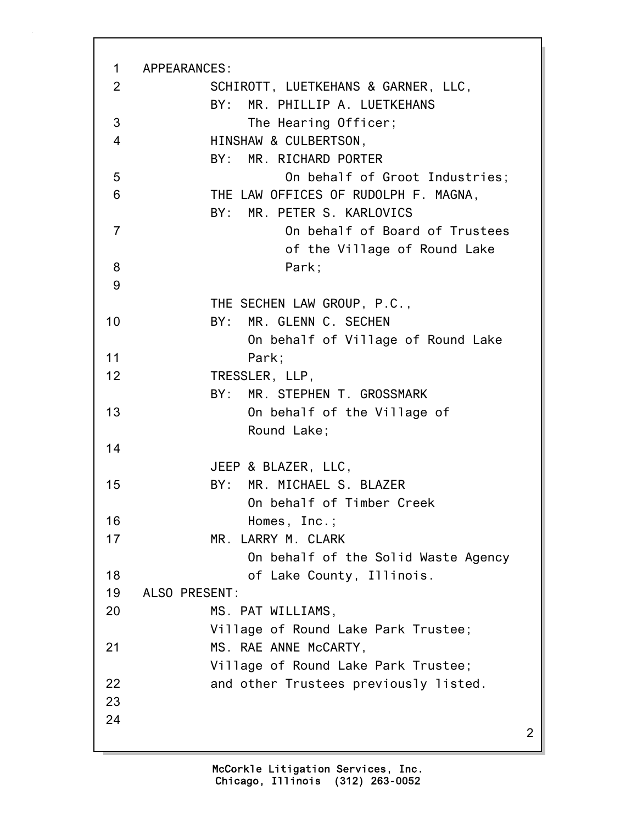| $\mathbf 1$    | APPEARANCES:                          |   |
|----------------|---------------------------------------|---|
| 2              | SCHIROTT, LUETKEHANS & GARNER, LLC,   |   |
|                | BY: MR. PHILLIP A. LUETKEHANS         |   |
| 3              | The Hearing Officer;                  |   |
| 4              | HINSHAW & CULBERTSON,                 |   |
|                | BY: MR. RICHARD PORTER                |   |
| 5              | On behalf of Groot Industries;        |   |
| 6              | THE LAW OFFICES OF RUDOLPH F. MAGNA,  |   |
|                | BY: MR. PETER S. KARLOVICS            |   |
| $\overline{7}$ | On behalf of Board of Trustees        |   |
|                | of the Village of Round Lake          |   |
| 8              | Park;                                 |   |
| 9              |                                       |   |
|                | THE SECHEN LAW GROUP, P.C.,           |   |
| 10             | BY: MR. GLENN C. SECHEN               |   |
|                | On behalf of Village of Round Lake    |   |
| 11             | Park;                                 |   |
| 12             | TRESSLER, LLP,                        |   |
|                | MR. STEPHEN T. GROSSMARK<br>BY:       |   |
| 13             | On behalf of the Village of           |   |
| 14             | Round Lake;                           |   |
|                | JEEP & BLAZER, LLC,                   |   |
| 15             | BY: MR. MICHAEL S. BLAZER             |   |
|                | On behalf of Timber Creek             |   |
| 16             | Homes, Inc.;                          |   |
| 17             | MR. LARRY M. CLARK                    |   |
|                | On behalf of the Solid Waste Agency   |   |
| 18             | of Lake County, Illinois.             |   |
| 19             | ALSO PRESENT:                         |   |
| 20             | MS. PAT WILLIAMS,                     |   |
|                | Village of Round Lake Park Trustee;   |   |
| 21             | MS. RAE ANNE McCARTY,                 |   |
|                | Village of Round Lake Park Trustee;   |   |
| 22             | and other Trustees previously listed. |   |
| 23             |                                       |   |
| 24             |                                       |   |
|                |                                       | 2 |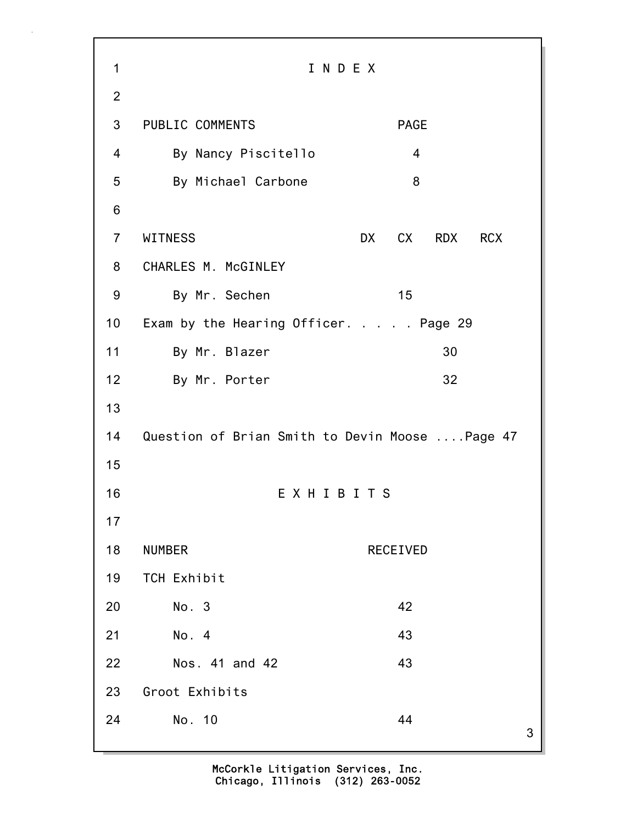3 1 I N D E X 2 3 PUBLIC COMMENTS PAGE 4 By Nancy Piscitello 4 5 By Michael Carbone 8 6 7 WITNESS DX CX RDX RCX 8 CHARLES M. McGINLEY 9 By Mr. Sechen 15 10 Exam by the Hearing Officer. . . . . Page 29 11 By Mr. Blazer 30 12 By Mr. Porter 32 13 14 Question of Brian Smith to Devin Moose ....Page 47 15 16 E X H I B I T S 17 18 NUMBER RECEIVED 19 TCH Exhibit 20 No. 3 42 21 No. 4 43 22 Nos. 41 and 42 43 23 Groot Exhibits 24 No. 10 44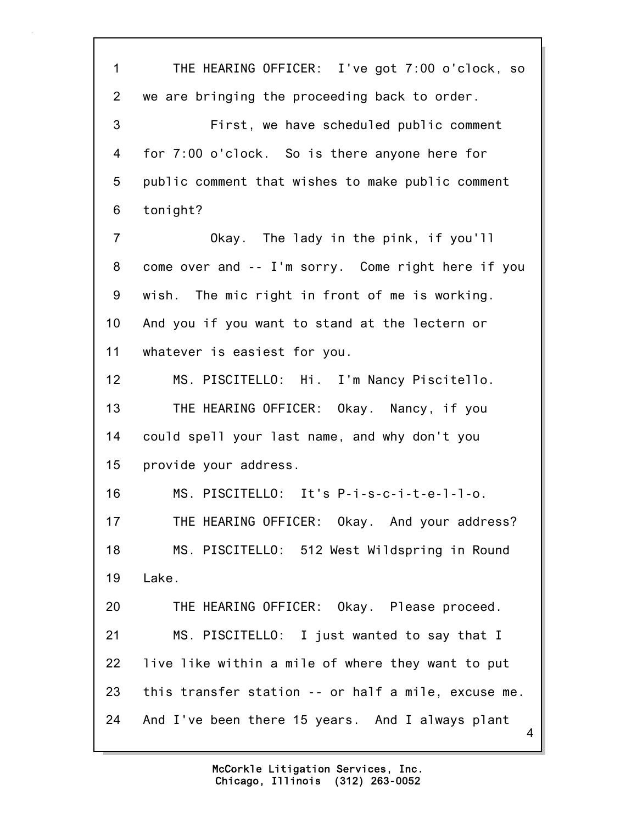4 1 THE HEARING OFFICER: I've got 7:00 o'clock, so 2 we are bringing the proceeding back to order. 3 First, we have scheduled public comment 4 for 7:00 o'clock. So is there anyone here for 5 public comment that wishes to make public comment 6 tonight? 7 Okay. The lady in the pink, if you'll 8 come over and -- I'm sorry. Come right here if you 9 wish. The mic right in front of me is working. 10 And you if you want to stand at the lectern or 11 whatever is easiest for you. 12 MS. PISCITELLO: Hi. I'm Nancy Piscitello. 13 THE HEARING OFFICER: Okay. Nancy, if you 14 could spell your last name, and why don't you 15 provide your address. 16 MS. PISCITELLO: It's P-i-s-c-i-t-e-l-l-o. 17 THE HEARING OFFICER: Okay. And your address? 18 MS. PISCITELLO: 512 West Wildspring in Round 19 Lake. 20 THE HEARING OFFICER: Okay. Please proceed. 21 MS. PISCITELLO: I just wanted to say that I 22 live like within a mile of where they want to put 23 this transfer station -- or half a mile, excuse me. 24 And I've been there 15 years. And I always plant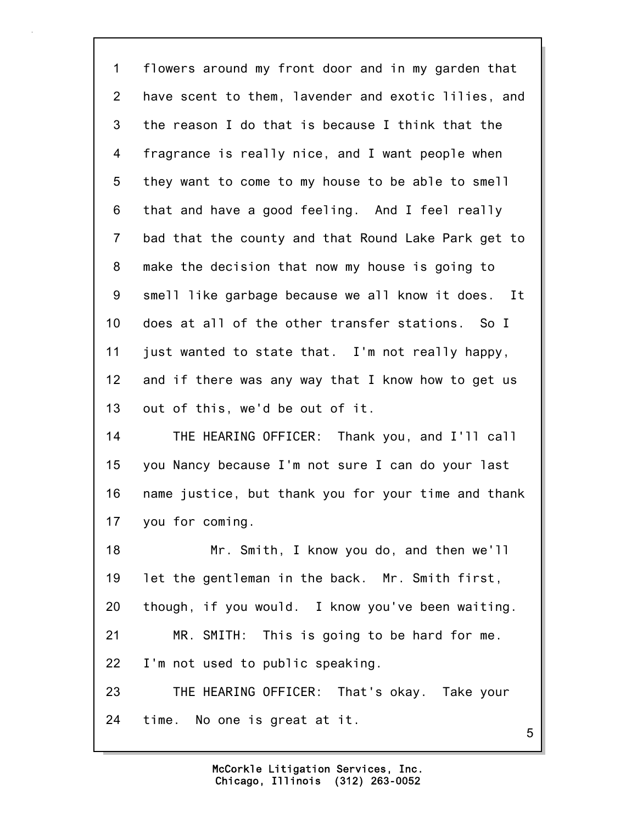| 1              | flowers around my front door and in my garden that  |
|----------------|-----------------------------------------------------|
| 2              | have scent to them, lavender and exotic lilies, and |
| 3              | the reason I do that is because I think that the    |
| 4              | fragrance is really nice, and I want people when    |
| 5              | they want to come to my house to be able to smell   |
| 6              | that and have a good feeling. And I feel really     |
| $\overline{7}$ | bad that the county and that Round Lake Park get to |
| 8              | make the decision that now my house is going to     |
| 9              | smell like garbage because we all know it does. It  |
| 10             | does at all of the other transfer stations. So I    |
| 11             | just wanted to state that. I'm not really happy,    |
| 12             | and if there was any way that I know how to get us  |
| 13             | out of this, we'd be out of it.                     |
| 14             | THE HEARING OFFICER: Thank you, and I'll call       |
| 15             | you Nancy because I'm not sure I can do your last   |
| 16             | name justice, but thank you for your time and thank |
|                | 17 you for coming.                                  |
| 18             | Mr. Smith, I know you do, and then we'll            |
| 19             | let the gentleman in the back. Mr. Smith first,     |
| 20             | though, if you would. I know you've been waiting.   |
| 21             | MR. SMITH: This is going to be hard for me.         |
| 22             | I'm not used to public speaking.                    |
| 23             | THE HEARING OFFICER: That's okay. Take your         |
| 24             | time. No one is great at it.<br>5                   |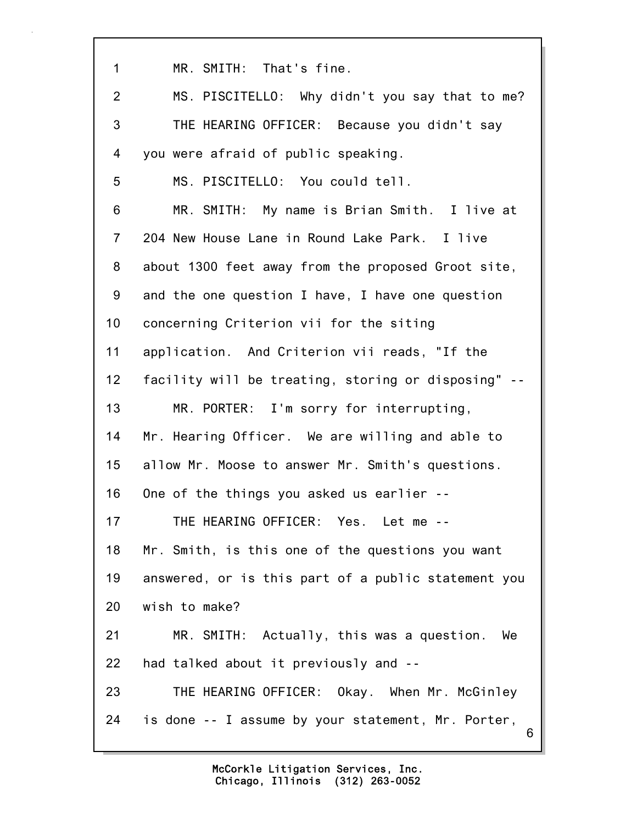6 1 MR. SMITH: That's fine. 2 MS. PISCITELLO: Why didn't you say that to me? 3 THE HEARING OFFICER: Because you didn't say 4 you were afraid of public speaking. 5 MS. PISCITELLO: You could tell. 6 MR. SMITH: My name is Brian Smith. I live at 7 204 New House Lane in Round Lake Park. I live 8 about 1300 feet away from the proposed Groot site, 9 and the one question I have, I have one question 10 concerning Criterion vii for the siting 11 application. And Criterion vii reads, "If the 12 facility will be treating, storing or disposing" -- 13 MR. PORTER: I'm sorry for interrupting, 14 Mr. Hearing Officer. We are willing and able to 15 allow Mr. Moose to answer Mr. Smith's questions. 16 One of the things you asked us earlier -- 17 THE HEARING OFFICER: Yes. Let me -- 18 Mr. Smith, is this one of the questions you want 19 answered, or is this part of a public statement you 20 wish to make? 21 MR. SMITH: Actually, this was a question. We 22 had talked about it previously and -- 23 THE HEARING OFFICER: Okay. When Mr. McGinley 24 is done -- I assume by your statement, Mr. Porter,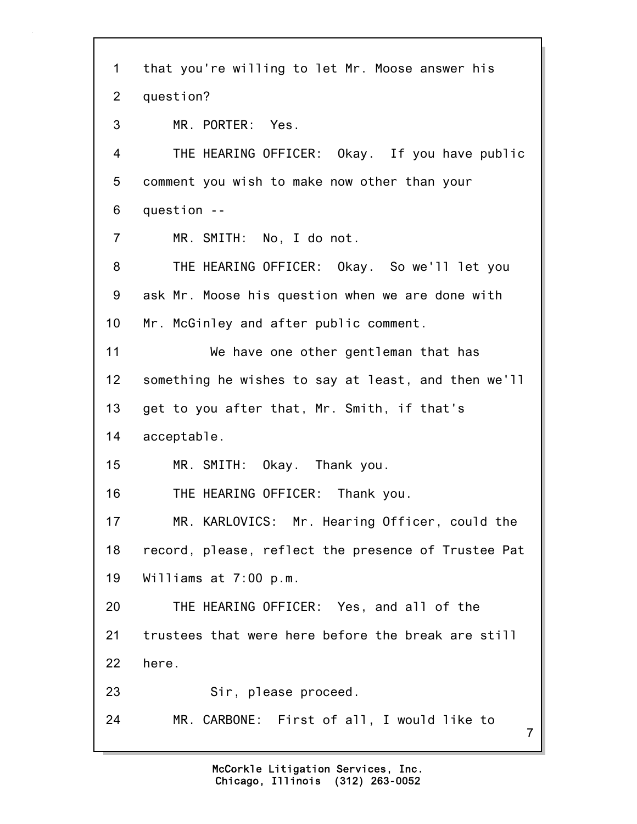7 1 that you're willing to let Mr. Moose answer his 2 question? 3 MR. PORTER: Yes. 4 THE HEARING OFFICER: Okay. If you have public 5 comment you wish to make now other than your 6 question -- 7 MR. SMITH: No, I do not. 8 THE HEARING OFFICER: Okay. So we'll let you 9 ask Mr. Moose his question when we are done with 10 Mr. McGinley and after public comment. 11 We have one other gentleman that has 12 something he wishes to say at least, and then we'll 13 get to you after that, Mr. Smith, if that's 14 acceptable. 15 MR. SMITH: Okay. Thank you. 16 THE HEARING OFFICER: Thank you. 17 MR. KARLOVICS: Mr. Hearing Officer, could the 18 record, please, reflect the presence of Trustee Pat 19 Williams at 7:00 p.m. 20 THE HEARING OFFICER: Yes, and all of the 21 trustees that were here before the break are still 22 here. 23 Sir, please proceed. 24 MR. CARBONE: First of all, I would like to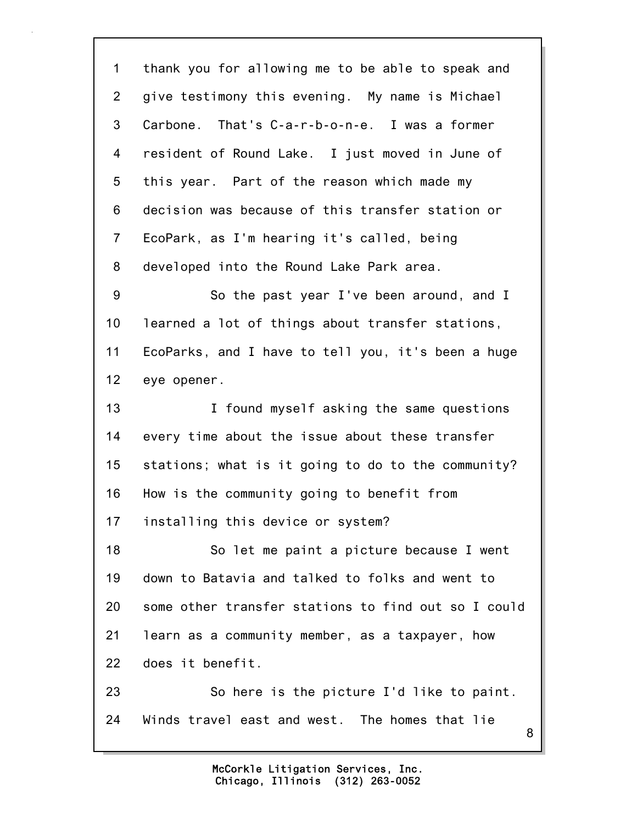8 1 thank you for allowing me to be able to speak and 2 give testimony this evening. My name is Michael 3 Carbone. That's C-a-r-b-o-n-e. I was a former 4 resident of Round Lake. I just moved in June of 5 this year. Part of the reason which made my 6 decision was because of this transfer station or 7 EcoPark, as I'm hearing it's called, being 8 developed into the Round Lake Park area. 9 So the past year I've been around, and I 10 learned a lot of things about transfer stations, 11 EcoParks, and I have to tell you, it's been a huge 12 eye opener. 13 **I** found myself asking the same questions 14 every time about the issue about these transfer 15 stations; what is it going to do to the community? 16 How is the community going to benefit from 17 installing this device or system? 18 So let me paint a picture because I went 19 down to Batavia and talked to folks and went to 20 some other transfer stations to find out so I could 21 learn as a community member, as a taxpayer, how 22 does it benefit. 23 So here is the picture I'd like to paint. 24 Winds travel east and west. The homes that lie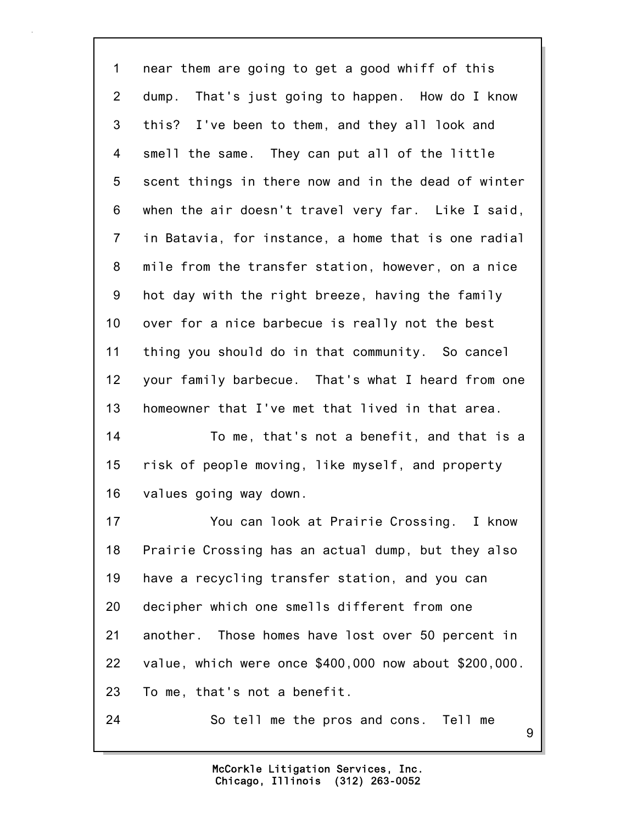9 1 near them are going to get a good whiff of this 2 dump. That's just going to happen. How do I know 3 this? I've been to them, and they all look and 4 smell the same. They can put all of the little 5 scent things in there now and in the dead of winter 6 when the air doesn't travel very far. Like I said, 7 in Batavia, for instance, a home that is one radial 8 mile from the transfer station, however, on a nice 9 hot day with the right breeze, having the family 10 over for a nice barbecue is really not the best 11 thing you should do in that community. So cancel 12 your family barbecue. That's what I heard from one 13 homeowner that I've met that lived in that area. 14 To me, that's not a benefit, and that is a 15 risk of people moving, like myself, and property 16 values going way down. 17 You can look at Prairie Crossing. I know 18 Prairie Crossing has an actual dump, but they also 19 have a recycling transfer station, and you can 20 decipher which one smells different from one 21 another. Those homes have lost over 50 percent in 22 value, which were once \$400,000 now about \$200,000. 23 To me, that's not a benefit. 24 So tell me the pros and cons. Tell me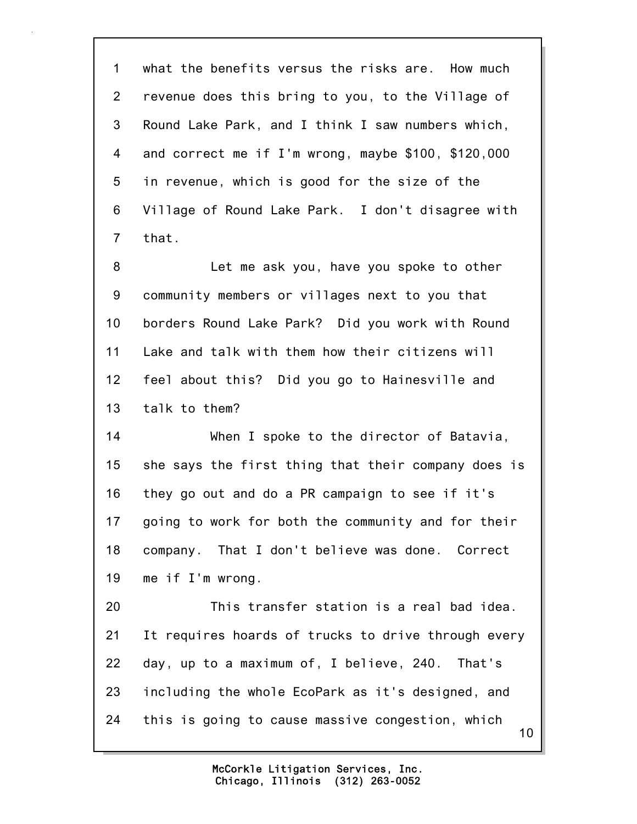1 what the benefits versus the risks are. How much 2 revenue does this bring to you, to the Village of 3 Round Lake Park, and I think I saw numbers which, 4 and correct me if I'm wrong, maybe \$100, \$120,000 5 in revenue, which is good for the size of the 6 Village of Round Lake Park. I don't disagree with 7 that.

8 Let me ask you, have you spoke to other 9 community members or villages next to you that 10 borders Round Lake Park? Did you work with Round 11 Lake and talk with them how their citizens will 12 feel about this? Did you go to Hainesville and 13 talk to them?

14 When I spoke to the director of Batavia, 15 she says the first thing that their company does is 16 they go out and do a PR campaign to see if it's 17 going to work for both the community and for their 18 company. That I don't believe was done. Correct 19 me if I'm wrong.

10 20 This transfer station is a real bad idea. 21 It requires hoards of trucks to drive through every 22 day, up to a maximum of, I believe, 240. That's 23 including the whole EcoPark as it's designed, and 24 this is going to cause massive congestion, which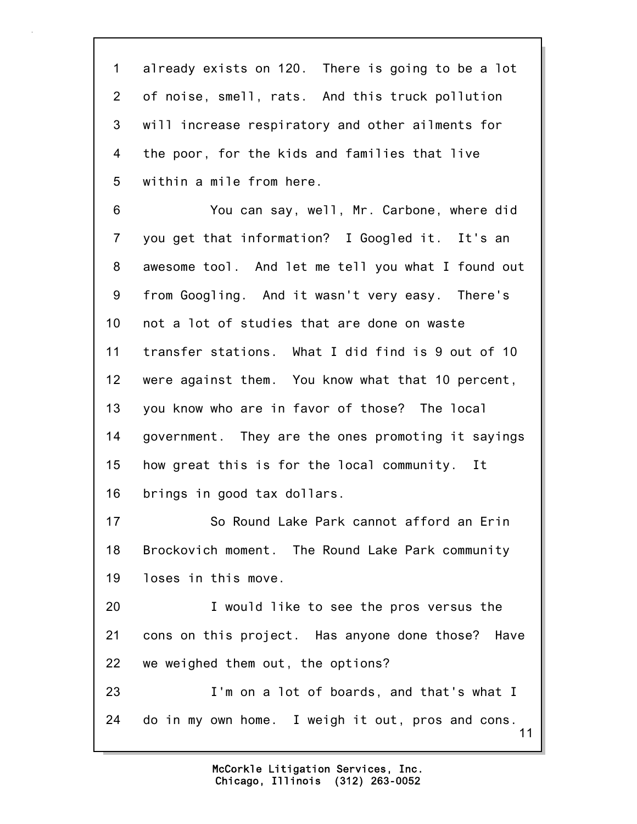1 already exists on 120. There is going to be a lot 2 of noise, smell, rats. And this truck pollution 3 will increase respiratory and other ailments for 4 the poor, for the kids and families that live 5 within a mile from here.

6 You can say, well, Mr. Carbone, where did 7 you get that information? I Googled it. It's an 8 awesome tool. And let me tell you what I found out 9 from Googling. And it wasn't very easy. There's 10 not a lot of studies that are done on waste 11 transfer stations. What I did find is 9 out of 10 12 were against them. You know what that 10 percent, 13 you know who are in favor of those? The local 14 government. They are the ones promoting it sayings 15 how great this is for the local community. It 16 brings in good tax dollars.

17 So Round Lake Park cannot afford an Erin 18 Brockovich moment. The Round Lake Park community 19 loses in this move.

20 I would like to see the pros versus the 21 cons on this project. Has anyone done those? Have 22 we weighed them out, the options?

11 23 I'm on a lot of boards, and that's what I 24 do in my own home. I weigh it out, pros and cons.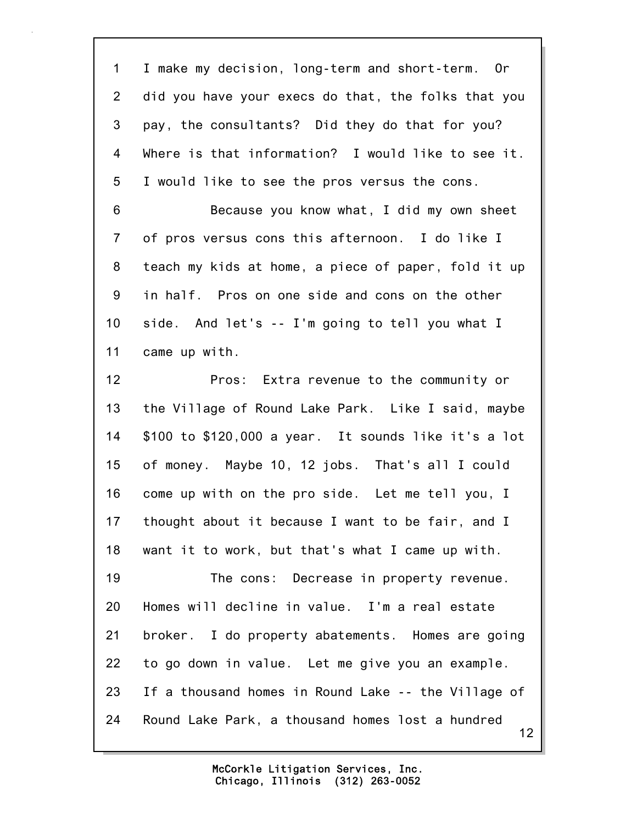12 1 I make my decision, long-term and short-term. Or 2 did you have your execs do that, the folks that you 3 pay, the consultants? Did they do that for you? 4 Where is that information? I would like to see it. 5 I would like to see the pros versus the cons. 6 Because you know what, I did my own sheet 7 of pros versus cons this afternoon. I do like I 8 teach my kids at home, a piece of paper, fold it up 9 in half. Pros on one side and cons on the other 10 side. And let's -- I'm going to tell you what I 11 came up with. 12 Pros: Extra revenue to the community or 13 the Village of Round Lake Park. Like I said, maybe 14 \$100 to \$120,000 a year. It sounds like it's a lot 15 of money. Maybe 10, 12 jobs. That's all I could 16 come up with on the pro side. Let me tell you, I 17 thought about it because I want to be fair, and I 18 want it to work, but that's what I came up with. 19 The cons: Decrease in property revenue. 20 Homes will decline in value. I'm a real estate 21 broker. I do property abatements. Homes are going 22 to go down in value. Let me give you an example. 23 If a thousand homes in Round Lake -- the Village of 24 Round Lake Park, a thousand homes lost a hundred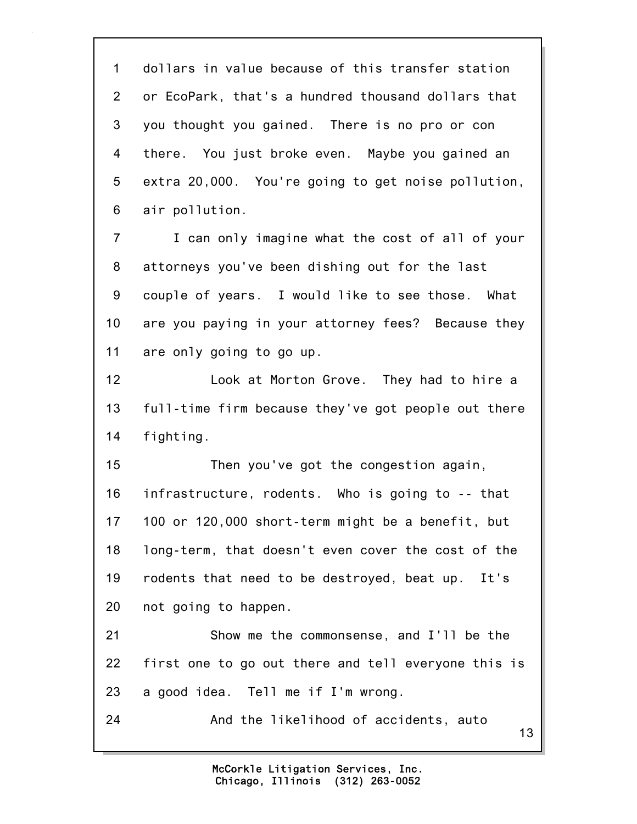1 dollars in value because of this transfer station 2 or EcoPark, that's a hundred thousand dollars that 3 you thought you gained. There is no pro or con 4 there. You just broke even. Maybe you gained an 5 extra 20,000. You're going to get noise pollution, 6 air pollution.

7 I can only imagine what the cost of all of your 8 attorneys you've been dishing out for the last 9 couple of years. I would like to see those. What 10 are you paying in your attorney fees? Because they 11 are only going to go up.

12 Look at Morton Grove. They had to hire a 13 full-time firm because they've got people out there 14 fighting.

15 Then you've got the congestion again, 16 infrastructure, rodents. Who is going to -- that 17 100 or 120,000 short-term might be a benefit, but 18 long-term, that doesn't even cover the cost of the 19 rodents that need to be destroyed, beat up. It's 20 not going to happen.

21 Show me the commonsense, and I'll be the 22 first one to go out there and tell everyone this is 23 a good idea. Tell me if I'm wrong.

24 And the likelihood of accidents, auto

13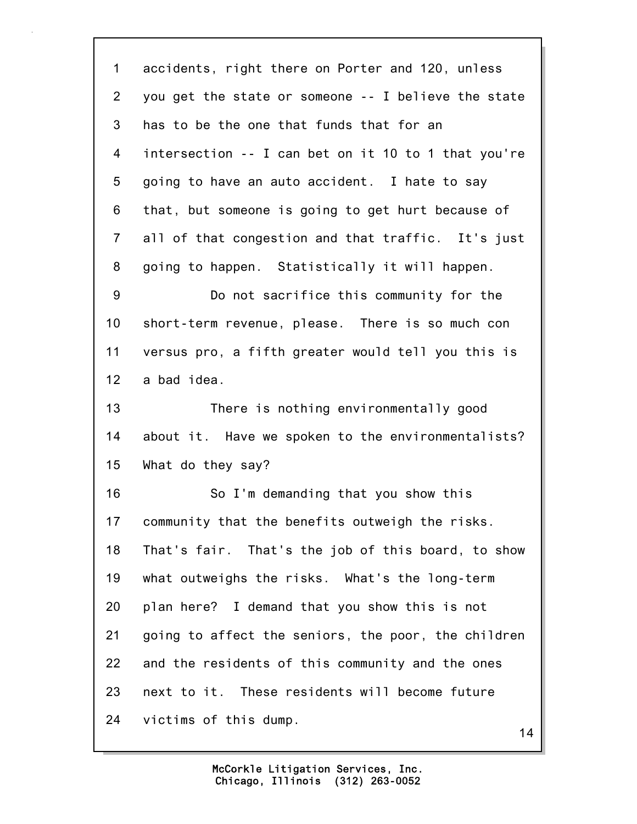1 accidents, right there on Porter and 120, unless 2 you get the state or someone -- I believe the state 3 has to be the one that funds that for an 4 intersection -- I can bet on it 10 to 1 that you're 5 going to have an auto accident. I hate to say 6 that, but someone is going to get hurt because of 7 all of that congestion and that traffic. It's just 8 going to happen. Statistically it will happen. 9 Do not sacrifice this community for the 10 short-term revenue, please. There is so much con 11 versus pro, a fifth greater would tell you this is 12 a bad idea. 13 There is nothing environmentally good 14 about it. Have we spoken to the environmentalists? 15 What do they say? 16 So I'm demanding that you show this 17 community that the benefits outweigh the risks. 18 That's fair. That's the job of this board, to show 19 what outweighs the risks. What's the long-term 20 plan here? I demand that you show this is not 21 going to affect the seniors, the poor, the children 22 and the residents of this community and the ones 23 next to it. These residents will become future 24 victims of this dump.

14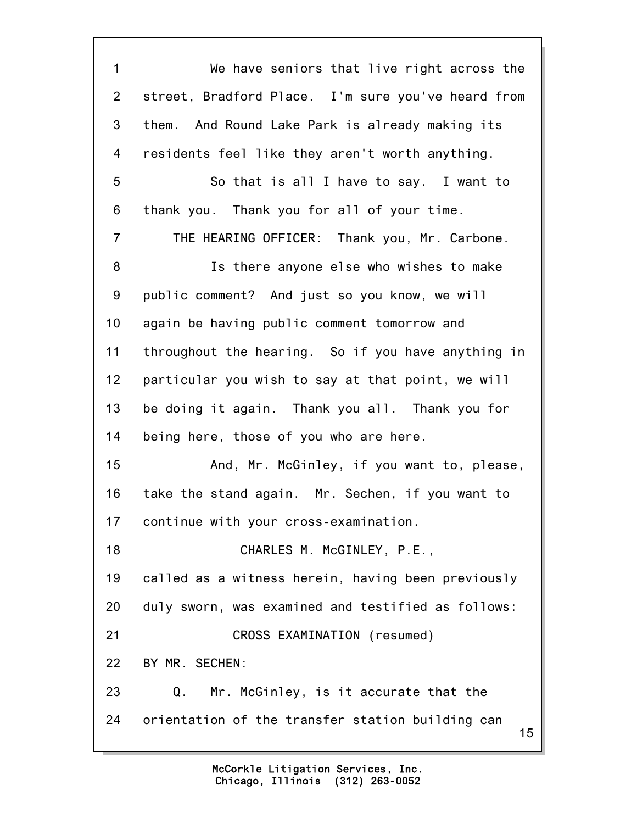15 1 We have seniors that live right across the 2 street, Bradford Place. I'm sure you've heard from 3 them. And Round Lake Park is already making its 4 residents feel like they aren't worth anything. 5 So that is all I have to say. I want to 6 thank you. Thank you for all of your time. 7 THE HEARING OFFICER: Thank you, Mr. Carbone. 8 Is there anyone else who wishes to make 9 public comment? And just so you know, we will 10 again be having public comment tomorrow and 11 throughout the hearing. So if you have anything in 12 particular you wish to say at that point, we will 13 be doing it again. Thank you all. Thank you for 14 being here, those of you who are here. 15 And, Mr. McGinley, if you want to, please, 16 take the stand again. Mr. Sechen, if you want to 17 continue with your cross-examination. 18 CHARLES M. McGINLEY, P.E., 19 called as a witness herein, having been previously 20 duly sworn, was examined and testified as follows: 21 CROSS EXAMINATION (resumed) 22 BY MR. SECHEN: 23 Q. Mr. McGinley, is it accurate that the 24 orientation of the transfer station building can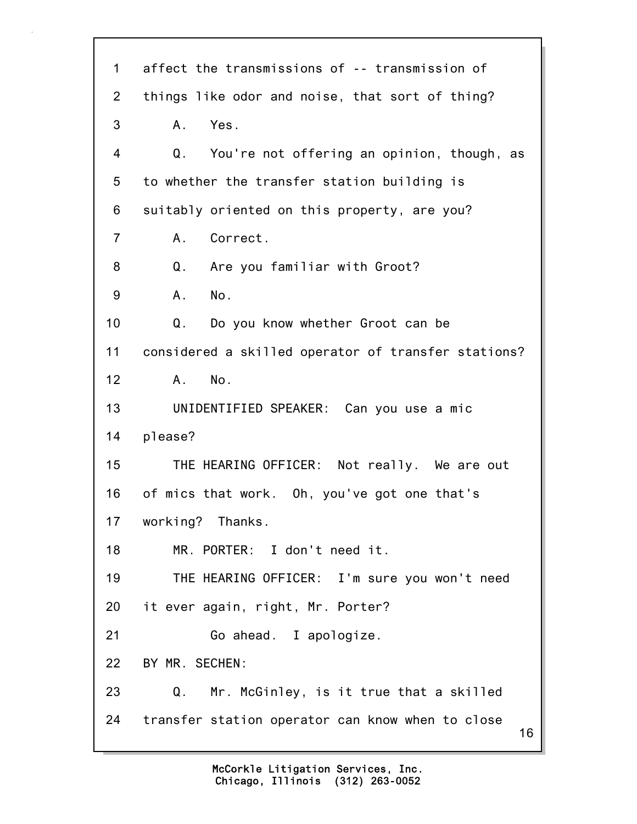| $\mathbf 1$     | affect the transmissions of -- transmission of         |
|-----------------|--------------------------------------------------------|
| $\overline{2}$  | things like odor and noise, that sort of thing?        |
| 3               | Yes.<br>Α.                                             |
| 4               | You're not offering an opinion, though, as<br>Q.       |
| 5               | to whether the transfer station building is            |
| 6               | suitably oriented on this property, are you?           |
| 7               | Correct.<br>А.                                         |
| 8               | Q.<br>Are you familiar with Groot?                     |
| 9               | No.<br>Α.                                              |
| 10 <sup>1</sup> | Q.<br>Do you know whether Groot can be                 |
| 11              | considered a skilled operator of transfer stations?    |
| 12              | No.<br>Α.                                              |
| 13              | UNIDENTIFIED SPEAKER: Can you use a mic                |
| 14              | please?                                                |
| 15              | THE HEARING OFFICER: Not really. We are out            |
| 16              | of mics that work. Oh, you've got one that's           |
| 17              | working? Thanks.                                       |
| 18              | MR. PORTER: I don't need it.                           |
| 19              | THE HEARING OFFICER: I'm sure you won't need           |
| 20              | it ever again, right, Mr. Porter?                      |
| 21              | Go ahead. I apologize.                                 |
| 22              | BY MR. SECHEN:                                         |
| 23              | Mr. McGinley, is it true that a skilled<br>Q.          |
| 24              | transfer station operator can know when to close<br>16 |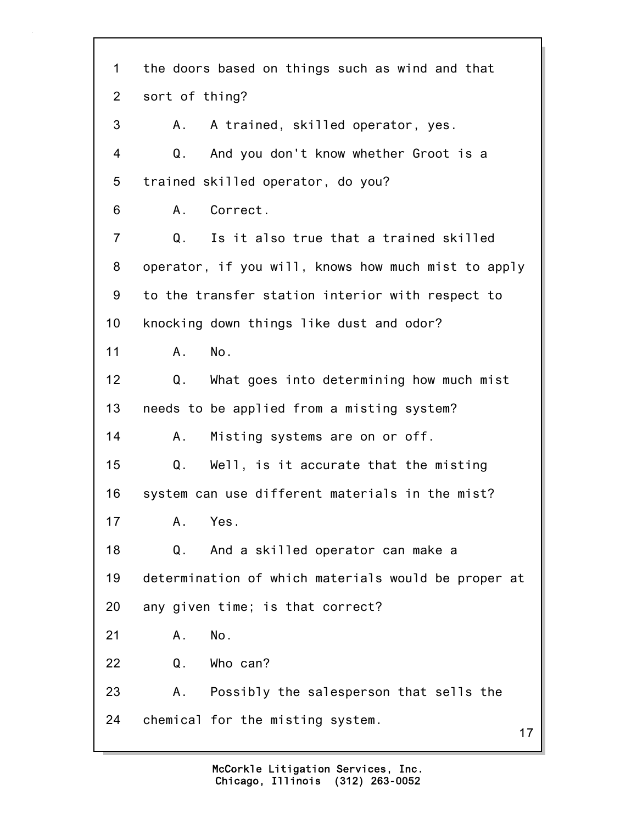17 1 the doors based on things such as wind and that 2 sort of thing? 3 A. A trained, skilled operator, yes. 4 Q. And you don't know whether Groot is a 5 trained skilled operator, do you? 6 A. Correct. 7 Q. Is it also true that a trained skilled 8 operator, if you will, knows how much mist to apply 9 to the transfer station interior with respect to 10 knocking down things like dust and odor? 11 A. No. 12 Q. What goes into determining how much mist 13 needs to be applied from a misting system? 14 A. Misting systems are on or off. 15 Q. Well, is it accurate that the misting 16 system can use different materials in the mist? 17 A. Yes. 18 Q. And a skilled operator can make a 19 determination of which materials would be proper at 20 any given time; is that correct? 21 A. No. 22 Q. Who can? 23 A. Possibly the salesperson that sells the 24 chemical for the misting system.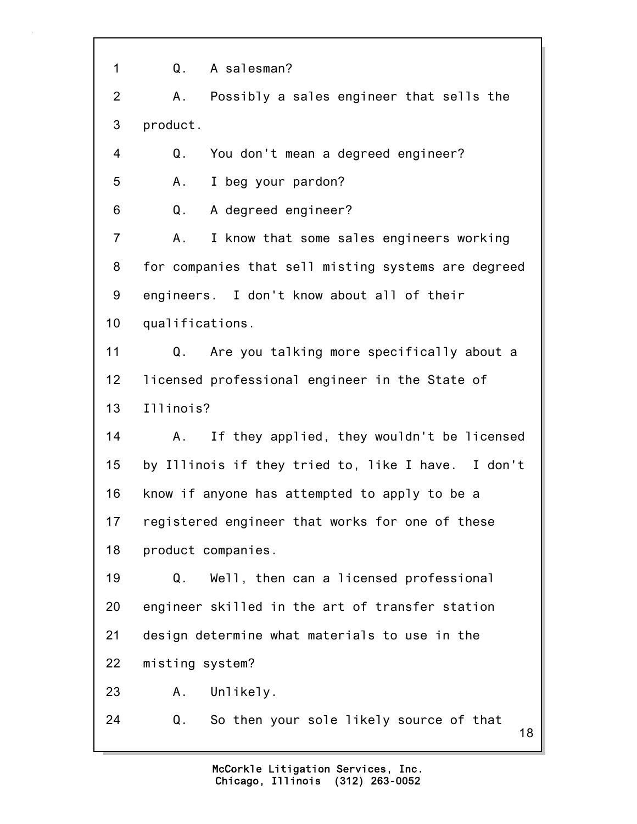18 1 Q. A salesman? 2 A. Possibly a sales engineer that sells the 3 product. 4 Q. You don't mean a degreed engineer? 5 A. I beg your pardon? 6 Q. A degreed engineer? 7 A. I know that some sales engineers working 8 for companies that sell misting systems are degreed 9 engineers. I don't know about all of their 10 qualifications. 11 Q. Are you talking more specifically about a 12 licensed professional engineer in the State of 13 Illinois? 14 A. If they applied, they wouldn't be licensed 15 by Illinois if they tried to, like I have. I don't 16 know if anyone has attempted to apply to be a 17 registered engineer that works for one of these 18 product companies. 19 Q. Well, then can a licensed professional 20 engineer skilled in the art of transfer station 21 design determine what materials to use in the 22 misting system? 23 A. Unlikely. 24 Q. So then your sole likely source of that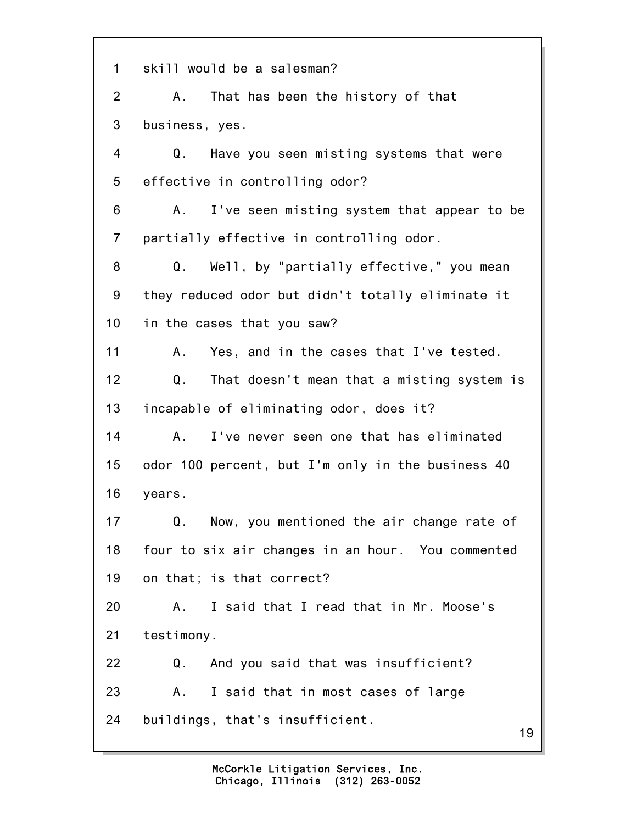1 skill would be a salesman? 2 A. That has been the history of that 3 business, yes. 4 Q. Have you seen misting systems that were 5 effective in controlling odor? 6 A. I've seen misting system that appear to be 7 partially effective in controlling odor. 8 Q. Well, by "partially effective," you mean 9 they reduced odor but didn't totally eliminate it 10 in the cases that you saw? 11 A. Yes, and in the cases that I've tested. 12 Q. That doesn't mean that a misting system is 13 incapable of eliminating odor, does it? 14 A. I've never seen one that has eliminated 15 odor 100 percent, but I'm only in the business 40 16 years. 17 Q. Now, you mentioned the air change rate of 18 four to six air changes in an hour. You commented 19 on that; is that correct? 20 A. I said that I read that in Mr. Moose's 21 testimony. 22 Q. And you said that was insufficient? 23 A. I said that in most cases of large 24 buildings, that's insufficient.

19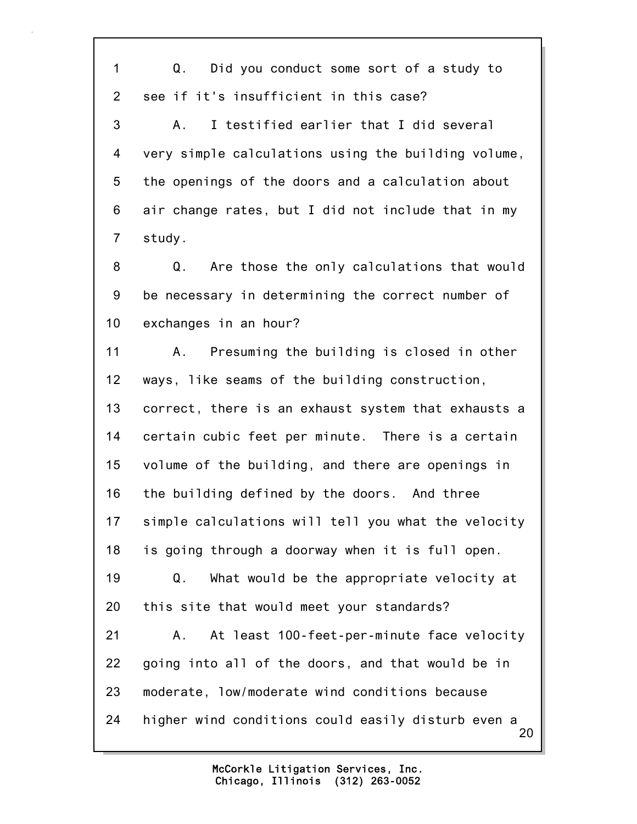20 1 Q. Did you conduct some sort of a study to 2 see if it's insufficient in this case? 3 A. I testified earlier that I did several 4 very simple calculations using the building volume, 5 the openings of the doors and a calculation about 6 air change rates, but I did not include that in my 7 study. 8 Q. Are those the only calculations that would 9 be necessary in determining the correct number of 10 exchanges in an hour? 11 A. Presuming the building is closed in other 12 ways, like seams of the building construction, 13 correct, there is an exhaust system that exhausts a 14 certain cubic feet per minute. There is a certain 15 volume of the building, and there are openings in 16 the building defined by the doors. And three 17 simple calculations will tell you what the velocity 18 is going through a doorway when it is full open. 19 Q. What would be the appropriate velocity at 20 this site that would meet your standards? 21 A. At least 100-feet-per-minute face velocity 22 going into all of the doors, and that would be in 23 moderate, low/moderate wind conditions because 24 higher wind conditions could easily disturb even a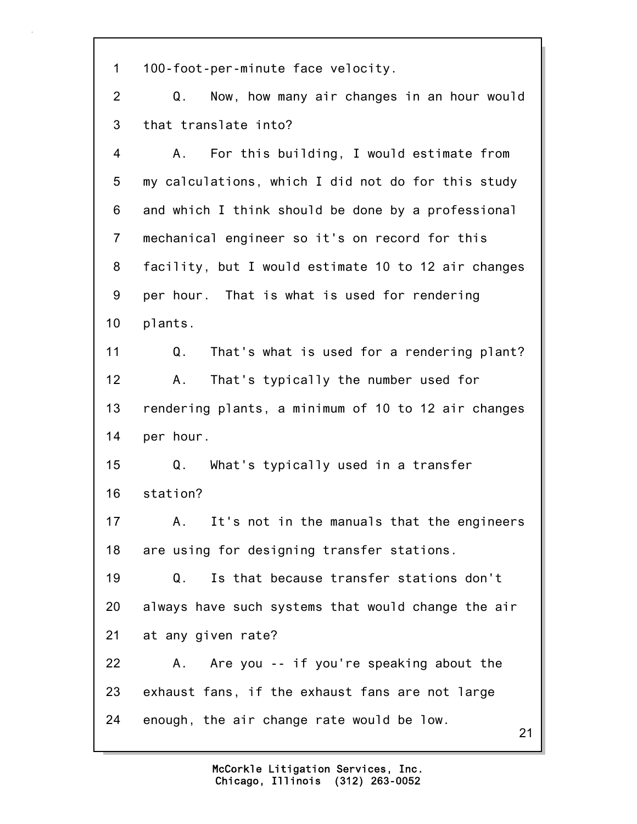1 100-foot-per-minute face velocity.

2 Q. Now, how many air changes in an hour would 3 that translate into?

4 A. For this building, I would estimate from 5 my calculations, which I did not do for this study 6 and which I think should be done by a professional 7 mechanical engineer so it's on record for this 8 facility, but I would estimate 10 to 12 air changes 9 per hour. That is what is used for rendering 10 plants.

11 Q. That's what is used for a rendering plant? 12 A. That's typically the number used for 13 rendering plants, a minimum of 10 to 12 air changes 14 per hour.

15 Q. What's typically used in a transfer 16 station?

17 A. It's not in the manuals that the engineers 18 are using for designing transfer stations.

19 Q. Is that because transfer stations don't 20 always have such systems that would change the air 21 at any given rate?

22 A. Are you -- if you're speaking about the 23 exhaust fans, if the exhaust fans are not large 24 enough, the air change rate would be low.

21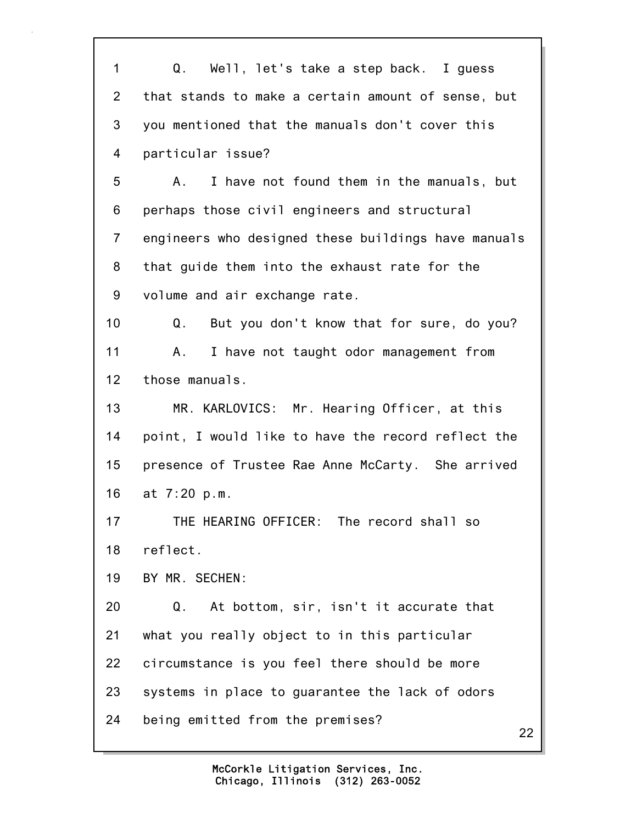1 Q. Well, let's take a step back. I guess 2 that stands to make a certain amount of sense, but 3 you mentioned that the manuals don't cover this 4 particular issue? 5 A. I have not found them in the manuals, but 6 perhaps those civil engineers and structural 7 engineers who designed these buildings have manuals 8 that guide them into the exhaust rate for the 9 volume and air exchange rate. 10 Q. But you don't know that for sure, do you? 11 A. I have not taught odor management from 12 those manuals. 13 MR. KARLOVICS: Mr. Hearing Officer, at this 14 point, I would like to have the record reflect the 15 presence of Trustee Rae Anne McCarty. She arrived 16 at 7:20 p.m. 17 THE HEARING OFFICER: The record shall so 18 reflect. 19 BY MR. SECHEN: 20 Q. At bottom, sir, isn't it accurate that 21 what you really object to in this particular 22 circumstance is you feel there should be more 23 systems in place to guarantee the lack of odors 24 being emitted from the premises?

22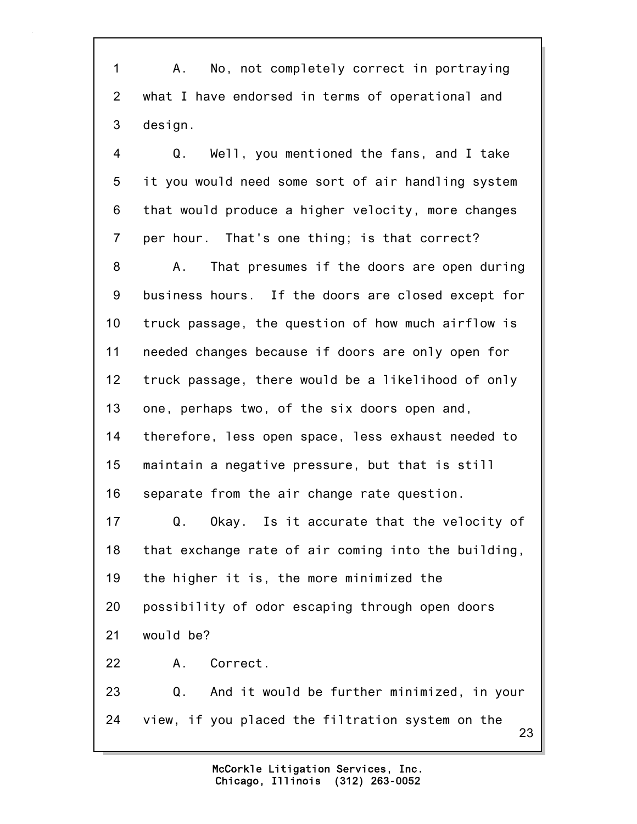1 A. No, not completely correct in portraying 2 what I have endorsed in terms of operational and 3 design.

4 Q. Well, you mentioned the fans, and I take 5 it you would need some sort of air handling system 6 that would produce a higher velocity, more changes 7 per hour. That's one thing; is that correct? 8 A. That presumes if the doors are open during 9 business hours. If the doors are closed except for 10 truck passage, the question of how much airflow is 11 needed changes because if doors are only open for 12 truck passage, there would be a likelihood of only 13 one, perhaps two, of the six doors open and, 14 therefore, less open space, less exhaust needed to 15 maintain a negative pressure, but that is still

16 separate from the air change rate question.

17 Q. Okay. Is it accurate that the velocity of 18 that exchange rate of air coming into the building, 19 the higher it is, the more minimized the 20 possibility of odor escaping through open doors 21 would be? 22 A. Correct.

23 23 Q. And it would be further minimized, in your 24 view, if you placed the filtration system on the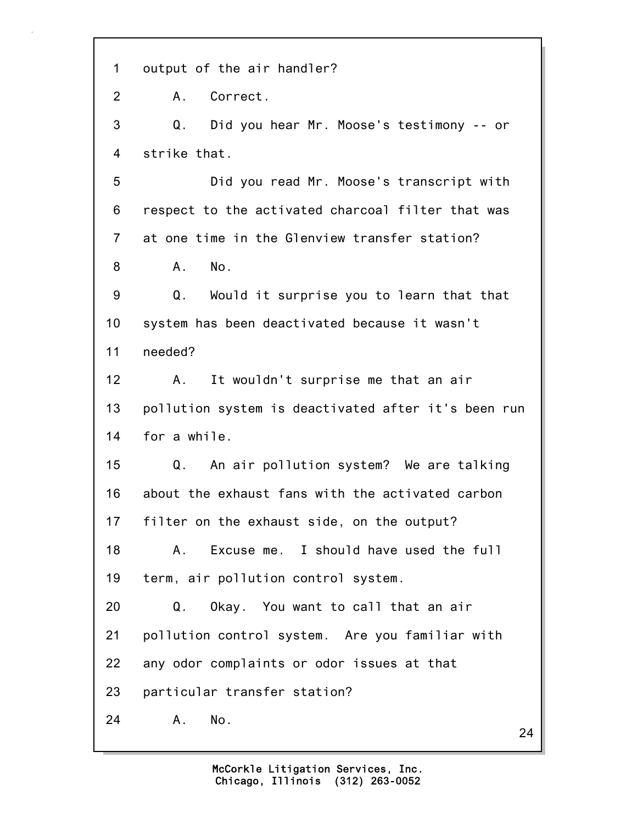1 output of the air handler?

2 A. Correct.

3 Q. Did you hear Mr. Moose's testimony -- or 4 strike that.

5 Did you read Mr. Moose's transcript with 6 respect to the activated charcoal filter that was 7 at one time in the Glenview transfer station? 8 A. No.

9 Q. Would it surprise you to learn that that 10 system has been deactivated because it wasn't 11 needed?

12 A. It wouldn't surprise me that an air 13 pollution system is deactivated after it's been run 14 for a while.

15 Q. An air pollution system? We are talking 16 about the exhaust fans with the activated carbon 17 filter on the exhaust side, on the output?

18 A. Excuse me. I should have used the full 19 term, air pollution control system.

20 Q. Okay. You want to call that an air 21 pollution control system. Are you familiar with 22 any odor complaints or odor issues at that 23 particular transfer station?

24 A. No.

24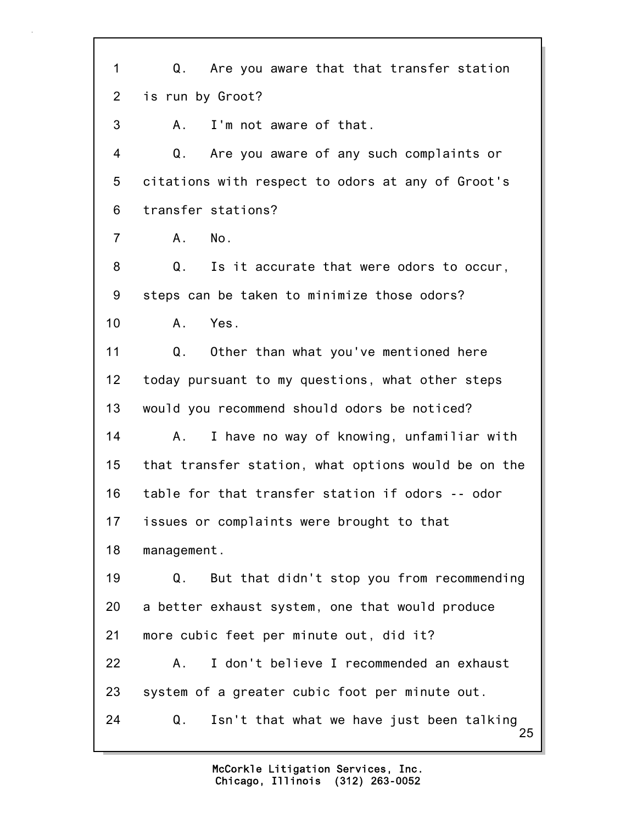25 1 Q. Are you aware that that transfer station 2 is run by Groot? 3 A. I'm not aware of that. 4 Q. Are you aware of any such complaints or 5 citations with respect to odors at any of Groot's 6 transfer stations? 7 A. No. 8 Q. Is it accurate that were odors to occur, 9 steps can be taken to minimize those odors? 10 A. Yes. 11 Q. Other than what you've mentioned here 12 today pursuant to my questions, what other steps 13 would you recommend should odors be noticed? 14 A. I have no way of knowing, unfamiliar with 15 that transfer station, what options would be on the 16 table for that transfer station if odors -- odor 17 issues or complaints were brought to that 18 management. 19 Q. But that didn't stop you from recommending 20 a better exhaust system, one that would produce 21 more cubic feet per minute out, did it? 22 A. I don't believe I recommended an exhaust 23 system of a greater cubic foot per minute out. 24 Q. Isn't that what we have just been talking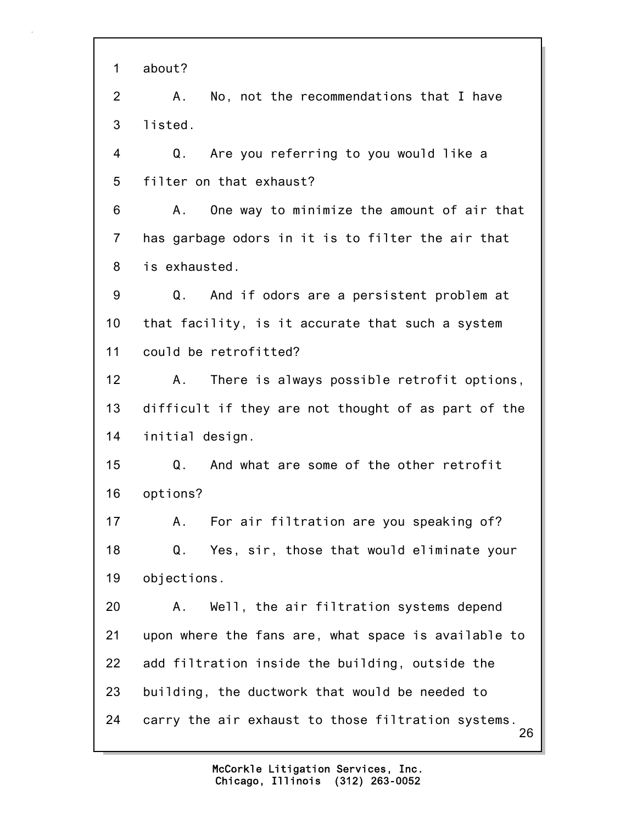26 1 about? 2 A. No, not the recommendations that I have 3 listed. 4 Q. Are you referring to you would like a 5 filter on that exhaust? 6 A. One way to minimize the amount of air that 7 has garbage odors in it is to filter the air that 8 is exhausted. 9 Q. And if odors are a persistent problem at 10 that facility, is it accurate that such a system 11 could be retrofitted? 12 A. There is always possible retrofit options, 13 difficult if they are not thought of as part of the 14 initial design. 15 Q. And what are some of the other retrofit 16 options? 17 A. For air filtration are you speaking of? 18 Q. Yes, sir, those that would eliminate your 19 objections. 20 A. Well, the air filtration systems depend 21 upon where the fans are, what space is available to 22 add filtration inside the building, outside the 23 building, the ductwork that would be needed to 24 carry the air exhaust to those filtration systems.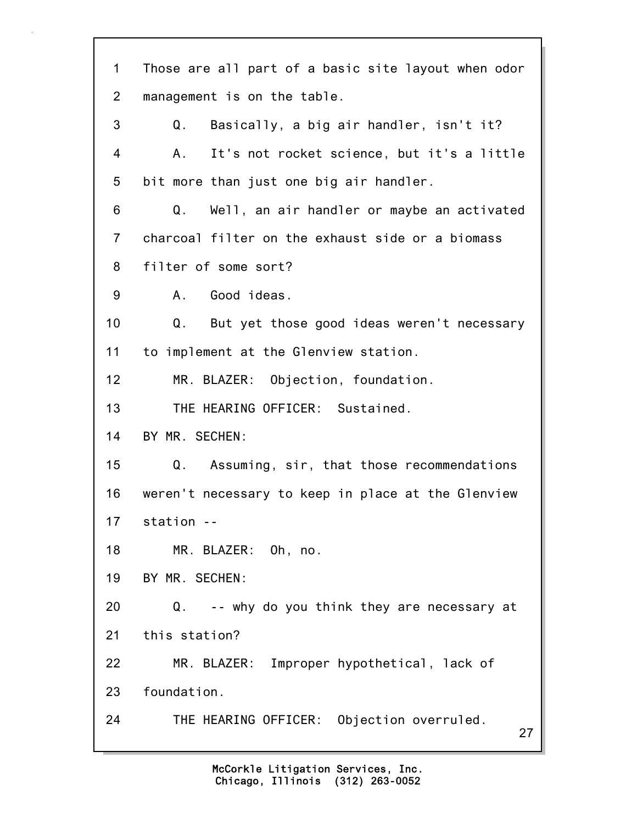27 1 Those are all part of a basic site layout when odor 2 management is on the table. 3 Q. Basically, a big air handler, isn't it? 4 A. It's not rocket science, but it's a little 5 bit more than just one big air handler. 6 Q. Well, an air handler or maybe an activated 7 charcoal filter on the exhaust side or a biomass 8 filter of some sort? 9 A. Good ideas. 10 Q. But yet those good ideas weren't necessary 11 to implement at the Glenview station. 12 MR. BLAZER: Objection, foundation. 13 THE HEARING OFFICER: Sustained. 14 BY MR. SECHEN: 15 Q. Assuming, sir, that those recommendations 16 weren't necessary to keep in place at the Glenview 17 station -- 18 MR. BLAZER: Oh, no. 19 BY MR. SECHEN: 20 Q. -- why do you think they are necessary at 21 this station? 22 MR. BLAZER: Improper hypothetical, lack of 23 foundation. 24 THE HEARING OFFICER: Objection overruled.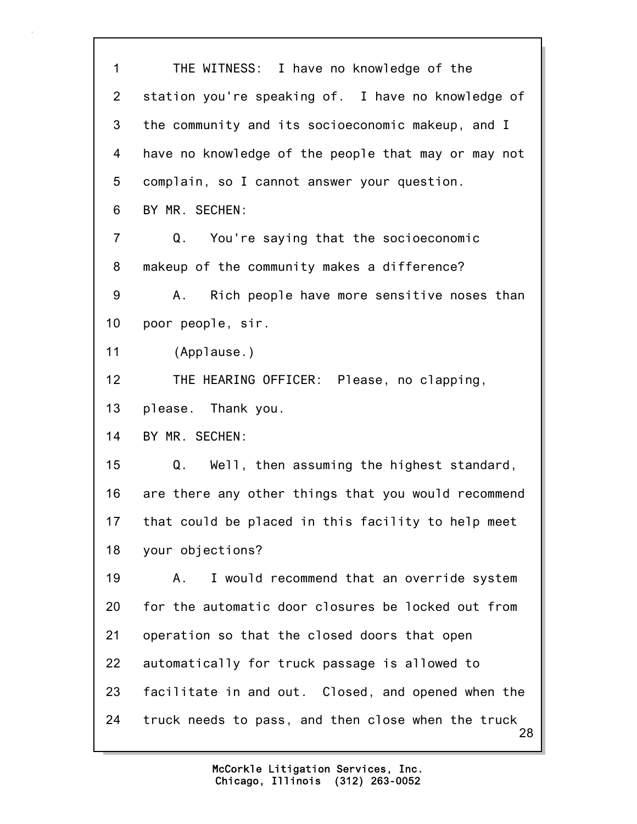28 1 THE WITNESS: I have no knowledge of the 2 station you're speaking of. I have no knowledge of 3 the community and its socioeconomic makeup, and I 4 have no knowledge of the people that may or may not 5 complain, so I cannot answer your question. 6 BY MR. SECHEN: 7 Q. You're saying that the socioeconomic 8 makeup of the community makes a difference? 9 A. Rich people have more sensitive noses than 10 poor people, sir. 11 (Applause.) 12 THE HEARING OFFICER: Please, no clapping, 13 please. Thank you. 14 BY MR. SECHEN: 15 Q. Well, then assuming the highest standard, 16 are there any other things that you would recommend 17 that could be placed in this facility to help meet 18 your objections? 19 A. I would recommend that an override system 20 for the automatic door closures be locked out from 21 operation so that the closed doors that open 22 automatically for truck passage is allowed to 23 facilitate in and out. Closed, and opened when the 24 truck needs to pass, and then close when the truck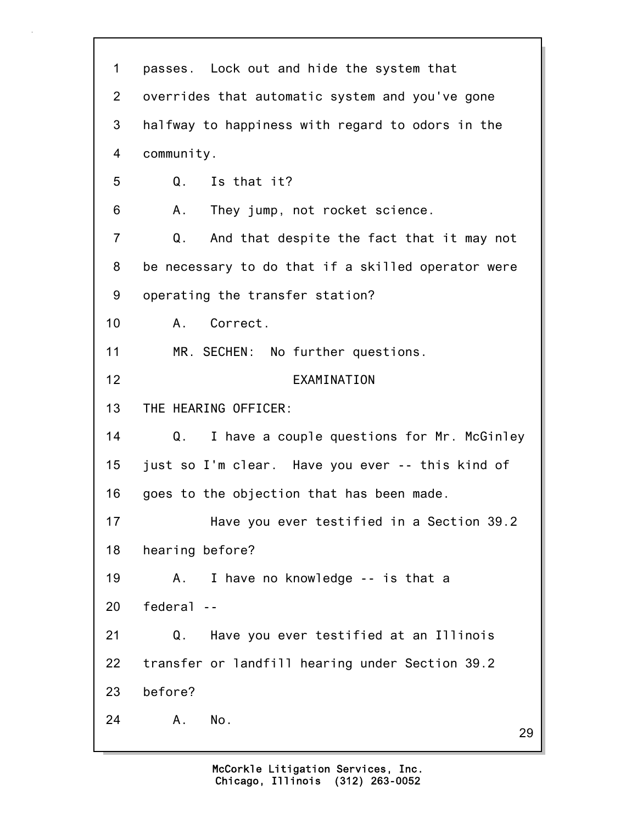| $\mathbf 1$ | passes. Lock out and hide the system that          |
|-------------|----------------------------------------------------|
| 2           | overrides that automatic system and you've gone    |
| 3           | halfway to happiness with regard to odors in the   |
| 4           | community.                                         |
| 5           | Q.<br>Is that it?                                  |
| 6           | They jump, not rocket science.<br>Α.               |
| 7           | Q.<br>And that despite the fact that it may not    |
| 8           | be necessary to do that if a skilled operator were |
| 9           | operating the transfer station?                    |
| 10          | Correct.<br>A.,                                    |
| 11          | MR. SECHEN: No further questions.                  |
| 12          | EXAMINATION                                        |
| 13          | THE HEARING OFFICER:                               |
| 14          | I have a couple questions for Mr. McGinley<br>Q.   |
| 15          | just so I'm clear. Have you ever -- this kind of   |
| 16          | goes to the objection that has been made.          |
| 17          | Have you ever testified in a Section 39.2          |
| 18          | hearing before?                                    |
| 19          | I have no knowledge -- is that a<br>Α.             |
| 20          | federal --                                         |
| 21          | Q.<br>Have you ever testified at an Illinois       |
| 22          | transfer or landfill hearing under Section 39.2    |
| 23          | before?                                            |
| 24          | No.<br>Α.<br>29                                    |
|             |                                                    |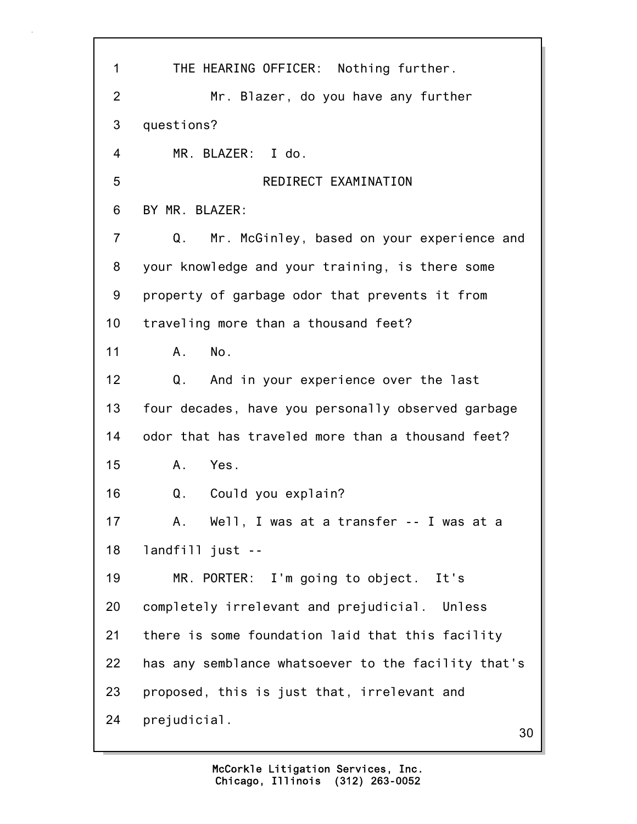| 1              | THE HEARING OFFICER: Nothing further.               |
|----------------|-----------------------------------------------------|
| $\overline{2}$ | Mr. Blazer, do you have any further                 |
| 3              | questions?                                          |
| 4              | MR. BLAZER: I do.                                   |
| 5              | REDIRECT EXAMINATION                                |
| 6              | BY MR. BLAZER:                                      |
| $\overline{7}$ | Mr. McGinley, based on your experience and<br>Q.    |
| 8              | your knowledge and your training, is there some     |
| 9              | property of garbage odor that prevents it from      |
| 10             | traveling more than a thousand feet?                |
| 11             | No.<br>A.                                           |
| 12             | Q.<br>And in your experience over the last          |
| 13             | four decades, have you personally observed garbage  |
| 14             | odor that has traveled more than a thousand feet?   |
| 15             | A. Yes.                                             |
| 16             | Could you explain?<br>Q.                            |
| 17             | Well, I was at a transfer -- I was at a<br>Α.       |
| 18             | $landfill$ just --                                  |
| 19             | MR. PORTER: I'm going to object. It's               |
| 20             | completely irrelevant and prejudicial. Unless       |
| 21             | there is some foundation laid that this facility    |
| 22             | has any semblance whatsoever to the facility that's |
| 23             | proposed, this is just that, irrelevant and         |
| 24             | prejudicial.<br>30                                  |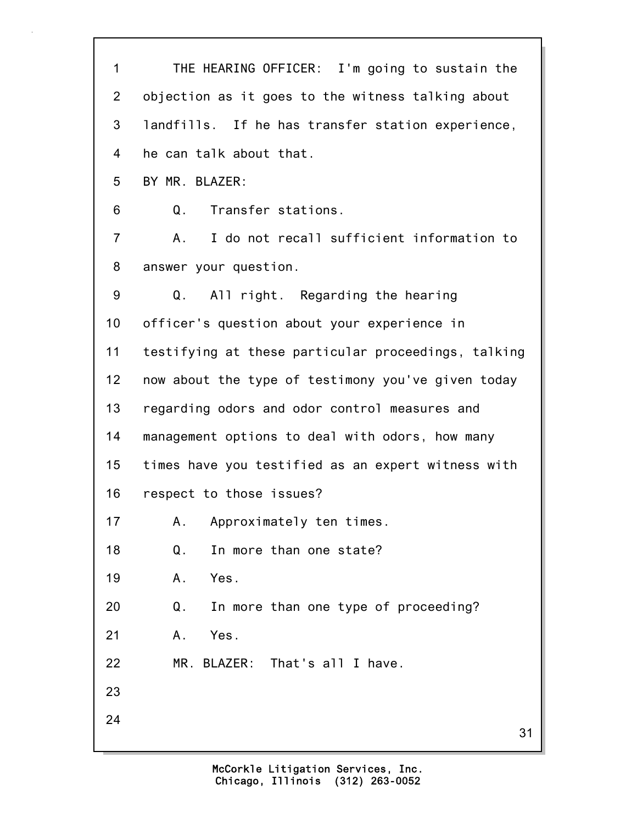31 1 THE HEARING OFFICER: I'm going to sustain the 2 objection as it goes to the witness talking about 3 landfills. If he has transfer station experience, 4 he can talk about that. 5 BY MR. BLAZER: 6 Q. Transfer stations. 7 A. I do not recall sufficient information to 8 answer your question. 9 Q. All right. Regarding the hearing 10 officer's question about your experience in 11 testifying at these particular proceedings, talking 12 now about the type of testimony you've given today 13 regarding odors and odor control measures and 14 management options to deal with odors, how many 15 times have you testified as an expert witness with 16 respect to those issues? 17 A. Approximately ten times. 18 Q. In more than one state? 19 A. Yes. 20 Q. In more than one type of proceeding? 21 A. Yes. 22 MR. BLAZER: That's all I have. 23 24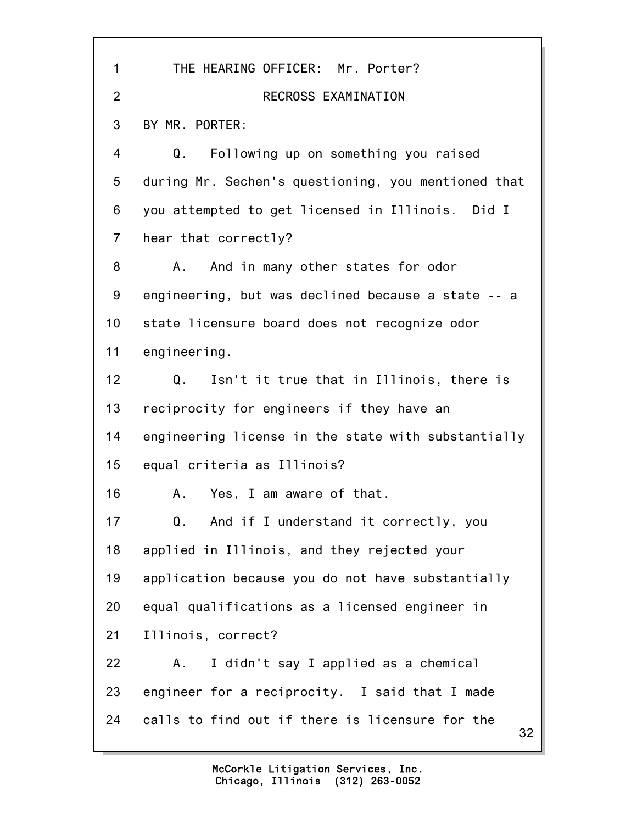| 1              | THE HEARING OFFICER: Mr. Porter?                      |
|----------------|-------------------------------------------------------|
| $\overline{2}$ | RECROSS EXAMINATION                                   |
| 3              | BY MR. PORTER:                                        |
| 4              | Following up on something you raised<br>Q.            |
| 5              | during Mr. Sechen's questioning, you mentioned that   |
| 6              | you attempted to get licensed in Illinois. Did I      |
| $\overline{7}$ | hear that correctly?                                  |
| 8              | And in many other states for odor<br>A.,              |
| 9              | engineering, but was declined because a state -- a    |
| 10             | state licensure board does not recognize odor         |
| 11             | engineering.                                          |
| 12             | Isn't it true that in Illinois, there is<br>Q.        |
| 13             | reciprocity for engineers if they have an             |
| 14             | engineering license in the state with substantially   |
| 15             | equal criteria as Illinois?                           |
| 16             | Yes, I am aware of that.<br>A.,                       |
| 17             | And if I understand it correctly, you<br>Q.           |
| 18             | applied in Illinois, and they rejected your           |
| 19             | application because you do not have substantially     |
| 20             | equal qualifications as a licensed engineer in        |
| 21             | Illinois, correct?                                    |
| 22             | I didn't say I applied as a chemical<br>Α.            |
| 23             | engineer for a reciprocity. I said that I made        |
| 24             | calls to find out if there is licensure for the<br>32 |
|                |                                                       |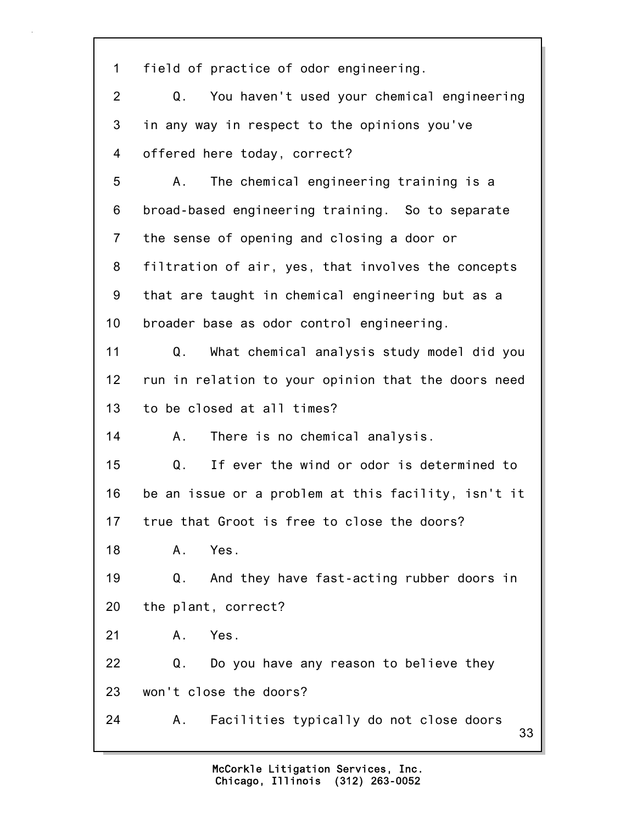33 1 field of practice of odor engineering. 2 Q. You haven't used your chemical engineering 3 in any way in respect to the opinions you've 4 offered here today, correct? 5 A. The chemical engineering training is a 6 broad-based engineering training. So to separate 7 the sense of opening and closing a door or 8 filtration of air, yes, that involves the concepts 9 that are taught in chemical engineering but as a 10 broader base as odor control engineering. 11 Q. What chemical analysis study model did you 12 run in relation to your opinion that the doors need 13 to be closed at all times? 14 A. There is no chemical analysis. 15 Q. If ever the wind or odor is determined to 16 be an issue or a problem at this facility, isn't it 17 true that Groot is free to close the doors? 18 A. Yes. 19 Q. And they have fast-acting rubber doors in 20 the plant, correct? 21 A. Yes. 22 Q. Do you have any reason to believe they 23 won't close the doors? 24 A. Facilities typically do not close doors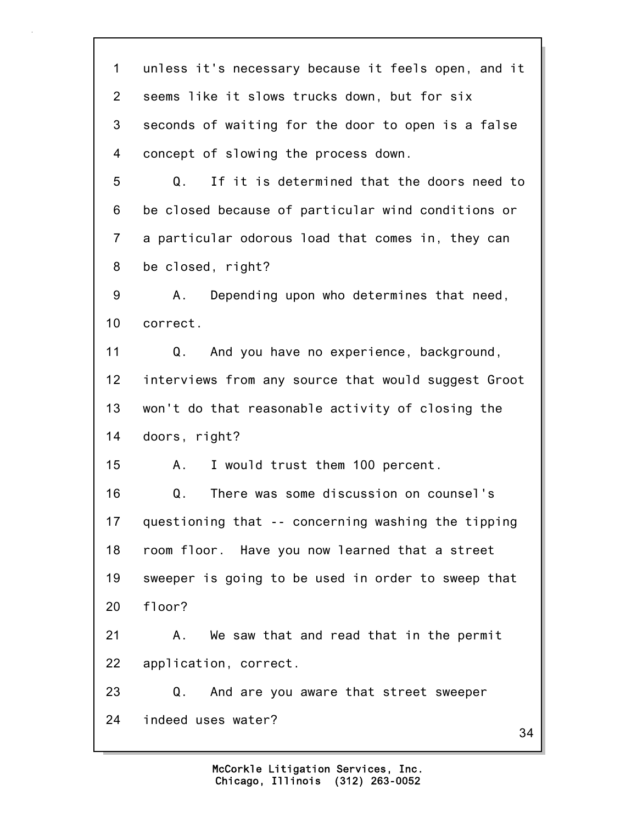34 1 unless it's necessary because it feels open, and it 2 seems like it slows trucks down, but for six 3 seconds of waiting for the door to open is a false 4 concept of slowing the process down. 5 Q. If it is determined that the doors need to 6 be closed because of particular wind conditions or 7 a particular odorous load that comes in, they can 8 be closed, right? 9 A. Depending upon who determines that need, 10 correct. 11 Q. And you have no experience, background, 12 interviews from any source that would suggest Groot 13 won't do that reasonable activity of closing the 14 doors, right? 15 A. I would trust them 100 percent. 16 Q. There was some discussion on counsel's 17 questioning that -- concerning washing the tipping 18 room floor. Have you now learned that a street 19 sweeper is going to be used in order to sweep that 20 floor? 21 A. We saw that and read that in the permit 22 application, correct. 23 Q. And are you aware that street sweeper 24 indeed uses water?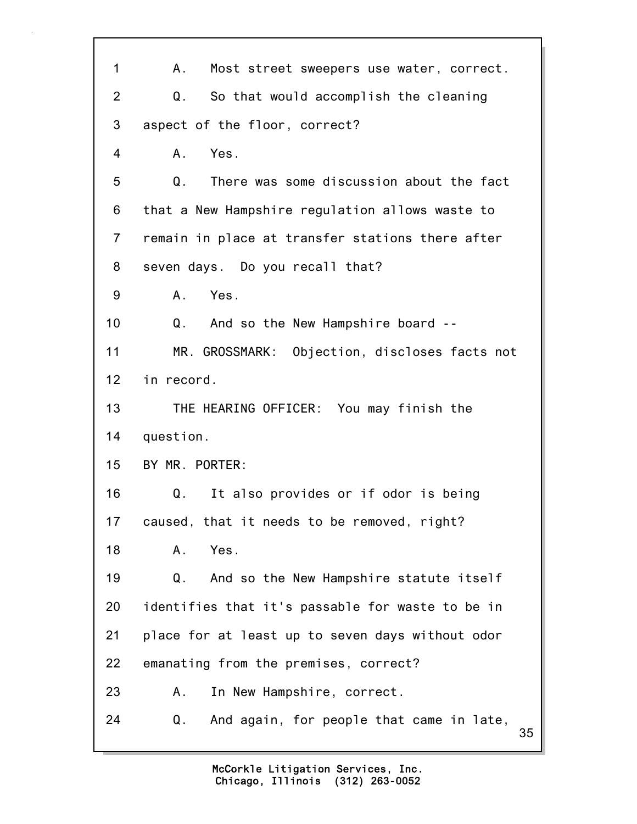| 1               | Most street sweepers use water, correct.<br>A.,      |
|-----------------|------------------------------------------------------|
| $\overline{2}$  | So that would accomplish the cleaning<br>Q.          |
| 3               | aspect of the floor, correct?                        |
| $\overline{4}$  | A. Yes.                                              |
| 5               | Q.<br>There was some discussion about the fact       |
| 6               | that a New Hampshire regulation allows waste to      |
| $\overline{7}$  | remain in place at transfer stations there after     |
| 8               | seven days. Do you recall that?                      |
| 9               | Yes.<br>A.                                           |
| 10              | $Q_{\perp}$<br>And so the New Hampshire board --     |
| 11              | MR. GROSSMARK: Objection, discloses facts not        |
| 12              | in record.                                           |
| 13              | THE HEARING OFFICER: You may finish the              |
| 14              | question.                                            |
| 15 <sub>1</sub> | BY MR. PORTER:                                       |
| 16              | It also provides or if odor is being<br>Q.           |
| 17              | caused, that it needs to be removed, right?          |
| 18              | Yes.<br>Α.                                           |
| 19              | And so the New Hampshire statute itself<br>Q.        |
| 20              | identifies that it's passable for waste to be in     |
| 21              | place for at least up to seven days without odor     |
| 22              | emanating from the premises, correct?                |
| 23              | In New Hampshire, correct.<br>Α.                     |
| 24              | And again, for people that came in late,<br>Q.<br>35 |

٦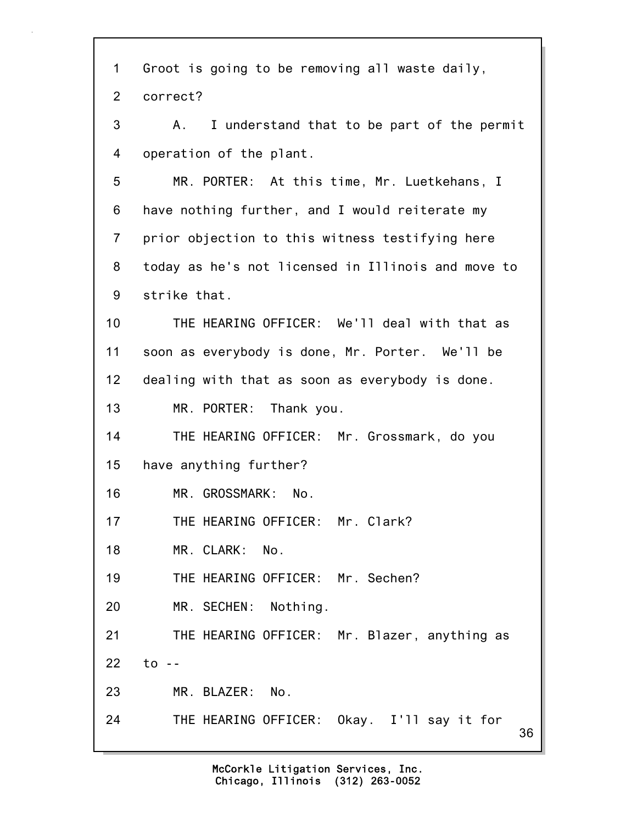| 1              | Groot is going to be removing all waste daily,     |
|----------------|----------------------------------------------------|
| $\overline{2}$ | correct?                                           |
| 3              | I understand that to be part of the permit<br>A.   |
| 4              | operation of the plant.                            |
| 5              | MR. PORTER: At this time, Mr. Luetkehans, I        |
| 6              | have nothing further, and I would reiterate my     |
| $\overline{7}$ | prior objection to this witness testifying here    |
| 8              | today as he's not licensed in Illinois and move to |
| 9              | strike that.                                       |
| 10             | THE HEARING OFFICER: We'll deal with that as       |
| 11             | soon as everybody is done, Mr. Porter. We'll be    |
| 12             | dealing with that as soon as everybody is done.    |
| 13             | MR. PORTER: Thank you.                             |
| 14             | THE HEARING OFFICER: Mr. Grossmark, do you         |
| 15             | have anything further?                             |
| 16             | MR. GROSSMARK:<br>No.                              |
| 17             | THE HEARING OFFICER: Mr. Clark?                    |
| 18             | MR. CLARK:<br>No.                                  |
| 19             | THE HEARING OFFICER: Mr. Sechen?                   |
| 20             | MR. SECHEN: Nothing.                               |
| 21             | THE HEARING OFFICER: Mr. Blazer, anything as       |
| 22             | $to -$                                             |
| 23             | MR. BLAZER:<br>No.                                 |
| 24             | THE HEARING OFFICER: Okay. I'll say it for<br>36   |
|                |                                                    |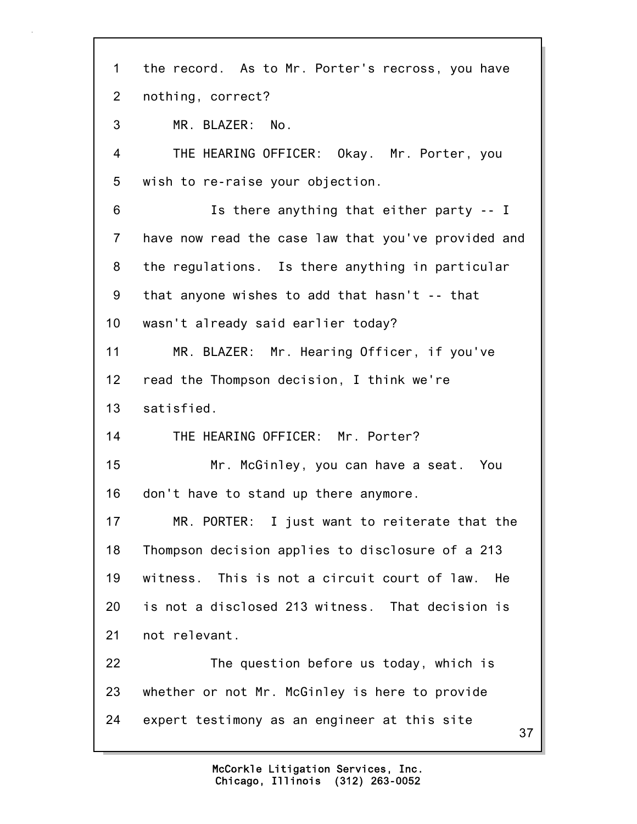37 1 the record. As to Mr. Porter's recross, you have 2 nothing, correct? 3 MR. BLAZER: No. 4 THE HEARING OFFICER: Okay. Mr. Porter, you 5 wish to re-raise your objection. 6 Is there anything that either party -- I 7 have now read the case law that you've provided and 8 the regulations. Is there anything in particular 9 that anyone wishes to add that hasn't -- that 10 wasn't already said earlier today? 11 MR. BLAZER: Mr. Hearing Officer, if you've 12 read the Thompson decision, I think we're 13 satisfied. 14 THE HEARING OFFICER: Mr. Porter? 15 Mr. McGinley, you can have a seat. You 16 don't have to stand up there anymore. 17 MR. PORTER: I just want to reiterate that the 18 Thompson decision applies to disclosure of a 213 19 witness. This is not a circuit court of law. He 20 is not a disclosed 213 witness. That decision is 21 not relevant. 22 The question before us today, which is 23 whether or not Mr. McGinley is here to provide 24 expert testimony as an engineer at this site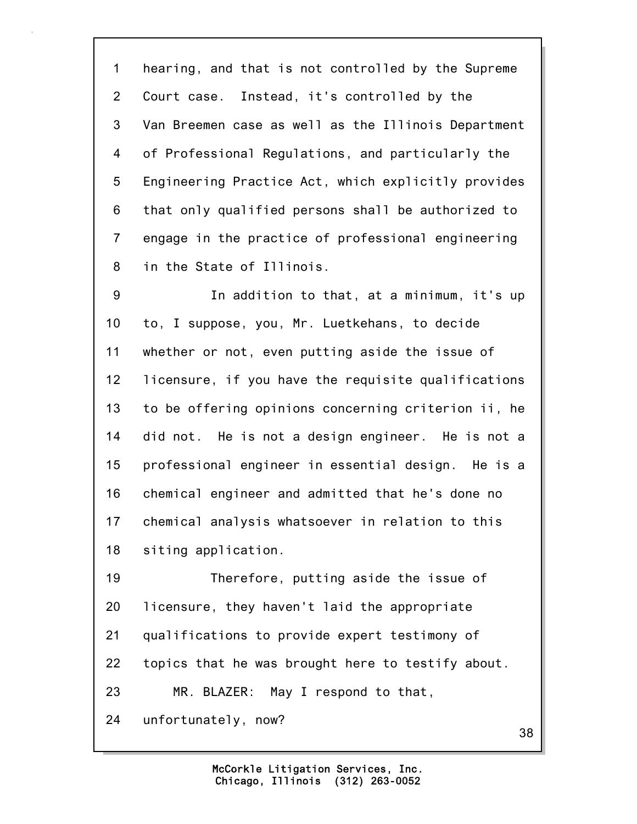1 hearing, and that is not controlled by the Supreme 2 Court case. Instead, it's controlled by the 3 Van Breemen case as well as the Illinois Department 4 of Professional Regulations, and particularly the 5 Engineering Practice Act, which explicitly provides 6 that only qualified persons shall be authorized to 7 engage in the practice of professional engineering 8 in the State of Illinois.

9 In addition to that, at a minimum, it's up 10 to, I suppose, you, Mr. Luetkehans, to decide 11 whether or not, even putting aside the issue of 12 licensure, if you have the requisite qualifications 13 to be offering opinions concerning criterion ii, he 14 did not. He is not a design engineer. He is not a 15 professional engineer in essential design. He is a 16 chemical engineer and admitted that he's done no 17 chemical analysis whatsoever in relation to this 18 siting application.

19 Therefore, putting aside the issue of 20 licensure, they haven't laid the appropriate 21 qualifications to provide expert testimony of 22 topics that he was brought here to testify about. 23 MR. BLAZER: May I respond to that, 24 unfortunately, now?

38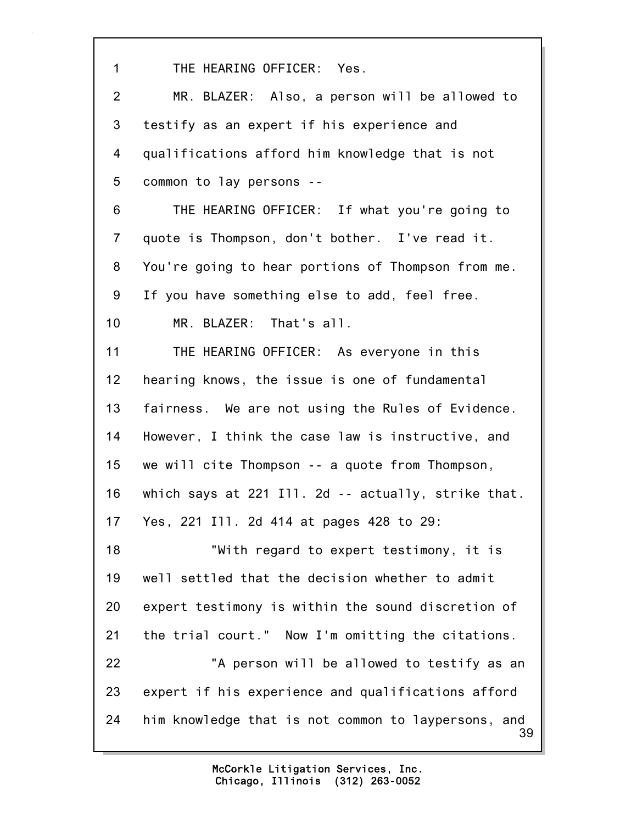39 1 THE HEARING OFFICER: Yes. 2 MR. BLAZER: Also, a person will be allowed to 3 testify as an expert if his experience and 4 qualifications afford him knowledge that is not 5 common to lay persons -- 6 THE HEARING OFFICER: If what you're going to 7 quote is Thompson, don't bother. I've read it. 8 You're going to hear portions of Thompson from me. 9 If you have something else to add, feel free. 10 MR. BLAZER: That's all. 11 THE HEARING OFFICER: As everyone in this 12 hearing knows, the issue is one of fundamental 13 fairness. We are not using the Rules of Evidence. 14 However, I think the case law is instructive, and 15 we will cite Thompson -- a quote from Thompson, 16 which says at 221 Ill. 2d -- actually, strike that. 17 Yes, 221 Ill. 2d 414 at pages 428 to 29: 18 "With regard to expert testimony, it is 19 well settled that the decision whether to admit 20 expert testimony is within the sound discretion of 21 the trial court." Now I'm omitting the citations. 22 "A person will be allowed to testify as an 23 expert if his experience and qualifications afford 24 him knowledge that is not common to laypersons, and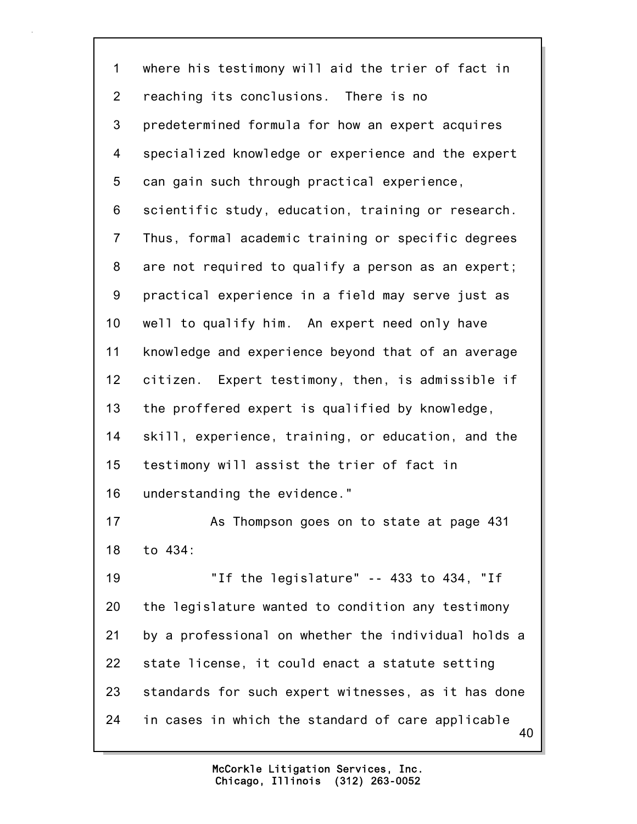40 1 where his testimony will aid the trier of fact in 2 reaching its conclusions. There is no 3 predetermined formula for how an expert acquires 4 specialized knowledge or experience and the expert 5 can gain such through practical experience, 6 scientific study, education, training or research. 7 Thus, formal academic training or specific degrees 8 are not required to qualify a person as an expert; 9 practical experience in a field may serve just as 10 well to qualify him. An expert need only have 11 knowledge and experience beyond that of an average 12 citizen. Expert testimony, then, is admissible if 13 the proffered expert is qualified by knowledge, 14 skill, experience, training, or education, and the 15 testimony will assist the trier of fact in 16 understanding the evidence." 17 As Thompson goes on to state at page 431 18 to 434: 19 "If the legislature" -- 433 to 434, "If 20 the legislature wanted to condition any testimony 21 by a professional on whether the individual holds a 22 state license, it could enact a statute setting 23 standards for such expert witnesses, as it has done 24 in cases in which the standard of care applicable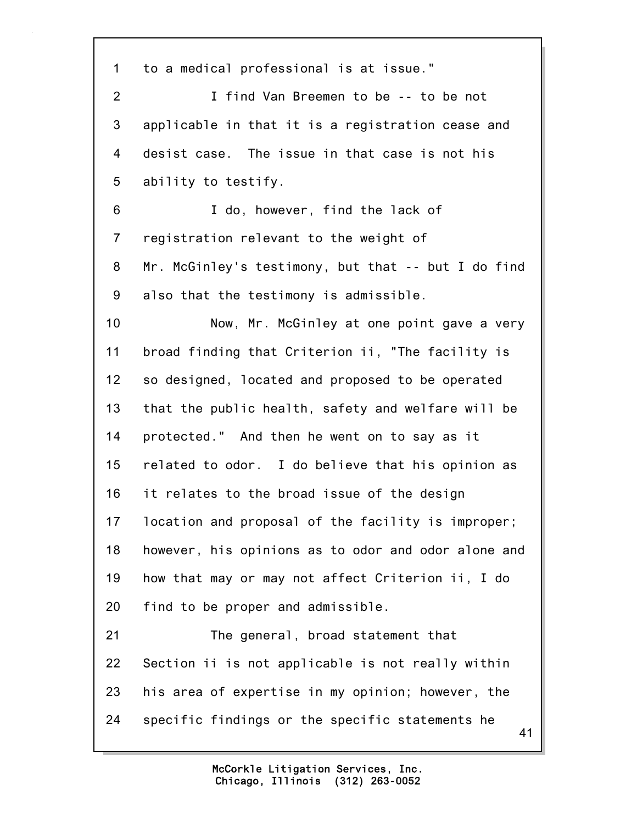41 1 to a medical professional is at issue." 2 I find Van Breemen to be -- to be not 3 applicable in that it is a registration cease and 4 desist case. The issue in that case is not his 5 ability to testify. 6 I do, however, find the lack of 7 registration relevant to the weight of 8 Mr. McGinley's testimony, but that -- but I do find 9 also that the testimony is admissible. 10 Now, Mr. McGinley at one point gave a very 11 broad finding that Criterion ii, "The facility is 12 so designed, located and proposed to be operated 13 that the public health, safety and welfare will be 14 protected." And then he went on to say as it 15 related to odor. I do believe that his opinion as 16 it relates to the broad issue of the design 17 location and proposal of the facility is improper; 18 however, his opinions as to odor and odor alone and 19 how that may or may not affect Criterion ii, I do 20 find to be proper and admissible. 21 The general, broad statement that 22 Section ii is not applicable is not really within 23 his area of expertise in my opinion; however, the 24 specific findings or the specific statements he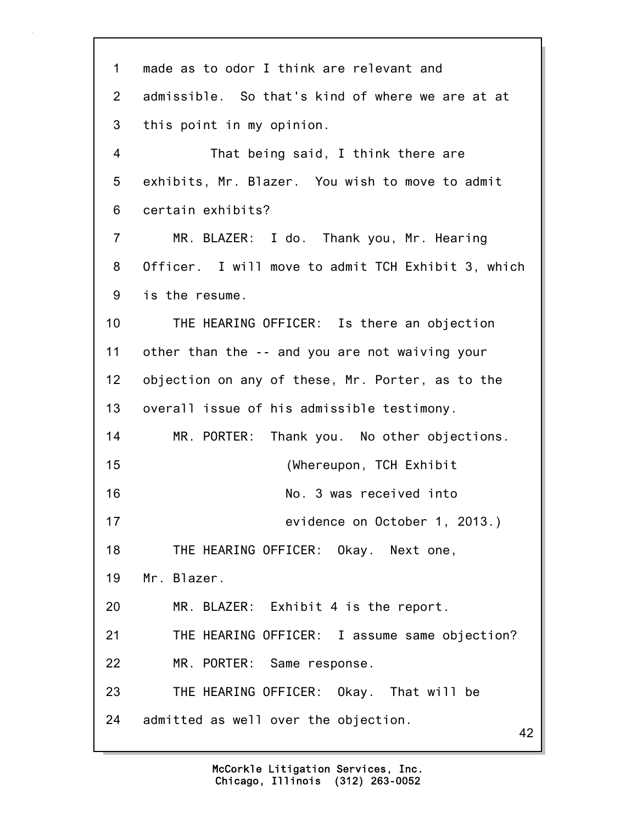42 1 made as to odor I think are relevant and 2 admissible. So that's kind of where we are at at 3 this point in my opinion. 4 That being said, I think there are 5 exhibits, Mr. Blazer. You wish to move to admit 6 certain exhibits? 7 MR. BLAZER: I do. Thank you, Mr. Hearing 8 Officer. I will move to admit TCH Exhibit 3, which 9 is the resume. 10 THE HEARING OFFICER: Is there an objection 11 other than the -- and you are not waiving your 12 objection on any of these, Mr. Porter, as to the 13 overall issue of his admissible testimony. 14 MR. PORTER: Thank you. No other objections. 15 (Whereupon, TCH Exhibit 16 No. 3 was received into 17 evidence on October 1, 2013.) 18 THE HEARING OFFICER: Okay. Next one, 19 Mr. Blazer. 20 MR. BLAZER: Exhibit 4 is the report. 21 THE HEARING OFFICER: I assume same objection? 22 MR. PORTER: Same response. 23 THE HEARING OFFICER: Okay. That will be 24 admitted as well over the objection.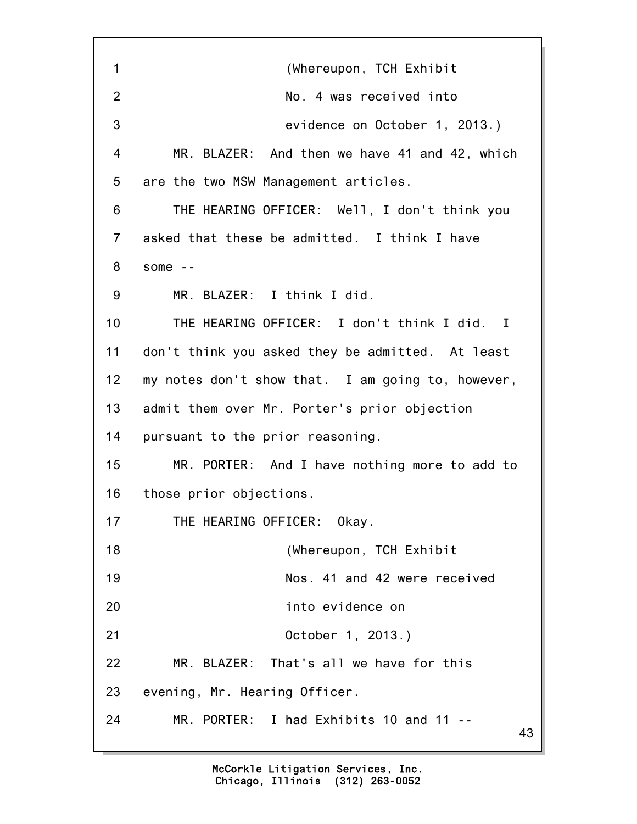43 1 (Whereupon, TCH Exhibit 2 No. 4 was received into 3 evidence on October 1, 2013.) 4 MR. BLAZER: And then we have 41 and 42, which 5 are the two MSW Management articles. 6 THE HEARING OFFICER: Well, I don't think you 7 asked that these be admitted. I think I have 8 some -- 9 MR. BLAZER: I think I did. 10 THE HEARING OFFICER: I don't think I did. I 11 don't think you asked they be admitted. At least 12 my notes don't show that. I am going to, however, 13 admit them over Mr. Porter's prior objection 14 pursuant to the prior reasoning. 15 MR. PORTER: And I have nothing more to add to 16 those prior objections. 17 THE HEARING OFFICER: Okay. 18 (Whereupon, TCH Exhibit 19 Nos. 41 and 42 were received 20 into evidence on 21 October 1, 2013.) 22 MR. BLAZER: That's all we have for this 23 evening, Mr. Hearing Officer. 24 MR. PORTER: I had Exhibits 10 and 11 --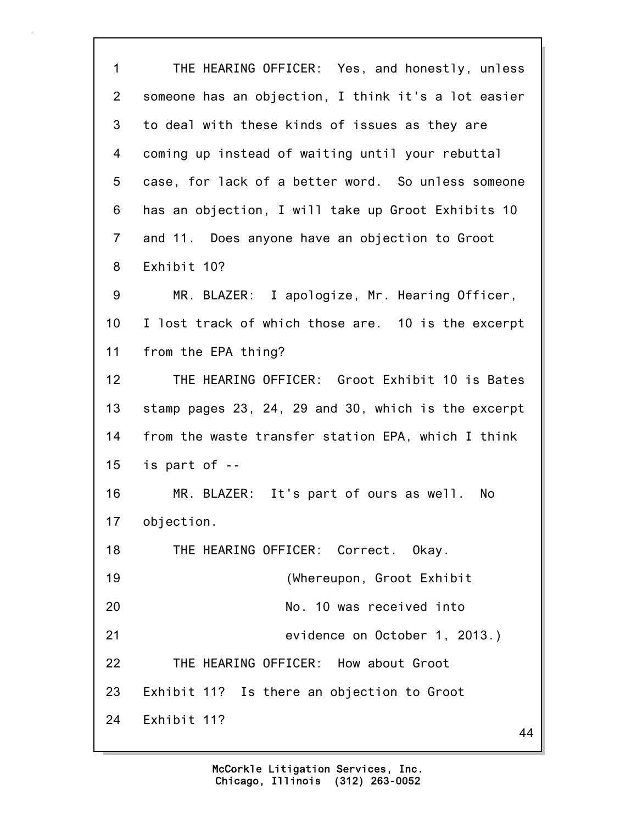| $\mathbf 1$    | THE HEARING OFFICER: Yes, and honestly, unless      |
|----------------|-----------------------------------------------------|
| $\overline{2}$ | someone has an objection, I think it's a lot easier |
| 3              | to deal with these kinds of issues as they are      |
| 4              | coming up instead of waiting until your rebuttal    |
| 5              | case, for lack of a better word. So unless someone  |
| 6              | has an objection, I will take up Groot Exhibits 10  |
| $\overline{7}$ | and 11. Does anyone have an objection to Groot      |
| 8              | Exhibit 10?                                         |
| 9              | MR. BLAZER: I apologize, Mr. Hearing Officer,       |
| 10             | I lost track of which those are. 10 is the excerpt  |
| 11             | from the EPA thing?                                 |
| 12             | THE HEARING OFFICER: Groot Exhibit 10 is Bates      |
| 13             | stamp pages 23, 24, 29 and 30, which is the excerpt |
| 14             | from the waste transfer station EPA, which I think  |
| 15             | is part of --                                       |
| 16             | MR. BLAZER: It's part of ours as well. No           |
| 17             | objection.                                          |
| 18             | THE HEARING OFFICER: Correct. Okay.                 |
| 19             | (Whereupon, Groot Exhibit                           |
| 20             | No. 10 was received into                            |
| 21             | evidence on October 1, 2013.)                       |
| 22             | THE HEARING OFFICER: How about Groot                |
| 23             | Exhibit 11? Is there an objection to Groot          |
| 24             | Exhibit 11?<br>44                                   |
|                |                                                     |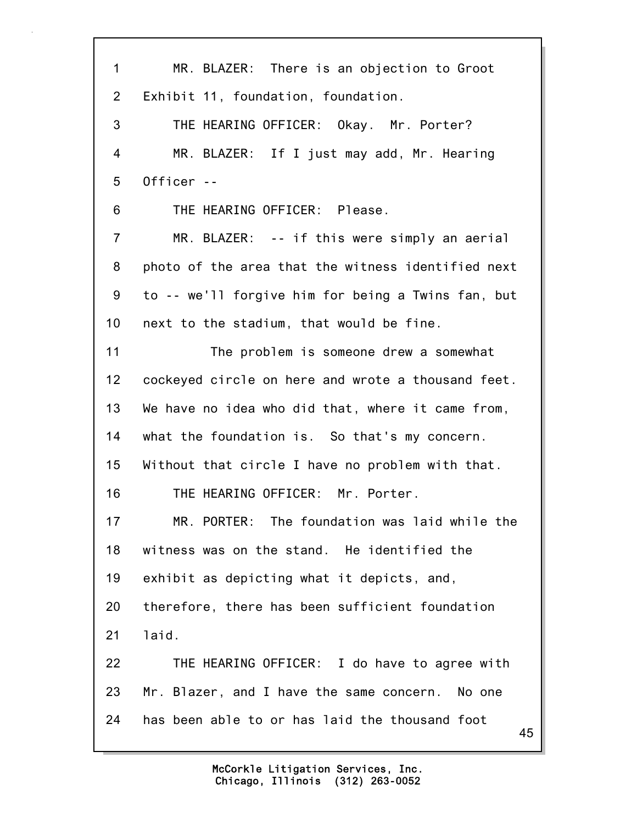| $\mathbf{1}$ | MR. BLAZER: There is an objection to Groot           |
|--------------|------------------------------------------------------|
| 2            | Exhibit 11, foundation, foundation.                  |
| 3            | THE HEARING OFFICER: Okay. Mr. Porter?               |
| 4            | MR. BLAZER: If I just may add, Mr. Hearing           |
| 5            | Officer --                                           |
| 6            | THE HEARING OFFICER: Please.                         |
| 7            | MR. BLAZER: -- if this were simply an aerial         |
| 8            | photo of the area that the witness identified next   |
| 9            | to -- we'll forgive him for being a Twins fan, but   |
| 10           | next to the stadium, that would be fine.             |
| 11           | The problem is someone drew a somewhat               |
| 12           | cockeyed circle on here and wrote a thousand feet.   |
| 13           | We have no idea who did that, where it came from,    |
| 14           | what the foundation is. So that's my concern.        |
| 15           | Without that circle I have no problem with that.     |
| 16           | THE HEARING OFFICER: Mr. Porter.                     |
| 17           | MR. PORTER: The foundation was laid while the        |
| 18           | witness was on the stand. He identified the          |
| 19           | exhibit as depicting what it depicts, and,           |
| 20           | therefore, there has been sufficient foundation      |
| 21           | laid.                                                |
| 22           | THE HEARING OFFICER: I do have to agree with         |
| 23           | Mr. Blazer, and I have the same concern. No one      |
| 24           | has been able to or has laid the thousand foot<br>45 |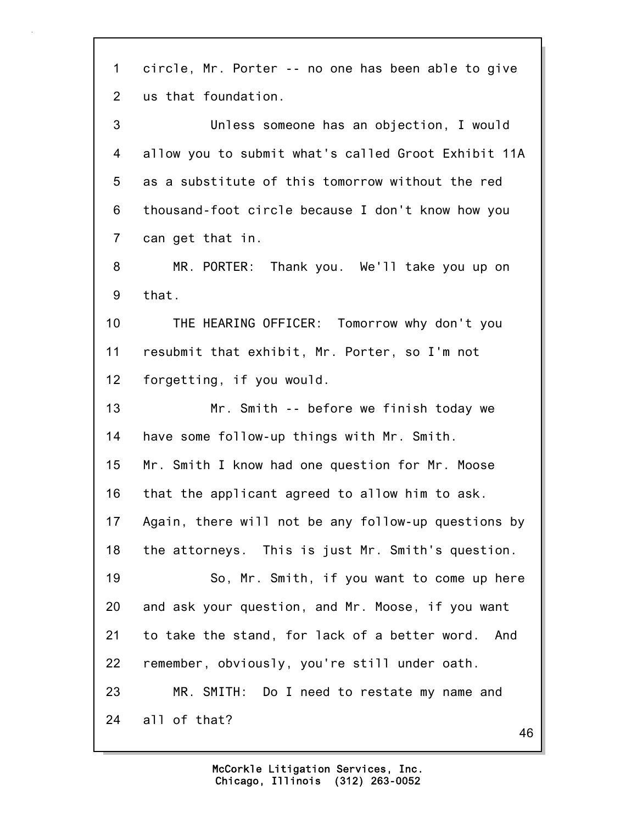46 1 circle, Mr. Porter -- no one has been able to give 2 us that foundation. 3 Unless someone has an objection, I would 4 allow you to submit what's called Groot Exhibit 11A 5 as a substitute of this tomorrow without the red 6 thousand-foot circle because I don't know how you 7 can get that in. 8 MR. PORTER: Thank you. We'll take you up on 9 that. 10 THE HEARING OFFICER: Tomorrow why don't you 11 resubmit that exhibit, Mr. Porter, so I'm not 12 forgetting, if you would. 13 Mr. Smith -- before we finish today we 14 have some follow-up things with Mr. Smith. 15 Mr. Smith I know had one question for Mr. Moose 16 that the applicant agreed to allow him to ask. 17 Again, there will not be any follow-up questions by 18 the attorneys. This is just Mr. Smith's question. 19 So, Mr. Smith, if you want to come up here 20 and ask your question, and Mr. Moose, if you want 21 to take the stand, for lack of a better word. And 22 remember, obviously, you're still under oath. 23 MR. SMITH: Do I need to restate my name and 24 all of that?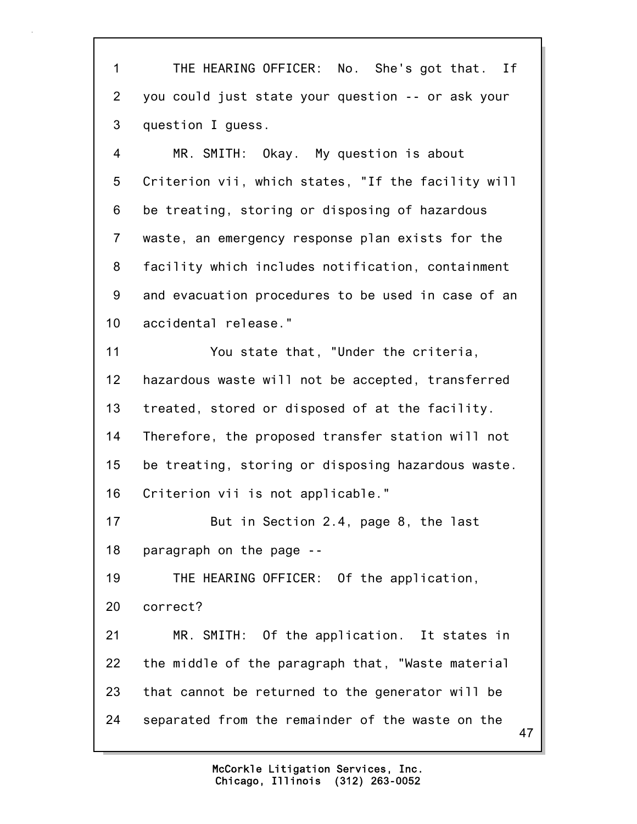1 THE HEARING OFFICER: No. She's got that. If 2 you could just state your question -- or ask your 3 question I guess.

4 MR. SMITH: Okay. My question is about 5 Criterion vii, which states, "If the facility will 6 be treating, storing or disposing of hazardous 7 waste, an emergency response plan exists for the 8 facility which includes notification, containment 9 and evacuation procedures to be used in case of an 10 accidental release."

11 You state that, "Under the criteria, 12 hazardous waste will not be accepted, transferred 13 treated, stored or disposed of at the facility. 14 Therefore, the proposed transfer station will not 15 be treating, storing or disposing hazardous waste. 16 Criterion vii is not applicable."

17 But in Section 2.4, page 8, the last 18 paragraph on the page --

19 THE HEARING OFFICER: Of the application, 20 correct?

21 MR. SMITH: Of the application. It states in 22 the middle of the paragraph that, "Waste material 23 that cannot be returned to the generator will be 24 separated from the remainder of the waste on the

> Chicago, Illinois (312) 263-0052 McCorkle Litigation Services, Inc.

47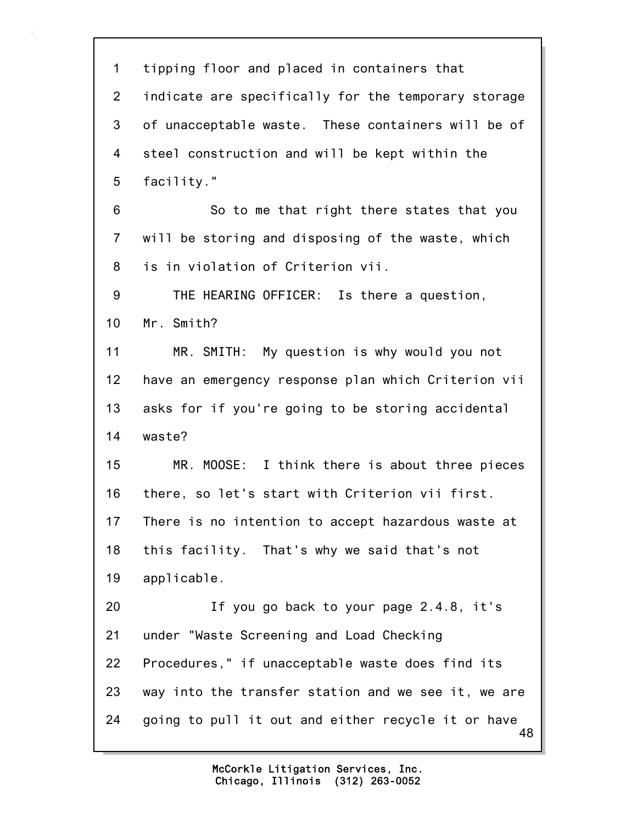48 1 tipping floor and placed in containers that 2 indicate are specifically for the temporary storage 3 of unacceptable waste. These containers will be of 4 steel construction and will be kept within the 5 facility." 6 So to me that right there states that you 7 will be storing and disposing of the waste, which 8 is in violation of Criterion vii. 9 THE HEARING OFFICER: Is there a question, 10 Mr. Smith? 11 MR. SMITH: My question is why would you not 12 have an emergency response plan which Criterion vii 13 asks for if you're going to be storing accidental 14 waste? 15 MR. MOOSE: I think there is about three pieces 16 there, so let's start with Criterion vii first. 17 There is no intention to accept hazardous waste at 18 this facility. That's why we said that's not 19 applicable. 20 If you go back to your page 2.4.8, it's 21 under "Waste Screening and Load Checking 22 Procedures," if unacceptable waste does find its 23 way into the transfer station and we see it, we are 24 going to pull it out and either recycle it or have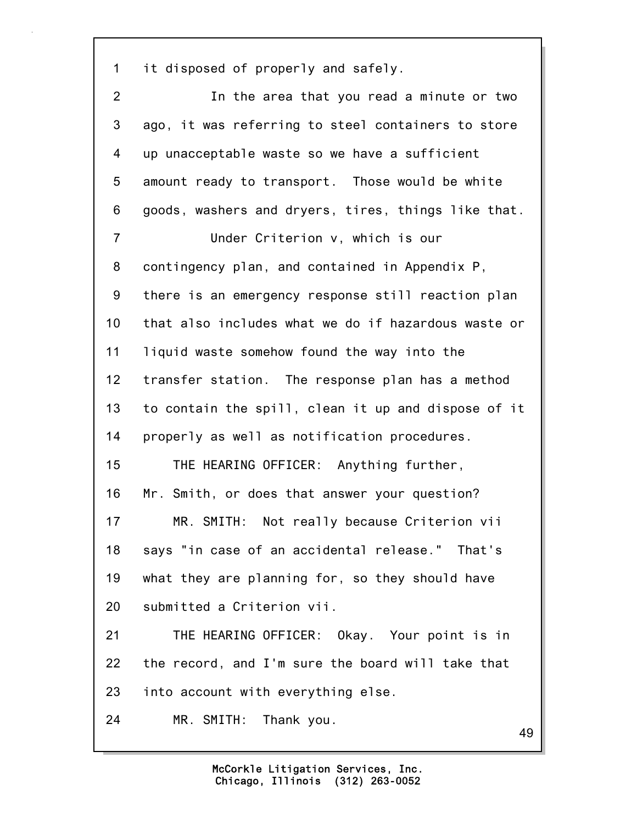1 it disposed of properly and safely.

2 In the area that you read a minute or two 3 ago, it was referring to steel containers to store 4 up unacceptable waste so we have a sufficient 5 amount ready to transport. Those would be white 6 goods, washers and dryers, tires, things like that. 7 Under Criterion v, which is our 8 contingency plan, and contained in Appendix P, 9 there is an emergency response still reaction plan 10 that also includes what we do if hazardous waste or 11 liquid waste somehow found the way into the 12 transfer station. The response plan has a method 13 to contain the spill, clean it up and dispose of it 14 properly as well as notification procedures. 15 THE HEARING OFFICER: Anything further, 16 Mr. Smith, or does that answer your question? 17 MR. SMITH: Not really because Criterion vii 18 says "in case of an accidental release." That's 19 what they are planning for, so they should have 20 submitted a Criterion vii. 21 THE HEARING OFFICER: Okay. Your point is in 22 the record, and I'm sure the board will take that 23 into account with everything else. 24 MR. SMITH: Thank you.

49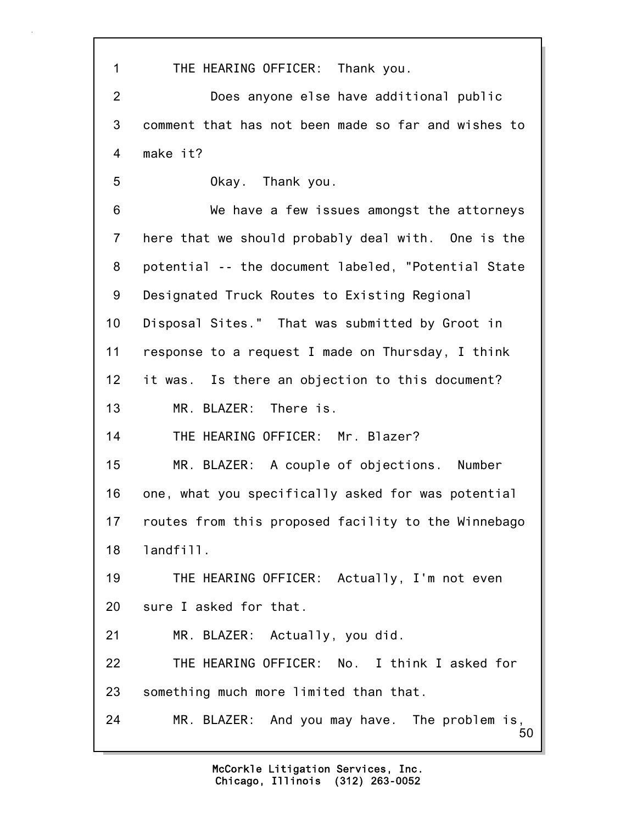50 1 THE HEARING OFFICER: Thank you. 2 Does anyone else have additional public 3 comment that has not been made so far and wishes to 4 make it? 5 Okay. Thank you. 6 We have a few issues amongst the attorneys 7 here that we should probably deal with. One is the 8 potential -- the document labeled, "Potential State 9 Designated Truck Routes to Existing Regional 10 Disposal Sites." That was submitted by Groot in 11 response to a request I made on Thursday, I think 12 it was. Is there an objection to this document? 13 MR. BLAZER: There is. 14 THE HEARING OFFICER: Mr. Blazer? 15 MR. BLAZER: A couple of objections. Number 16 one, what you specifically asked for was potential 17 routes from this proposed facility to the Winnebago 18 landfill. 19 THE HEARING OFFICER: Actually, I'm not even 20 sure I asked for that. 21 MR. BLAZER: Actually, you did. 22 THE HEARING OFFICER: No. I think I asked for 23 something much more limited than that. 24 MR. BLAZER: And you may have. The problem is,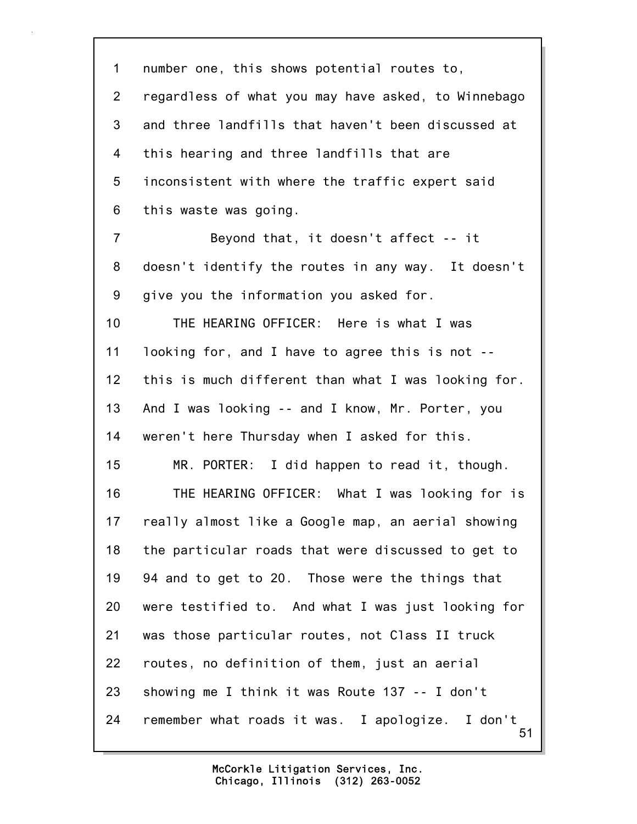51 1 number one, this shows potential routes to, 2 regardless of what you may have asked, to Winnebago 3 and three landfills that haven't been discussed at 4 this hearing and three landfills that are 5 inconsistent with where the traffic expert said 6 this waste was going. 7 Beyond that, it doesn't affect -- it 8 doesn't identify the routes in any way. It doesn't 9 give you the information you asked for. 10 THE HEARING OFFICER: Here is what I was 11 looking for, and I have to agree this is not -- 12 this is much different than what I was looking for. 13 And I was looking -- and I know, Mr. Porter, you 14 weren't here Thursday when I asked for this. 15 MR. PORTER: I did happen to read it, though. 16 THE HEARING OFFICER: What I was looking for is 17 really almost like a Google map, an aerial showing 18 the particular roads that were discussed to get to 19 94 and to get to 20. Those were the things that 20 were testified to. And what I was just looking for 21 was those particular routes, not Class II truck 22 routes, no definition of them, just an aerial 23 showing me I think it was Route 137 -- I don't 24 remember what roads it was. I apologize. I don't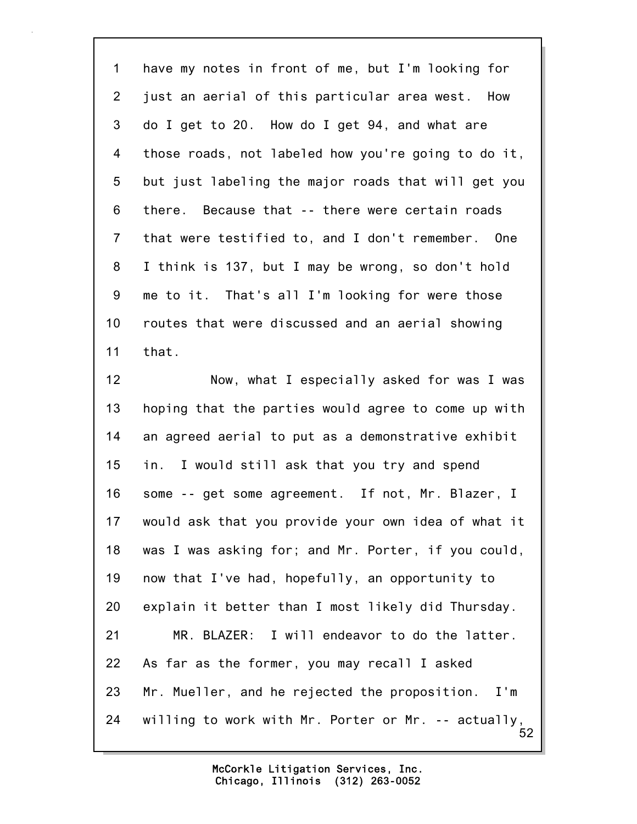1 have my notes in front of me, but I'm looking for 2 just an aerial of this particular area west. How 3 do I get to 20. How do I get 94, and what are 4 those roads, not labeled how you're going to do it, 5 but just labeling the major roads that will get you 6 there. Because that -- there were certain roads 7 that were testified to, and I don't remember. One 8 I think is 137, but I may be wrong, so don't hold 9 me to it. That's all I'm looking for were those 10 routes that were discussed and an aerial showing 11 that.

52 12 Now, what I especially asked for was I was 13 hoping that the parties would agree to come up with 14 an agreed aerial to put as a demonstrative exhibit 15 in. I would still ask that you try and spend 16 some -- get some agreement. If not, Mr. Blazer, I 17 would ask that you provide your own idea of what it 18 was I was asking for; and Mr. Porter, if you could, 19 now that I've had, hopefully, an opportunity to 20 explain it better than I most likely did Thursday. 21 MR. BLAZER: I will endeavor to do the latter. 22 As far as the former, you may recall I asked 23 Mr. Mueller, and he rejected the proposition. I'm 24 willing to work with Mr. Porter or Mr. -- actually,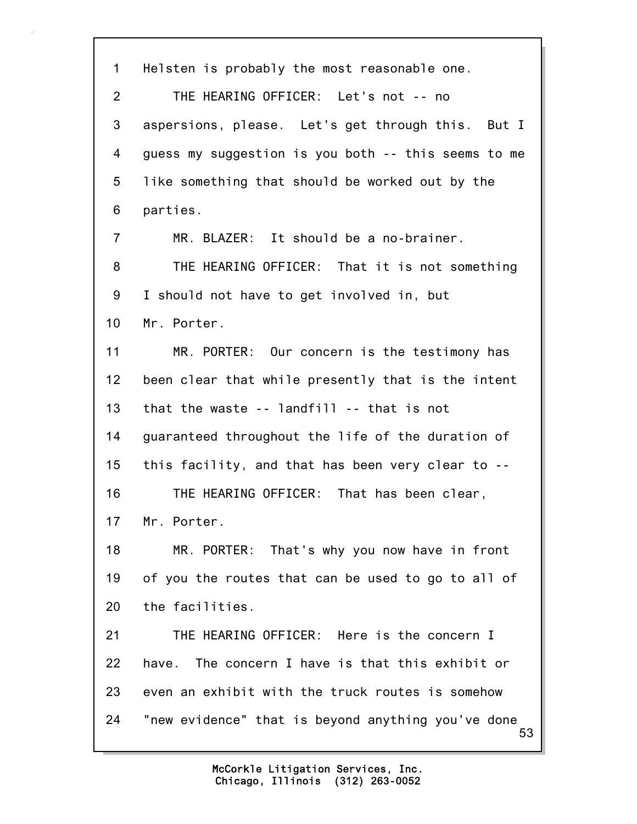53 1 Helsten is probably the most reasonable one. 2 THE HEARING OFFICER: Let's not -- no 3 aspersions, please. Let's get through this. But I 4 guess my suggestion is you both -- this seems to me 5 like something that should be worked out by the 6 parties. 7 MR. BLAZER: It should be a no-brainer. 8 THE HEARING OFFICER: That it is not something 9 I should not have to get involved in, but 10 Mr. Porter. 11 MR. PORTER: Our concern is the testimony has 12 been clear that while presently that is the intent 13 that the waste -- landfill -- that is not 14 guaranteed throughout the life of the duration of 15 this facility, and that has been very clear to -- 16 THE HEARING OFFICER: That has been clear, 17 Mr. Porter. 18 MR. PORTER: That's why you now have in front 19 of you the routes that can be used to go to all of 20 the facilities. 21 THE HEARING OFFICER: Here is the concern I 22 have. The concern I have is that this exhibit or 23 even an exhibit with the truck routes is somehow 24 "new evidence" that is beyond anything you've done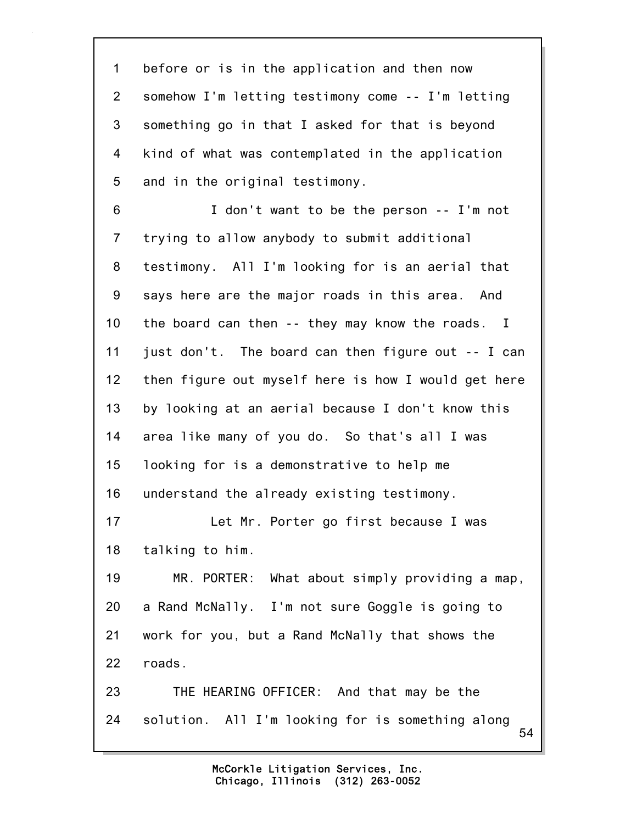54 1 before or is in the application and then now 2 somehow I'm letting testimony come -- I'm letting 3 something go in that I asked for that is beyond 4 kind of what was contemplated in the application 5 and in the original testimony. 6 I don't want to be the person -- I'm not 7 trying to allow anybody to submit additional 8 testimony. All I'm looking for is an aerial that 9 says here are the major roads in this area. And 10 the board can then -- they may know the roads. I 11 just don't. The board can then figure out -- I can 12 then figure out myself here is how I would get here 13 by looking at an aerial because I don't know this 14 area like many of you do. So that's all I was 15 looking for is a demonstrative to help me 16 understand the already existing testimony. 17 Let Mr. Porter go first because I was 18 talking to him. 19 MR. PORTER: What about simply providing a map, 20 a Rand McNally. I'm not sure Goggle is going to 21 work for you, but a Rand McNally that shows the 22 roads. 23 THE HEARING OFFICER: And that may be the 24 solution. All I'm looking for is something along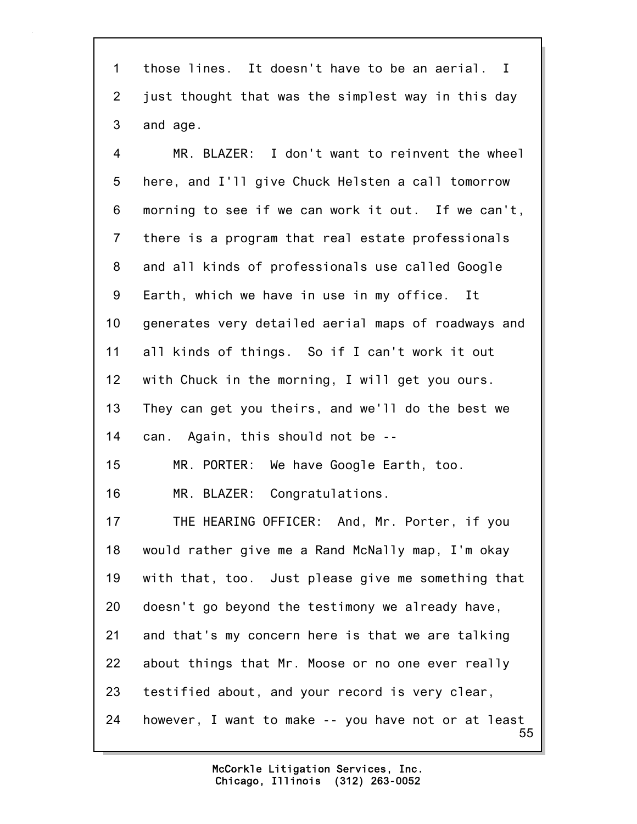1 those lines. It doesn't have to be an aerial. I 2 just thought that was the simplest way in this day 3 and age.

4 MR. BLAZER: I don't want to reinvent the wheel 5 here, and I'll give Chuck Helsten a call tomorrow 6 morning to see if we can work it out. If we can't, 7 there is a program that real estate professionals 8 and all kinds of professionals use called Google 9 Earth, which we have in use in my office. It 10 generates very detailed aerial maps of roadways and 11 all kinds of things. So if I can't work it out 12 with Chuck in the morning, I will get you ours. 13 They can get you theirs, and we'll do the best we 14 can. Again, this should not be -- 15 MR. PORTER: We have Google Earth, too. 16 MR. BLAZER: Congratulations. 17 THE HEARING OFFICER: And, Mr. Porter, if you 18 would rather give me a Rand McNally map, I'm okay 19 with that, too. Just please give me something that

20 doesn't go beyond the testimony we already have,

21 and that's my concern here is that we are talking 22 about things that Mr. Moose or no one ever really

23 testified about, and your record is very clear,

55 24 however, I want to make -- you have not or at least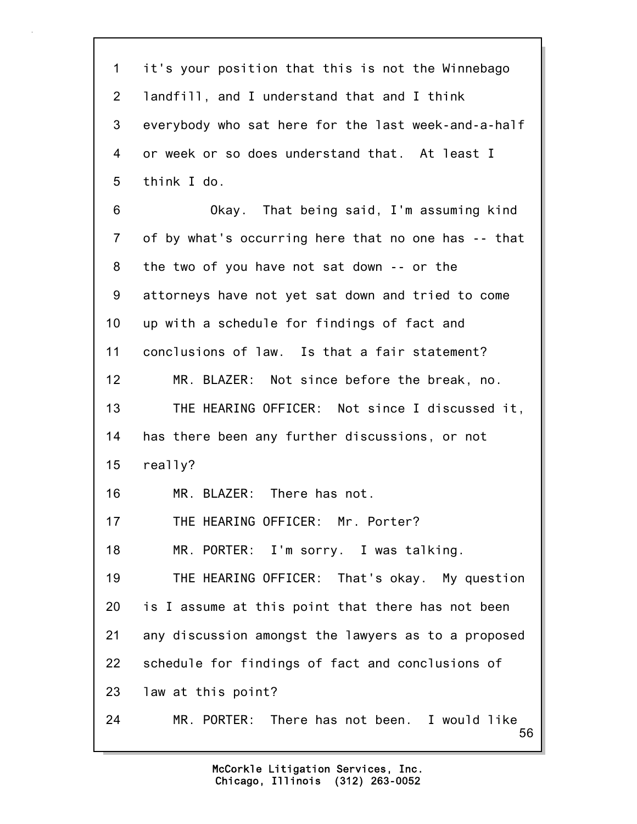56 1 it's your position that this is not the Winnebago 2 landfill, and I understand that and I think 3 everybody who sat here for the last week-and-a-half 4 or week or so does understand that. At least I 5 think I do. 6 Okay. That being said, I'm assuming kind 7 of by what's occurring here that no one has -- that 8 the two of you have not sat down -- or the 9 attorneys have not yet sat down and tried to come 10 up with a schedule for findings of fact and 11 conclusions of law. Is that a fair statement? 12 MR. BLAZER: Not since before the break, no. 13 THE HEARING OFFICER: Not since I discussed it, 14 has there been any further discussions, or not 15 really? 16 MR. BLAZER: There has not. 17 THE HEARING OFFICER: Mr. Porter? 18 MR. PORTER: I'm sorry. I was talking. 19 THE HEARING OFFICER: That's okay. My question 20 is I assume at this point that there has not been 21 any discussion amongst the lawyers as to a proposed 22 schedule for findings of fact and conclusions of 23 law at this point? 24 MR. PORTER: There has not been. I would like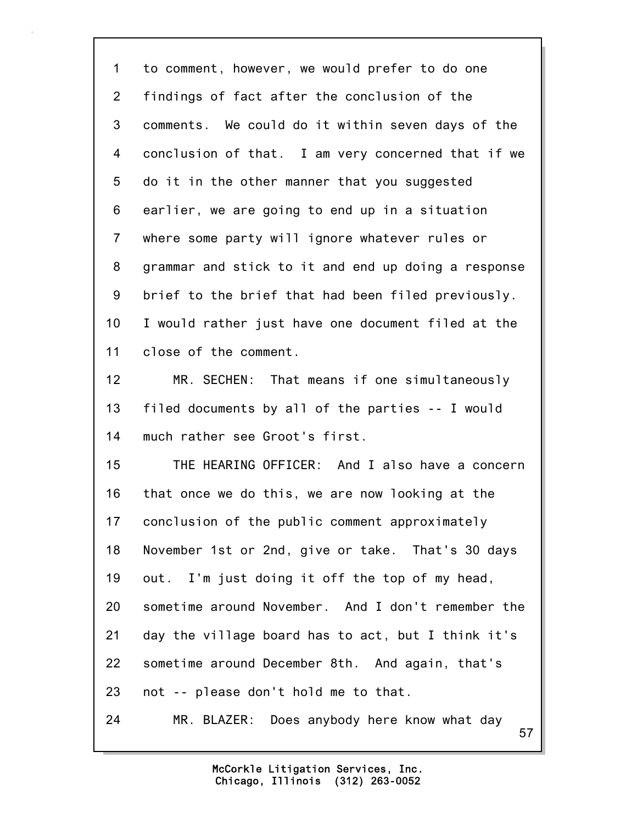1 to comment, however, we would prefer to do one 2 findings of fact after the conclusion of the 3 comments. We could do it within seven days of the 4 conclusion of that. I am very concerned that if we 5 do it in the other manner that you suggested 6 earlier, we are going to end up in a situation 7 where some party will ignore whatever rules or 8 grammar and stick to it and end up doing a response 9 brief to the brief that had been filed previously. 10 I would rather just have one document filed at the 11 close of the comment. 12 MR. SECHEN: That means if one simultaneously 13 filed documents by all of the parties -- I would 14 much rather see Groot's first. 15 THE HEARING OFFICER: And I also have a concern

16 that once we do this, we are now looking at the 17 conclusion of the public comment approximately 18 November 1st or 2nd, give or take. That's 30 days 19 out. I'm just doing it off the top of my head, 20 sometime around November. And I don't remember the 21 day the village board has to act, but I think it's 22 sometime around December 8th. And again, that's 23 not -- please don't hold me to that. 24 MR. BLAZER: Does anybody here know what day

57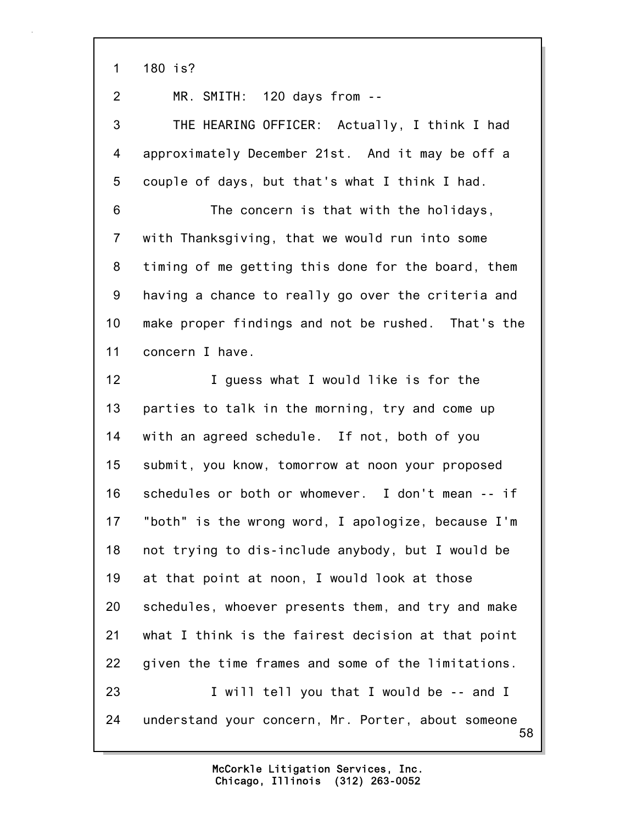1 180 is?

2 MR. SMITH: 120 days from --

3 THE HEARING OFFICER: Actually, I think I had 4 approximately December 21st. And it may be off a 5 couple of days, but that's what I think I had.

6 The concern is that with the holidays, 7 with Thanksgiving, that we would run into some 8 timing of me getting this done for the board, them 9 having a chance to really go over the criteria and 10 make proper findings and not be rushed. That's the 11 concern I have.

58 12 **I** guess what I would like is for the 13 parties to talk in the morning, try and come up 14 with an agreed schedule. If not, both of you 15 submit, you know, tomorrow at noon your proposed 16 schedules or both or whomever. I don't mean -- if 17 "both" is the wrong word, I apologize, because I'm 18 not trying to dis-include anybody, but I would be 19 at that point at noon, I would look at those 20 schedules, whoever presents them, and try and make 21 what I think is the fairest decision at that point 22 given the time frames and some of the limitations. 23 I will tell you that I would be -- and I 24 understand your concern, Mr. Porter, about someone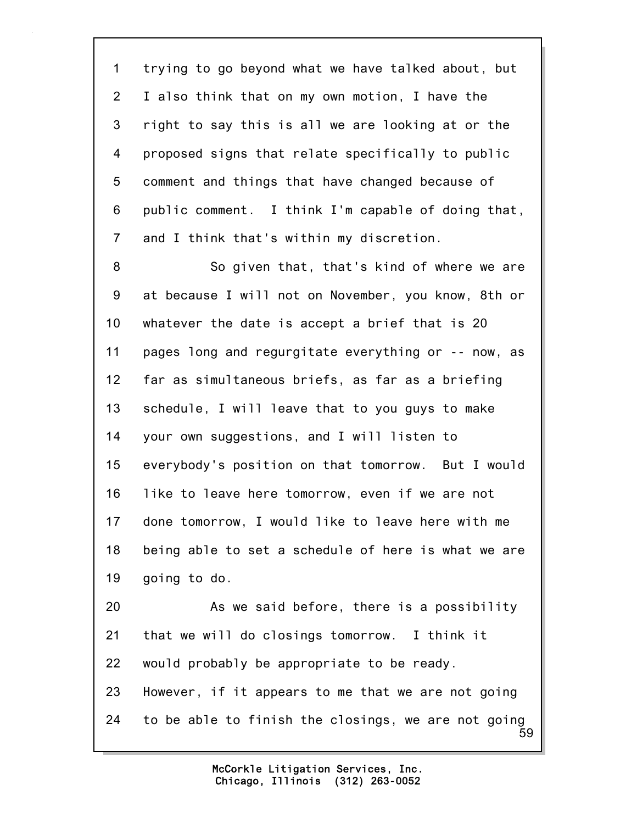1 trying to go beyond what we have talked about, but 2 I also think that on my own motion, I have the 3 right to say this is all we are looking at or the 4 proposed signs that relate specifically to public 5 comment and things that have changed because of 6 public comment. I think I'm capable of doing that, 7 and I think that's within my discretion. 8 So given that, that's kind of where we are 9 at because I will not on November, you know, 8th or 10 whatever the date is accept a brief that is 20 11 pages long and regurgitate everything or -- now, as 12 far as simultaneous briefs, as far as a briefing 13 schedule, I will leave that to you guys to make 14 your own suggestions, and I will listen to 15 everybody's position on that tomorrow. But I would 16 like to leave here tomorrow, even if we are not 17 done tomorrow, I would like to leave here with me 18 being able to set a schedule of here is what we are 19 going to do. 20 As we said before, there is a possibility 21 that we will do closings tomorrow. I think it 22 would probably be appropriate to be ready.

59 23 However, if it appears to me that we are not going 24 to be able to finish the closings, we are not going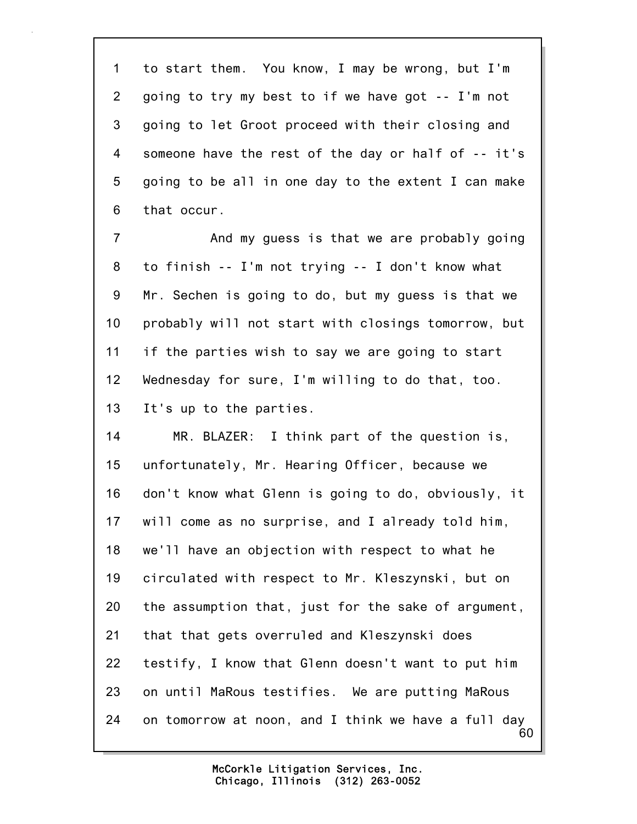1 to start them. You know, I may be wrong, but I'm 2 going to try my best to if we have got -- I'm not 3 going to let Groot proceed with their closing and 4 someone have the rest of the day or half of -- it's 5 going to be all in one day to the extent I can make 6 that occur.

7 And my guess is that we are probably going 8 to finish -- I'm not trying -- I don't know what 9 Mr. Sechen is going to do, but my guess is that we 10 probably will not start with closings tomorrow, but 11 if the parties wish to say we are going to start 12 Wednesday for sure, I'm willing to do that, too. 13 It's up to the parties.

60 14 MR. BLAZER: I think part of the question is, 15 unfortunately, Mr. Hearing Officer, because we 16 don't know what Glenn is going to do, obviously, it 17 will come as no surprise, and I already told him, 18 we'll have an objection with respect to what he 19 circulated with respect to Mr. Kleszynski, but on 20 the assumption that, just for the sake of argument, 21 that that gets overruled and Kleszynski does 22 testify, I know that Glenn doesn't want to put him 23 on until MaRous testifies. We are putting MaRous 24 on tomorrow at noon, and I think we have a full day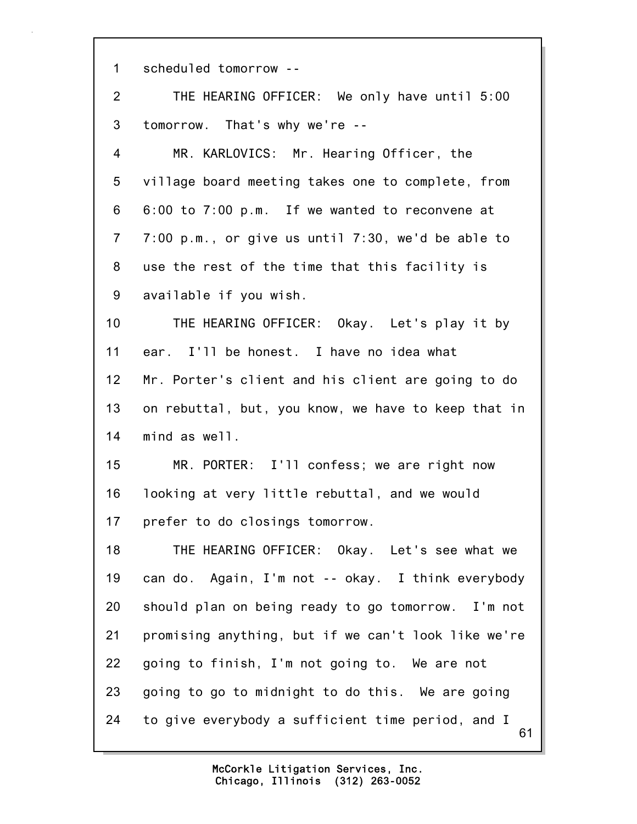61 1 scheduled tomorrow -- 2 THE HEARING OFFICER: We only have until 5:00 3 tomorrow. That's why we're -- 4 MR. KARLOVICS: Mr. Hearing Officer, the 5 village board meeting takes one to complete, from 6 6:00 to 7:00 p.m. If we wanted to reconvene at 7 7:00 p.m., or give us until 7:30, we'd be able to 8 use the rest of the time that this facility is 9 available if you wish. 10 THE HEARING OFFICER: Okay. Let's play it by 11 ear. I'll be honest. I have no idea what 12 Mr. Porter's client and his client are going to do 13 on rebuttal, but, you know, we have to keep that in 14 mind as well. 15 MR. PORTER: I'll confess; we are right now 16 looking at very little rebuttal, and we would 17 prefer to do closings tomorrow. 18 THE HEARING OFFICER: Okay. Let's see what we 19 can do. Again, I'm not -- okay. I think everybody 20 should plan on being ready to go tomorrow. I'm not 21 promising anything, but if we can't look like we're 22 going to finish, I'm not going to. We are not 23 going to go to midnight to do this. We are going 24 to give everybody a sufficient time period, and I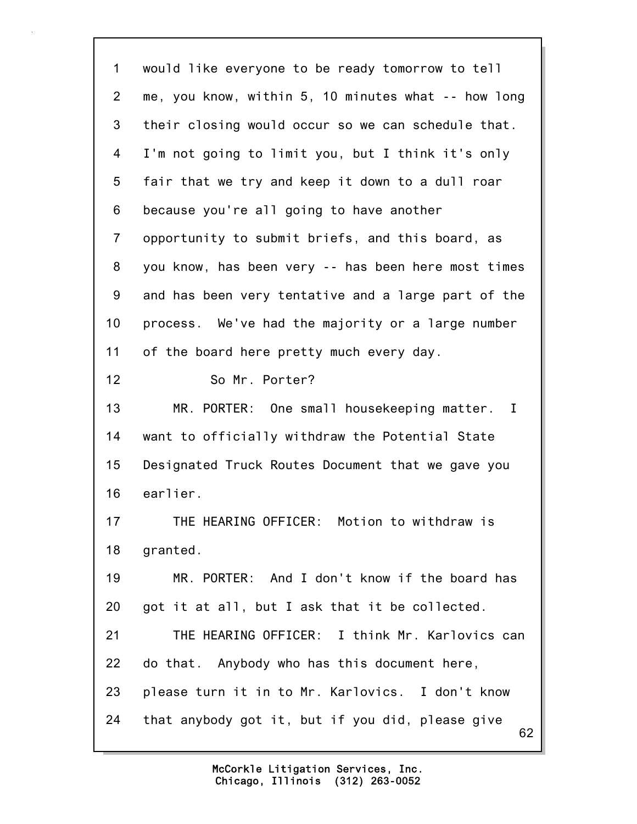62 1 would like everyone to be ready tomorrow to tell 2 me, you know, within 5, 10 minutes what -- how long 3 their closing would occur so we can schedule that. 4 I'm not going to limit you, but I think it's only 5 fair that we try and keep it down to a dull roar 6 because you're all going to have another 7 opportunity to submit briefs, and this board, as 8 you know, has been very -- has been here most times 9 and has been very tentative and a large part of the 10 process. We've had the majority or a large number 11 of the board here pretty much every day. 12 So Mr. Porter? 13 MR. PORTER: One small housekeeping matter. I 14 want to officially withdraw the Potential State 15 Designated Truck Routes Document that we gave you 16 earlier. 17 THE HEARING OFFICER: Motion to withdraw is 18 granted. 19 MR. PORTER: And I don't know if the board has 20 got it at all, but I ask that it be collected. 21 THE HEARING OFFICER: I think Mr. Karlovics can 22 do that. Anybody who has this document here, 23 please turn it in to Mr. Karlovics. I don't know 24 that anybody got it, but if you did, please give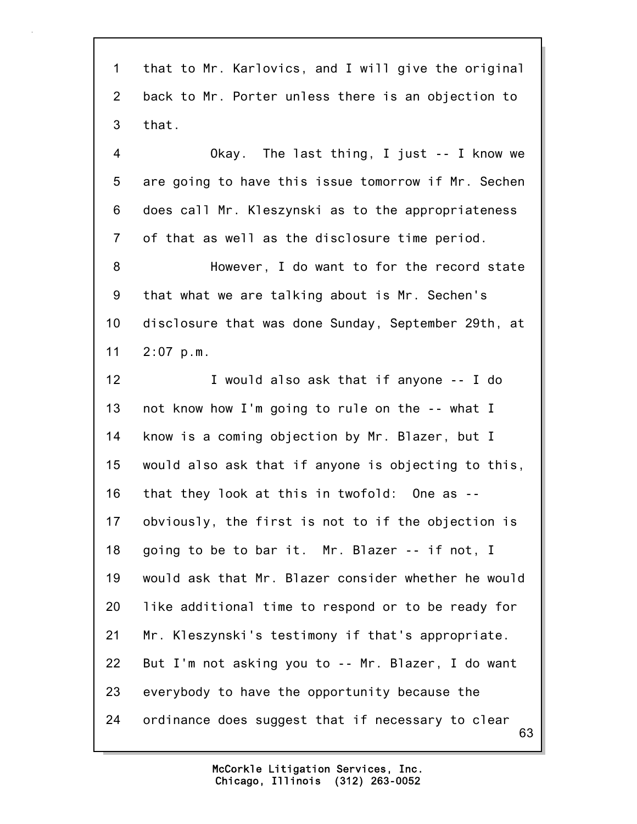63 1 that to Mr. Karlovics, and I will give the original 2 back to Mr. Porter unless there is an objection to 3 that. 4 Okay. The last thing, I just -- I know we 5 are going to have this issue tomorrow if Mr. Sechen 6 does call Mr. Kleszynski as to the appropriateness 7 of that as well as the disclosure time period. 8 However, I do want to for the record state 9 that what we are talking about is Mr. Sechen's 10 disclosure that was done Sunday, September 29th, at 11 2:07 p.m. 12 I would also ask that if anyone -- I do 13 not know how I'm going to rule on the -- what I 14 know is a coming objection by Mr. Blazer, but I 15 would also ask that if anyone is objecting to this, 16 that they look at this in twofold: One as -- 17 obviously, the first is not to if the objection is 18 going to be to bar it. Mr. Blazer -- if not, I 19 would ask that Mr. Blazer consider whether he would 20 like additional time to respond or to be ready for 21 Mr. Kleszynski's testimony if that's appropriate. 22 But I'm not asking you to -- Mr. Blazer, I do want 23 everybody to have the opportunity because the 24 ordinance does suggest that if necessary to clear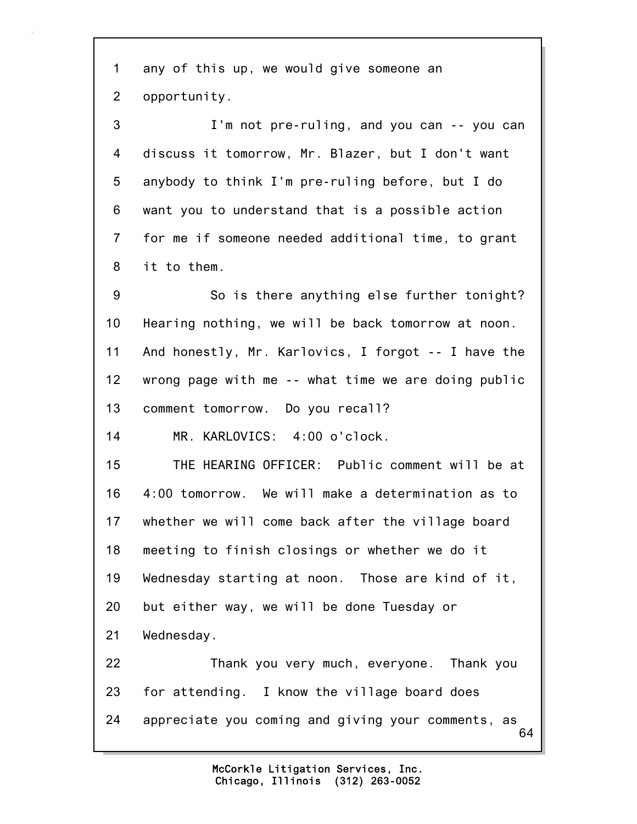1 any of this up, we would give someone an 2 opportunity. 3 I'm not pre-ruling, and you can -- you can

4 discuss it tomorrow, Mr. Blazer, but I don't want 5 anybody to think I'm pre-ruling before, but I do 6 want you to understand that is a possible action 7 for me if someone needed additional time, to grant 8 it to them.

9 So is there anything else further tonight? 10 Hearing nothing, we will be back tomorrow at noon. 11 And honestly, Mr. Karlovics, I forgot -- I have the 12 wrong page with me -- what time we are doing public 13 comment tomorrow. Do you recall?

14 MR. KARLOVICS: 4:00 o'clock.

15 THE HEARING OFFICER: Public comment will be at 16 4:00 tomorrow. We will make a determination as to 17 whether we will come back after the village board 18 meeting to finish closings or whether we do it 19 Wednesday starting at noon. Those are kind of it, 20 but either way, we will be done Tuesday or 21 Wednesday. 22 Thank you very much, everyone. Thank you

64 23 for attending. I know the village board does 24 appreciate you coming and giving your comments, as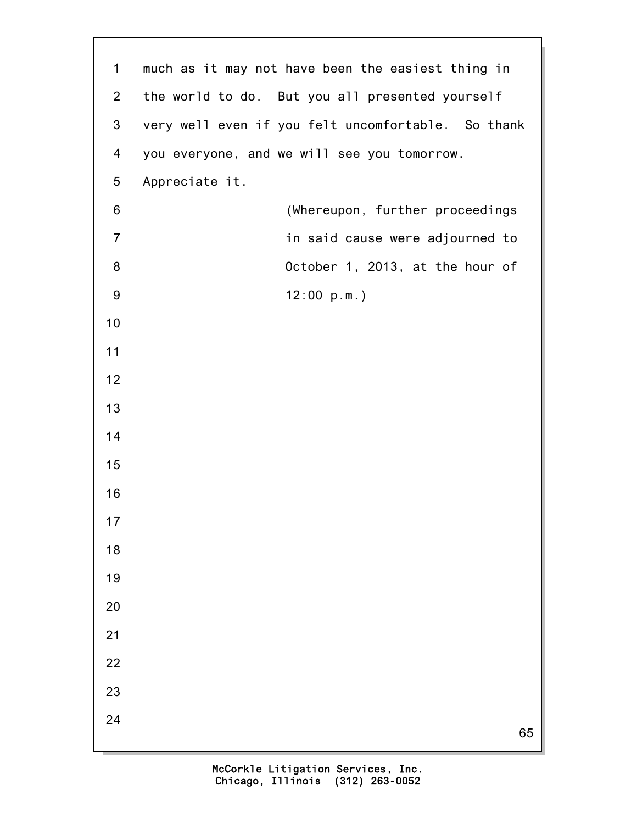| $\mathbf 1$    | much as it may not have been the easiest thing in  |
|----------------|----------------------------------------------------|
| $\overline{2}$ | the world to do. But you all presented yourself    |
| $\mathfrak{B}$ | very well even if you felt uncomfortable. So thank |
| 4              | you everyone, and we will see you tomorrow.        |
| $\overline{5}$ | Appreciate it.                                     |
| 6              | (Whereupon, further proceedings                    |
| $\overline{7}$ | in said cause were adjourned to                    |
| 8              | October 1, 2013, at the hour of                    |
| 9              | 12:00 p.m.                                         |
| 10             |                                                    |
| 11             |                                                    |
| 12             |                                                    |
| 13             |                                                    |
| 14             |                                                    |
| 15             |                                                    |
| 16             |                                                    |
| 17             |                                                    |
| 18             |                                                    |
| 19             |                                                    |
| 20             |                                                    |
| 21             |                                                    |
| 22             |                                                    |
| 23             |                                                    |
| 24             | 65                                                 |
|                |                                                    |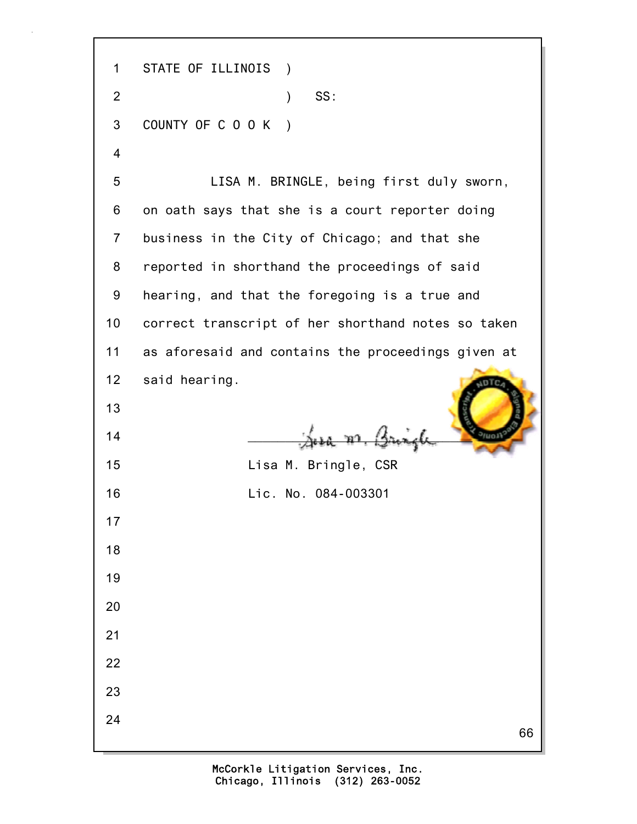66 1 STATE OF ILLINOIS ) 2 ) SS: 3 COUNTY OF C O O K ) 4 5 LISA M. BRINGLE, being first duly sworn, 6 on oath says that she is a court reporter doing 7 business in the City of Chicago; and that she 8 reported in shorthand the proceedings of said 9 hearing, and that the foregoing is a true and 10 correct transcript of her shorthand notes so taken 11 as aforesaid and contains the proceedings given at 12 said hearing. 13  $\frac{14}{\sqrt{2}}$   $\frac{14}{\sqrt{2}}$   $\frac{14}{\sqrt{2}}$ 15 Lisa M. Bringle, CSR 16 Lic. No. 084-003301 17 18 19 20 21 22 23 24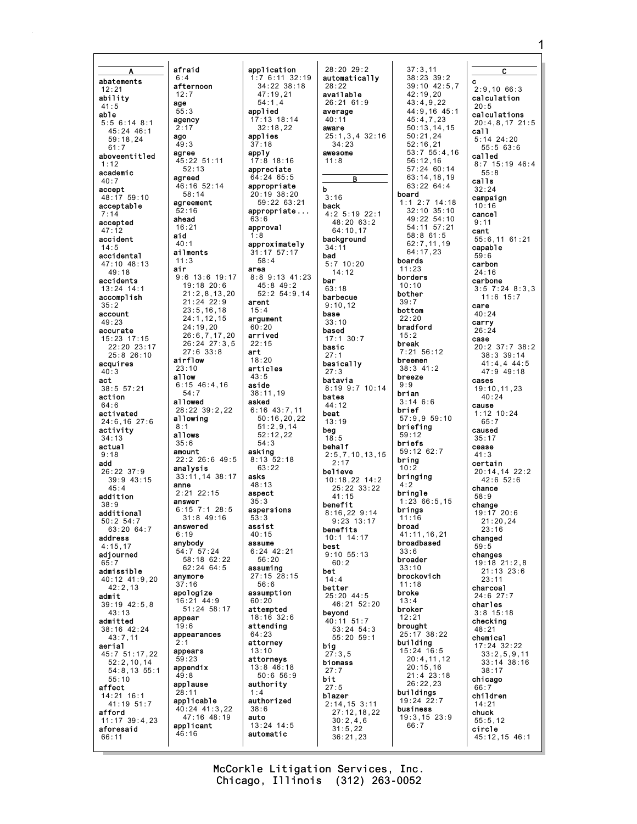A abatements 12:21 ability 41:5 able 5:5 6:14 8:1 45:24 46:1 59:18,24 61:7 aboveentitled 1:12 academic  $40.7$ accept 48:17 59:10 acceptable 7:14 accepted 47:12 accident 14:5 accidental 47:10 48:13 49:18 accidents 13:24 14:1 accomplish 35:2 account 49:23 accurate 15:23 17:15 22:20 23:17 25:8 26:10 acquires 40:3 act 38:5 57:21 action  $64.6$ activated 24:6,16 27:6 activity 34:13 actual 9:18 add 26:22 37:9 39:9 43:15 45:4 addition 38:9 additional 50:2 54:7 63:20 64:7 address 4:15,17 adiourned 65:7 admissible 40:12 41:9,20 42:2,13 admit 39:19 42:5,8 43:13 admitted 38:16 42:24 43:7,11 aerial 45:7 51:17,22  $52:2,10,14$ 54:8,13 55:1 55:10 affect 14:21 16:1 41:19 51:7 afford 11:17 39:4,23 aforesaid 66:11 afraid 6:4 afternoon 12:7 age 55:3 agency 2:17 ago  $49.3$ agree agreed agreement ahead 16:21 aid 40:1 ailments 11:3 air airflow 23:10 allow allowed allowing 8:1 allows 35:6 amount analysis anne 2:21 22:15 answer answered  $6.19$ anybody 54:7 57:24 anymore 37:16 apologize 16:21 44:9 appear appearances appears appendix applause 28 applicable applicant 46:16

 $52 \cdot 13$ 

58:14

24:19,20

54:7

19:6

2:1

59:23

49:8

 $52.16$ 

45:22 51:11 46:16 52:14 9:6 13:6 19:17 19:18 20:6 21:2,8,13,20 21:24 22:9 23:5,16,18 24:1,12,15 26:6,7,17,20 26:24 27:3,5 27:6 33:8 6:15 46:4,16 28:22 39:2,22 22:2 26:6 49:5 33:11,14 38:17 6:15 7:1 28:5 31:8 49:16 58:18 62:22 62:24 64:5 51:24 58:17 40:24 41:3,22 47:16 48:19 application 1:7 6:11 32:19 34:22 38:18 47:19,21 54:1,4 applied 17:13 18:14 32:18,22 applies 37:18 apply 17:8 18:16 appreciate 64:24 65:5 appropriate 20:19 38:20 59:22 63:21 appropriate ... 63:6 approval 1:8 approximately 31:17 57:17 58:4 area 8:8 9:13 41:23 45:8 49:2 52:2 54:9,14 arent 15:4 argument 60:20 arrived 22:15 art  $18:20$ articles  $43:5$ aside 38:11,19 asked 6:16 43:7,11 50:16,20,22 51:2,9,14 52:12,22 54:3 asking 8:13 52:18  $63.22$ asks  $48.13$ aspect 35:3 aspersions 53:3 assist  $40.15$ assume 6:24 42:21  $56:20$ assuming 27:15 28:15 56:6 assumption 60:20 attempted 18:16 32:6 attending 64:23 attorney 13:10 attorneys 13:8 46:18 50:6 56:9 authority 1:4 authorized 38:6 auto 13:24 14:5 automatic

28:20 29:2 automatically 28:22 available 26:21 61:9 average  $40.11$ aware 25:1,3,4 32:16 34:23 awesome 11:8 B b 3:16 back 4:2 5:19 22:1 48:20 63:2 64:10,17 background 34:11 bad 5:7 10:20 14:12 bar 63:18 barbecue 9:10,12 base 33:10 based 17:1 30:7 basic 27:1 basically 27:3 batavia 8:19 9:7 10:14 bates  $44.12$ beat 13:19 beg 18:5 behalf 2:5,7,10,13,15  $2.17$ believe 10:18,22 14:2 25:22 33:22 41:15 benefit 8:16,22 9:14 9:23 13:17 benefits 10:1 14:17 best 9:10 55:13 60:2 bet 14:4 better 25:20 44:5 46:21 52:20 beyond 40:11 51:7 53:24 54:3 55:20 59:1 big 27:3,5 biomass 27:7 bit 27:5 blazer 2:14,15 3:11 27:12,18,22 30:2,4,6  $31:5,22$ 36:21,23

37:3,11 38:23 39:2 39:10 42:5,7 42:19,20 43:4,9,22 44:9,16 45:1  $45:4.7.23$ 50:13,14,15 50:21,24  $52.16,21$ 53:7 55:4,16 56:12,16 57:24 60:14 63:14,18,19 63:22 64:4 board 1:1 2:7 14:18 32:10 35:10 49:22 54:10 54:11 57:21 58:8 61:5 62:7,11,19 64:17,23 boards 11:23 borders 10:10 bother 39:7 bottom 22:20 bradford 15:2 break 7:21 56:12 breemen 38:3 41:2 breeze 9:9 brian 3:14 6:6 brief 57:9,9 59:10 briefing 59:12 briefs 59:12 62:7 bring  $10.2$ bringing  $4.2$ bringle 1:23 66:5,15 brings 11:16 broad 41:11,16,21 broadbased 33:6 broader 33:10 brockovich 11:18 broke 13:4 broker 12:21 brought 25:17 38:22 building 15:24 16:5 20:4,11,12 20:15,16 21:4 23:18 26:22,23 buildings 19:24 22:7 business 19:3,15 23:9 66:7

C c 2:9,10 66:3 calculation 20:5 calculations 20:4,8,17 21:5 call 5:14 24:20 55:5 63:6 called 8:7 15:19 46:4 55:8 calls 32:24 campaign 10:16 cancel 9:11 cant 55:6,11 61:21 capable 59:6 carbon 24:16 carbone 3:5 7:24 8:3,3 11:6 15:7 care 40:24 carry 26:24 case 20:2 37:7 38:2 38:3 39:14 41:4,4 44:5 47:9 49:18 cases  $19:10,11,23$ 40:24 cause 1:12 10:24  $65.7$ caused 35:17 cease  $41:3$ certain 20:14,14 22:2  $42.6$  52.6 chance 58:9 change 19:17 20:6 21:20,24 23:16 changed 59:5 changes 19:18 21:2,8 21:13 23:6 23:11 charcoal 24:6 27:7 charles 3:8 15:18 checking 48:21 chemical 17:24 32:22 33:2,5,9,11 33:14 38:16 38:17 chicago 66:7 children 14:21 chuck 55:5,12 circle 45:12,15 46:1

1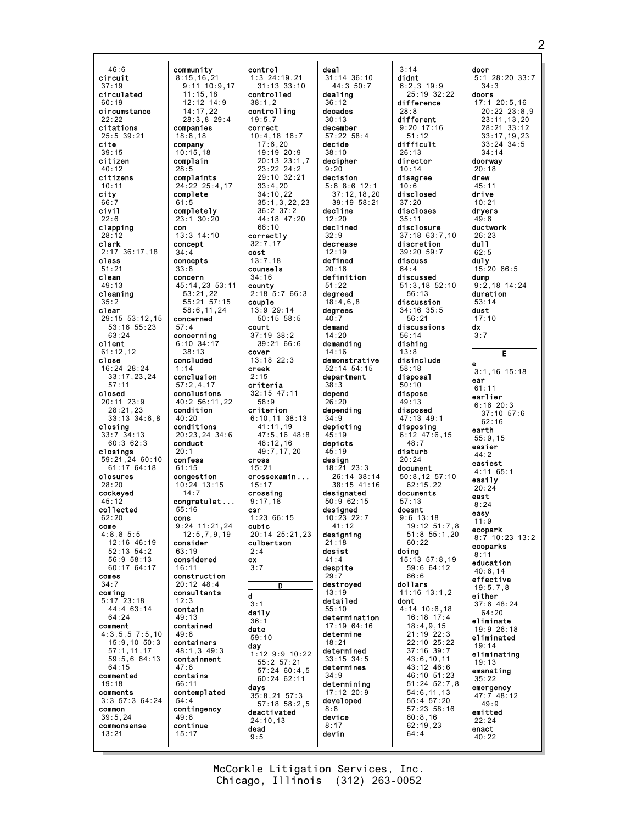46:6 circuit 37:19 circulated 60:19 circumstance  $22.22$ citations 25:5 39:21 cite 39:15 citizen 40:12 citizens 10:11 city 66:7 civil  $22:6$ clapping 28:12 clark 2:17 36:17,18 class 51:21 clean 49:13 cleaning 35:2 clear 29:15 53:12,15 53:16 55:23 63:24 client 61:12,12 close 16:24 28:24 33:17,23,24 57:11 closed 20:11 23:9 28:21,23 33:13 34:6,8 closing 33:7 34:13 60:3 62:3 closings 59:21,24 60:10  $61:17$  64:18 closures  $28.20$ cockeyed 45:12 collected 62:20 come  $4.8,8.5.5$ 12:16 46:19 52:13 54:2 56:9 58:13 60:17 64:17 comes  $34.7$ coming 5:17 23:18 44:4 63:14 64:24 comment 4:3,5,5 7:5,10 15:9,10 50:3 57:1,11,17 59:5,6 64:13 64:15 commented 19:18 comments 3:3 57:3 64:24 common 39:5,24 commonsense 13:21 community 8:15,16,21 companies 18:8,18 company 10:15,18 complain  $28.5$ complaints 24:22 25:4,17 complete 61:5 completely 23:1 30:20 con 13:3 14:10 concept 34:4 concepts 33:8 concern 45:14,23 53:11 concerned 57:4 concerning 6:10 34:17 concluded 1:14 conclusion 57:2,4,17 conclusions 40:2 56:11,22 condition  $40.20$ conditions 20:23,24 34:6 conduct 20:1 confess  $61:15$ congestion 10:24 13:15 congratulat ... 55:16 cons 9:24 11:21,24 consider 63:19 considered 16:11 construction 20:12 48:4 consultants 12:3 contain 49:13 contained 49:8 containers 48:1,3 49:3 containment 47:8 contains 66:11 contemplated 54:4 contingency 49:8 continue 15:17

11:15,18 12:12 14:9 14:17,22 28:3,8 29:4

53:21,22 55:21 57:15 58:6,11,24

38:13

14:7

12:5,7,9,19

9:11 10:9,17 control 1:3 24:19,21 31:13 33:10 controlled 38:1,2 controlling  $19:5,7$ correct 10:4,18 16:7 17:6,20 19:19 20:9 20:13 23:1,7  $23.22 24.2$ 29:10 32:21 33:4,20 34:10,22 35:1,3,22,23 36:2 37:2 44:18 47:20 66:10 correctly 32:7,17 cost  $13:7,18$ counsels 34:16 county 2:18 5:7 66:3 couple 13:9 29:14 50:15 58:5 court 37:19 38:2 39:21 66:6 cover 13:18 22:3 creek  $2.15$ criteria 32:15 47:11 58:9 criterion 6:10,11 38:13 41:11,19 47:5,16 48:8 48:12,16 49:7,17,20 cross 15:21 crossexamin ... 15:17 crossing 9:17,18 csr 1:23 66:15 cubic 20:14 25:21,23 culbertson 2:4 cx 3:7 D d 3:1 daily 36:1 date 59:10 day 1:12 9:9 10:22 55:2 57:21 57:24 60:4,5 60:24 62:11 days 35:8,21 57:3 57:18 58:2,5 deactivated 24:10,13 dead  $9:5$ 

deal 31:14 36:10 44:3 50:7 dealing 36:12 decades 30:13 december 57:22 58:4 decide 38:10 decipher  $9:20$ decision 5:8 8:6 12:1 37:12,18,20 39:19 58:21 decline  $12.20$ declined 32:9 decrease 12:19 defined 20:16 definition 51:22 degreed 18:4,6,8 degrees  $40:7$ demand 14:20 demanding 14:16 demonstrative 52:14 54:15 department 38:3 depend 26:20 depending 34:9 depicting 45:19 depicts 45:19 design 18:21 23:3 26:14 38:14 38:15 41:16 designated 50:9 62:15 designed 10:23 22:7 41:12 designing 21:18 desist  $A1: A$ despite 29:7 destroyed 13:19 detailed 55:10 determination 17:19 64:16 determine 18:21 determined 33:15 34:5 determines 34:9 determining 17:12 20:9 developed 8:8 device 8:17 devin

3:14 didnt 6:2,3 19:9 25:19 32:22 difference 28:8 different 9:20 17:16 51:12 difficult 26:13 director 10:14 disagree 10:6 disclosed 37:20 discloses 35:11 disclosure 37:18 63:7,10 discretion 39:20 59:7 discuss 64:4 discussed 51:3,18 52:10 56:13 discussion 34:16 35:5 56:21 discussions 56:14 dishing 13:8 disinclude 58:18 disposal 50:10 dispose 49:13 disposed 47:13 49:1 disposing 6:12 47:6,15  $48:7$ disturb 20:24 document 50:8,12 57:10 62:15,22 documents 57:13 doesnt 9:6 13:18 19:12 51:7,8 51:8 55:1,20  $60.22$ doing 15:13 57:8,19 59:6 64:12 66:6 dollars 11:16 13:1,2 dont 4:14 10:6,18 16:18 17:4 18:4,9,15 21:19 22:3 22:10 25:22 37:16 39:7 43:6,10,11 43:12 46:6 46:10 51:23 51:24 52:7,8 54:6,11,13 55:4 57:20 57:23 58:16 60:8,16 62:19,23 64:4

door 5:1 28:20 33:7 34:3 doors 17:1 20:5,16 20:22 23:8,9  $23 \cdot 11$ , 13, 20 28:21 33:12 33:17,19,23 33:24 34:5 34:14 doorway  $20.18$ drew 45:11 drive 10:21 dryers  $49.6$ ductwork 26:23 dull 62:5 duly 15:20 66:5 dump 9:2,18 14:24 duration 53:14 dust 17:10 dx 3:7 E e 3:1,16 15:18 ear  $61:11$ earlier 6:16 20:3  $37:10$  57:6  $62.16$ earth 55:9,15 easier  $44.2$ easiest 4:11 65:1 easily 20:24 east 8:24 easy 11:9 ecopark 8:7 10:23 13:2 ecoparks 8:11 education 40:6,14 effective 19:5,7,8 either 37:6 48:24 64:20 eliminate 19:9 26:18 eliminated 19:14 eliminating 19:13 emanating 35:22 emergency 47:7 48:12 49:9 emitted 22:24 enact 40:22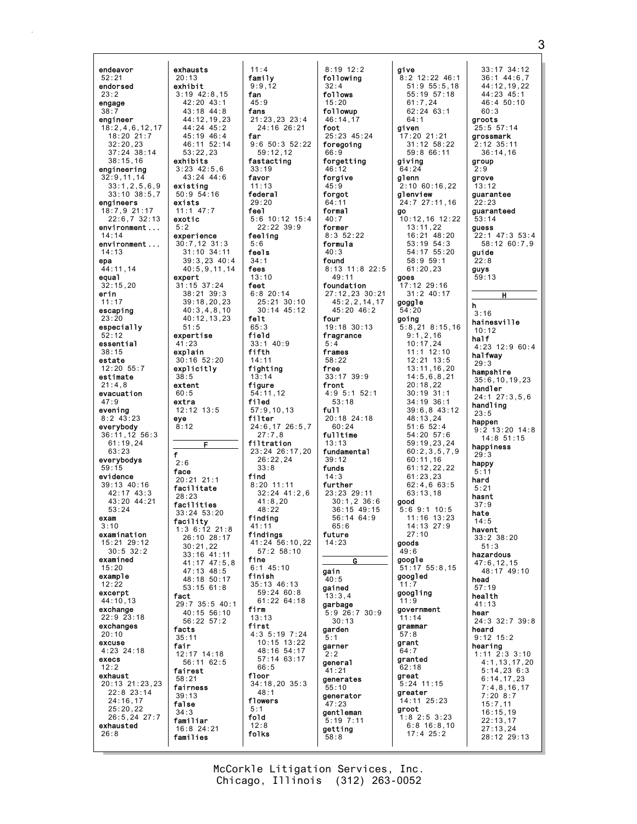endeavor 52:21 endorsed 23:2 engage  $38:7$ engineer 18:2,4,6,12,17 18:20 21:7  $32:20,23$ 37:24 38:14 38:15,16 engineering 32:9,11,14 33:1,2,5,6,9 33:10 38:5,7 engineers 18:7,9 21:17 22:6,7 32:13 environment ...  $14.14$ environment ... 14:13 epa 44:11,14 equal 32:15,20 erin 11:17 escaping 23:20 especially 52:12 essential 38:15 estate 12:20 55:7 estimate 21:4,8 evacuation 47:9 evening 8:2 43:23 everybody 36:11,12 56:3  $61:19,24$ 63:23 everybodys 59:15 evidence 39:13 40:16 42:17 43:3 43:20 44:21 53:24 exam  $3.10$ examination 15:21 29:12 30:5 32:2 examined 15:20 example 12:22 excerpt 44:10,13 exchange 22:9 23:18 exchanges 20:10 excuse 4:23 24:18 execs 12:2 exhaust 20:13 21:23,23 22:8 23:14 24:16,17 25:20,22 26:5,24 27:7 exhausted 26:8 exhausts 20:13 exhibit exhibits existing exists exotic 5:2 expert 41:23 explain 38:5 extent 60:5 extra eye 8:12 f  $2:6$ face 28:23 fact facts 35:11 fair fairest 58:21 fairness 39:13 false 34:3 familiar families

3:19 42:8,15 42:20 43:1 43:18 44:8 44:12,19,23 44:24 45:2 45:19 46:4 46:11 52:14 53:22,23 3:23 42:5,6 43:24 44:6 50:9 54:16 11:1 47:7 experience 30:7,12 31:3 31:10 34:11 39:3,23 40:4 40:5,9,11,14 31:15 37:24 38:21 39:3 39:18,20,23 40:3,4,8,10 40:12,13,23 expertise 30:16 52:20 explicitly 12:12 13:5 F 20:21 21:1 facilitate facilities 33:24 53:20 facility 1:3 6:12 21:8 26:10 28:17 30:21,22 33:16 41:11 41:17 47:5,8 47:13 48:5 48:18 50:17 53:15 61:8 29:7 35:5 40:1 40:15 56:10 56:22 57:2 12:17 14:18 56:11 62:5 16:8 24:21 11:4 family 9:9,12 fan 45:9 fans 21:23,23 23:4 24:16 26:21 far 9:6 50:3 52:22 59:12,12 fastacting 33:19 favor 11:13 federal 29:20 feel 5:6 10:12 15:4 22:22 39:9 feeling 5:6 feels 34:1 fees 13:10 feet 6:8 20:14 25:21 30:10 30:14 45:12 felt 65:3 field 33:1 40:9 fifth 14:11 fighting 13:14 figure 54:11,12 filed 57:9,10,13 filter 24:6,17 26:5,7 27:7,8 filtration 23:24 26:17,20 26:22,24 33:8 find 8:20 11:11 32:24 41:2,6 41:8,20  $48.22$ finding 41:11 findings 41:24 56:10,22 57:2 58:10 fine 6:1 45:10 finish 35:13 46:13 59:24 60:8 61:22 64:18 firm 13:13 first 4:3 5:19 7:24 10:15 13:22  $48.16$  54.17 57:14 63:17 66:5 floor 34:18,20 35:3 48:1 flowers 5:1 fold 12:8 folks

51:5

8:19 12:2 following  $32 \cdot 4$ follows 15:20 followup  $46 \cdot 14$ , 17 foot 25:23 45:24 foregoing 66:9 forgetting 46:12 forgive 45:9 forgot 64:11 formal  $40:7$ former 8:3 52:22 formula 40:3 found 8:13 11:8 22:5 49:11 foundation 27:12,23 30:21 45:2,2,14,17 45:20 46:2 four 19:18 30:13 fragrance 5:4 frames 58:22 free 33:17 39:9 front 4:9 5:1 52:1 53:18 full 20:18 24:18 60:24 fulltime 13:13 fundamental 39:12 funds 14:3 further 23:23 29:11 30:1,2 36:6 36:15 49:15 56:14 64:9  $65.6$ future 14:23 G gain  $40:5$ gained 13:3,4 garbage 5:9 26:7 30:9 30:13 garden 5:1 garner 2:2 general 41:21 generates 55:10 generator 47:23 gentleman 5:19 7:11 getting 58:8

give 8:2 12:22 46:1 51:9 55:5,18 55:19 57:18 61:7,24 62:24 63:1  $64:1$ given 17:20 21:21 31:12 58:22 59:8 66:11 giving 64:24 glenn 2:10 60:16,22 glenview 24:7 27:11,16 go 10:12,16 12:22 13:11,22 16:21 48:20 53:19 54:3 54:17 55:20 58:9 59:1 61:20,23 goes 17:12 29:16 31:2 40:17 goggle 54:20 going 5:8,21 8:15,16 9:1,2,16 10:17,24 11:1 12:10 12:21 13:5 13:11,16,20 14:5,6,8,21 20:18,22 30:19 31:1 34:19 36:1 39:6,8 43:12 48:13,24 51:6 52:4 54:20 57:6 59:19,23,24 60:2,3,5,7,9 60:11,16 61:12,22,22 61:23,23 62:4,6 63:5 63:13,18 good  $5:6$  9:1 10:5 11:16 13:23 14:13 27:9  $27:10$ goods 49:6 google 51:17 55:8,15 googled 11:7 googling 11:9 government 11:14 grammar 57:8 grant .<br>64 · 7 granted  $62:18$ great  $5:24$  11:15 greater 14:11 25:23 groot 1:8 2:5 3:23 6:8 16:8,10 17:4 25:2

33:17 34:12 36:1 44:6,7 44:12,19,22 44:23 45:1 46:4 50:10 60:3 groots 25:5 57:14 grossmark 2:12 35:11 36:14,16 group  $\overline{2}\cdot 9$ grove 13:12 guarantee 22:23 guaranteed 53:14 guess 22:1 47:3 53:4 58:12 60:7,9 guide 22:8 guys 59:13 H h  $3.16$ hainesville 10:12 half 4:23 12:9 60:4 halfway 29:3 hampshire 35:6,10,19,23 handler 24:1 27:3,5,6 handling 23:5 happen 9:2 13:20 14:8 14:8 51:15 happiness  $29.3$ happy 5:11 hard 5:21 hasnt 37:9 hate 14:5 havent 33:2 38:20 51:3 hazardous 47:6,12,15  $48.17$   $49.10$ head 57:19 health 41:13 hear 24:3 32:7 39:8 heard 9:12 15:2 hearing 1:11 2:3 3:10 4:1,13,17,20 5:14,23 6:3 6:14,17,23 7:4,8,16,17 7:20 8:7 15:7,11 16:15,19 22:13,17 27:13,24 28:12 29:13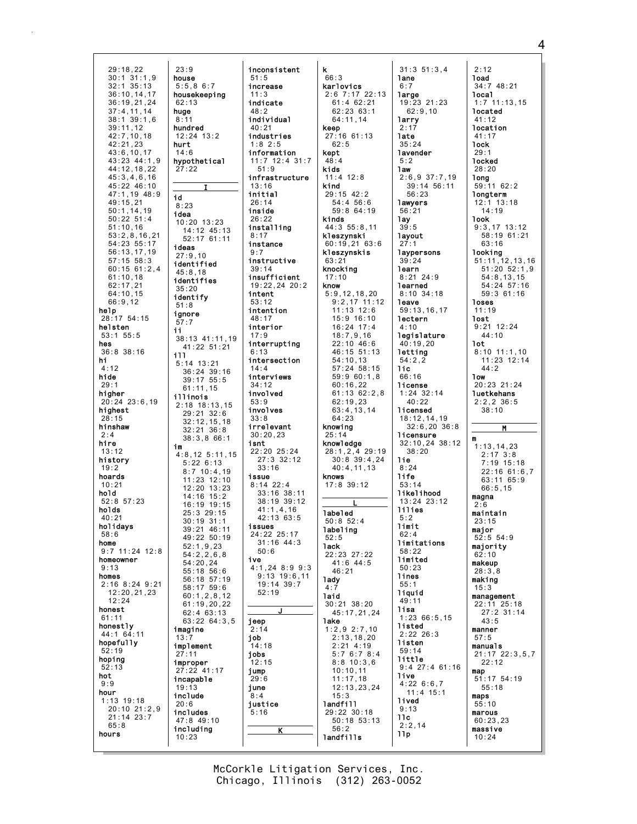29:18,22 30:1 31:1,9 32:1 35:13 36:10,14,17 36:19,21,24 37:4,11,14 38:1 39:1,6 39:11,12 42:7,10,18  $42.21, 23$ 43:6,10,17 43:23 44:1,9 44:12,18,22 45:3,4,6,16 45:22 46:10 47:1,19 48:9 49:15,21 50:1,14,19 50:22 51:4 51:10,16 53:2,8,16,21 54:23 55:17 56:13,17,19 57:15 58:3 60:15 61:2,4 61:10,18 62:17,21 64:10,15 66:9,12 help 28:17 54:15 helsten 53:1 55:5 hes 36:8 38:16 hi 4:12 hide 29:1 higher 20:24 23:6,19 highest 28:15<br>**hinshaw** 2:4 hire 13:12 history  $19.2$ hoards  $10.21$ hold 52:8 57:23 holds 40:21 holidays 58:6 home 9:7 11:24 12:8 homeowner 9:13 homes 2:16 8:24 9:21 12:20,21,23 12:24 honest 61:11 honestly 44:1 64:11 hopefully 52:19 hoping 52:13 hot 9:9 hour 1:13 19:18 20:10 21:2,9 21:14 23:7 65:8 hours 23:9 house 5:5,8 6:7 housekeeping 62:13 huge  $8:11$ hundred 12:24 13:2 hurt 14:6 hypothetical  $27:22$ I id 8:23 idea 10:20 13:23 14:12 45:13 52:17 61:11 ideas 27:9,10 identified 45:8,18 identifies 35:20 identify 51:8 ignore 57:7 ii 38:13 41:11,19 41:22 51:21 ill 5:14 13:21 36:24 39:16 39:17 55:5 61:11,15 illinois 2:18 18:13,15 29:21 32:6 32:12,15,18  $32 \cdot 21$   $36 \cdot 8$ 38:3,8 66:1 im 4:8,12 5:11,15 5:22 6:13 8:7 10:4,19 11:23 12:10 12:20 13:23 14:16 15:2 16:19 19:15 25:3 29:15 30:19 31:1 39:21 46:11 49:22 50:19 52:1,9,23 54:2,2,6,8 54:20,24 55:18 56:6 56:18 57:19 58:17 59:6 60:1,2,8,12 61:19,20,22 62:4 63:13 63:22 64:3,5 imagine 13:7 implement 27:11 improper 27:22 41:17 incapable 19:13 include 20:6 includes 47:8 49:10 including 10:23

inconsistent 51:5 increase 11:3 indicate 48:2 individual 40:21 industries  $1.8$   $2.5$ information 11:7 12:4 31:7 51:9 infrastructure 13:16 initial 26:14 inside 26:22 installing 8:17 instance 9:7 instructive 39:14 insufficient 19:22,24 20:2 intent 53:12 intention 48:17 interior 17:9 interrupting 6:13 intersection 14:4 interviews 34:12 involved 53:9 involves 33:8 irrelevant 30:20,23 isnt 22:20 25:24 27:3 32:12 33:16 issue 8:14 22:4 33:16 38:11 38:19 39:12 41:1,4,16 42:13 63:5 issues 24:22 25:17  $31:16$   $44:3$ 50:6 ive 4:1,24 8:9 9:3 9:13 19:6,11 19:14 39:7 52:19 J jeep  $2:14$ job .<br>14:18 jobs  $12.15$ jump 29:6 june 8:4 justice 5:16 K

k 66:3 karlovics 2:6 7:17 22:13 61:4 62:21 62:23 63:1  $64 \cdot 11$ , 14 keep 27:16 61:13  $62:5$ kept 48:4 kids 11:4 12:8 kind 29:15 42:2 54:4 56:6 59:8 64:19 kinds 44:3 55:8,11 kleszynski 60:19,21 63:6 kleszynskis 63:21 knocking 17:10 know 5:9,12,18,20 9:2,17 11:12 11:13 12:6 15:9 16:10 16:24 17:4 18:7,9,16 22:10 46:6 46:15 51:13 54:10,13 57:24 58:15 59:9 60:1,8 60:16,22 61:13 62:2,8 62:19,23 63:4,13,14  $64.23$ knowing 25:14 knowledge 28:1,2,4 29:19 30:8 39:4,24  $40 \cdot 4$ , 11, 13 knows 17:8 39:12 L labeled 50:8 52:4 labeling 52:5 lack 22:23 27:22 41:6 44:5  $46.21$ lady 4:7 laid 30:21 38:20 45:17,21,24 lake 1:2,9 2:7,10 2:13,18,20 2:21 4:19 5:7 6:7 8:4 8:8 10:3,6 10:10,11 11:17,18 12:13,23,24 15:3 landfill 29:22 30:18 50:18 53:13 56:2 landfills

31:3 51:3,4 lane 6:7 large 19:23 21:23 62:9,10 larry 2:17 late 35:24 lavender 5:2 law 2:6,9 37:7,19 39:14 56:11 56:23 lawyers 56:21 lay 39:5 layout  $27:1$ laypersons 39:24 learn 8:21 24:9 learned 8:10 34:18 leave 59:13,16,17 lectern 4:10 **legislature** 40:19,20 letting 54:2,2 lic 66:16 license 1:24 32:14 40:22 licensed 18:12,14,19 32:6,20 36:8 licensure 32:10,24 38:12  $38:20$ lie  $8.24$ life 53:14 likelihood 13:24 23:12 lilies 5:2 limit  $62.4$ limitations 58:22 limited 50:23 lines 55:1 liquid 49:11 lisa 1:23 66:5,15 listed 2:22 26:3 listen 59:14 little 9:4 27:4 61:16 live 4:22 6:6,7 11:4 15:1 lived 9:13 llc 2:2,14 llp

2:12 load 34:7 48:21 local 1:7 11:13,15 located  $41:12$ location 41:17 lock 29:1 locked 28:20 long 59:11 62:2 longterm 12:1 13:18 14:19 look 9:3,17 13:12 58:19 61:21 63:16 looking 51:11,12,13,16 51:20 52:1,9 54:8,13,15 54:24 57:16 59:3 61:16 loses 11:19 lost 9:21 12:24 44:10 lot 8:10 11:1,10 11:23 12:14 44:2 low 20:23 21:24 **luetkehans** 2:2,2 36:5 38:10 M m 1:13,14,23  $2.17 \cdot 3.8$ 7:19 15:18 22:16 61:6,7 63:11 65:9 66:5,15 magna 2:6 maintain 23:15 major 52:5 54:9 majority 62:10 makeup 28:3,8 making 15:3 management 22:11 25:18 27:2 31:14 43:5 manner 57:5 manuals 21:17 22:3,5,7 22:12 map 51:17 54:19 55:18 maps 55:10 marous 60:23,23 massive 10:24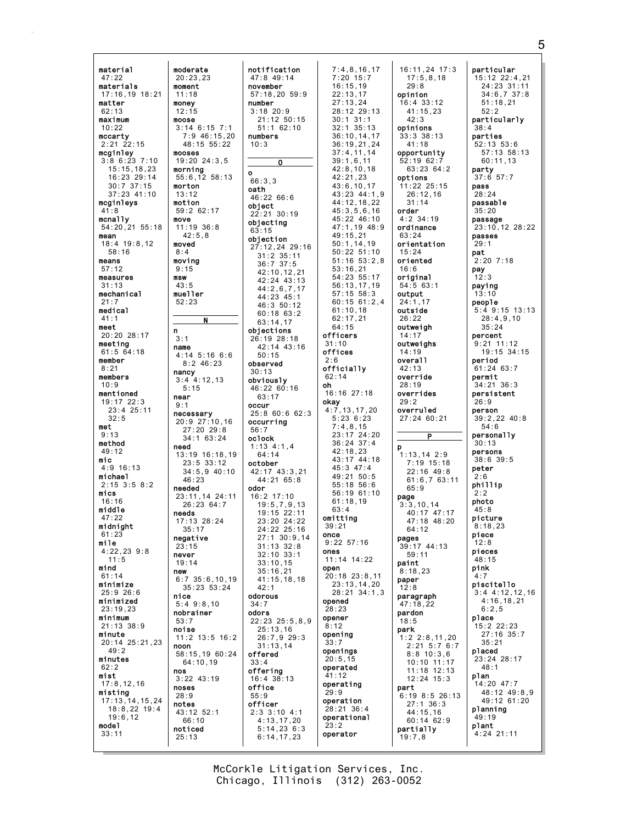material 47:22 materials 17:16,19 18:21 matter 62:13 maximum 10:22 mccarty  $2:21$   $22:15$ mcginley 3:8 6:23 7:10 15:15,18,23 16:23 29:14 30:7 37:15 37:23 41:10 mcginleys  $41.8$ mcnally 54:20,21 55:18 mean 18:4 19:8,12 58:16 means 57:12 measures 31:13 mechanical 21:7 medical 41:1 meet 20:20 28:17 meeting 61:5 64:18 member 8:21 members 10:9 mentioned 19:17 22:3 23:4 25:11  $32.5$ met 9:13 method 49:12 mic 4:9 16:13 michael 2:15 3:5 8:2 mics 16:16 middle 47:22 midnight  $61.23$ mile 4:22,23 9:8 11:5 mind 61:14 minimize 25:9 26:6 minimized 23:19,23 minimum 21:13 38:9 minute 20:14 25:21,23  $49.2$ minutes 62:2 mist 17:8,12,16 misting 17:13,14,15,24 18:8,22 19:4 19:6,12 model 33:11 moderate 20:23,23 moment 11:18 money 12:15 moose 3:14 6:15 7:1 mooses 19:20 24:3,5 morning 55:6,12 58:13 morton 13:12 motion 59:2 62:17 move 11:19 36:8 42:5,8 moved 8:4 moving 9:15 msw 43:5 mueller 52:23 n 3:1 name 4:14 5:16 6:6 8:2 46:23 nancy 3:4 4:12,13 5:15 near  $9:1$ necessary 20:9 27:10,16 27:20 29:8 34:1 63:24 need 13:19 16:18,19 23:5 33:12 needed 23:11,14 24:11 26:23 64:7 needs 17:13 28:24 35:17 negative  $23:15$ never 19:14 new 6:7 35:6,10,19 nice 5:4 9:8,10 nobrainer 53:7 noise noon 58:15,19 60:24 64:10,19 nos 3:22 43:19 noses 28:9 notes 43:12 52:1 66:10 noticed 25:13

7:9 46:15,20 48:15 55:22 34:5,9 40:10 35:23 53:24 11:2 13:5 16:2 notification 47:8 49:14 november 57:18,20 59:9 number 3:18 20:9 21:12 50:15 51:1 62:10 numbers  $10.3$  $\overline{\mathbf{o}}$ o 66:3,3 oath 46:22 66:6 object 22:21 30:19 objecting 63:15 objection 27:12,24 29:16 31:2 35:11 36:7 37:5 42:10,12,21 42:24 43:13 44:2,6,7,17 44:23 45:1 46:3 50:12 60:18 63:2 63:14,17 objections 26:19 28:18 42:14 43:16 50:15 observed 30:13 obviously 46:22 60:16 63:17 occur 25:8 60:6 62:3 occurring 56:7 oclock 1:13 4:1,4 64:14 october 42:17 43:3,21 44:21 65:8 odor 16:2 17:10 19:5,7,9,13 19:15 22:11 23:20 24:22 24:22 25:16 27:1 30:9,14 31:13 32:8 32:10 33:1 33:10,15 35:16,21 41:15,18,18 42:1 odorous 34:7 odors 22:23 25:5,8,9 25:13,16 26:7,9 29:3  $31:13,14$ offered 33:4 offering 16:4 38:13 office 55:9 officer 2:3 3:10 4:1 4:13,17,20 5:14,23 6:3 6:14,17,23

N

 $46.23$ 

7:4,8,16,17 7:20 15:7 16:15,19 22:13,17 27:13,24 28:12 29:13 30:1 31:1 32:1 35:13 36:10,14,17  $36.19,21,24$ 37:4,11,14 39:1,6,11  $42.8, 10, 18$ 42:21,23 43:6,10,17 43:23 44:1,9 44:12,18,22 45:3,5,6,16 45:22 46:10 47:1,19 48:9  $49:15,21$ 50:1,14,19 50:22 51:10 51:16 53:2,8 53:16,21 54:23 55:17 56:13,17,19 57:15 58:3 60:15 61:2,4 61:10,18 62:17,21 64:15 officers 31:10 offices 2:6 officially 62:14 oh 16:16 27:18 okay 4:7,13,17,20 5:23 6:23 7:4,8,15 23:17 24:20 36:24 37:4 42:18,23 43:17 44:18  $45:3$   $47:4$ 49:21 50:5 55:18 56:6 56:19 61:10 61:18,19  $63 \cdot 4$ omitting 39:21 once 9:22 57:16 ones 11:14 14:22 open 20:18 23:8,11 23:13,14,20 28:21 34:1,3 opened 28:23 opener  $8:12$ opening 33:7 openings  $20:5.15$ operated 41:12 operating 29:9 operation 28:21 36:4 operational  $23:2$ operator

16:11,24 17:3 17:5,8,18 29:8 opinion 16:4 33:12 41:15,23  $42.3$ opinions 33:3 38:13 41:18 opportunity 52:19 62:7 63:23 64:2 options 11:22 25:15 26:12,16 31:14 order 4:2 34:19 ordinance  $63:24$ orientation 15:24 oriented 16:6 original 54:5 63:1 output 24:1,17 outside  $26:22$ outweigh 14:17 outweighs 14:19 overall 42:13 override 28:19 overrides 29:2 overruled 27:24 60:21 P p  $1:13,14,2:9$ 7:19 15:18 22:16 49:8 61:6,7 63:11  $65.9$ page 3:3,10,14 40:17 47:17 47:18 48:20 64:12 pages 39:17 44:13 59:11 paint 8:18,23 paper 12:8 paragraph 47:18,22 pardon 18:5 park 1:2 2:8,11,20 2:21 5:7 6:7 8:8 10:3,6  $10 \cdot 10$  11:17 11:18 12:13 12:24 15:3 part 6:19 8:5 26:13 27:1 36:3 44:15,16 60:14 62:9 partially 19:7,8

particular 15:12 22:4,21 24:23 31:11 34:6,7 37:8 51:18,21 52:2 particularly 38:4 parties  $52.13$   $53.6$ 57:13 58:13 60:11,13 party 37:6 57:7 pass 28:24 passable 35:20 passage 23:10,12 28:22 passes 29:1 pat  $2:20$  7:18 pay 12:3 paying 13:10 people 5:4 9:15 13:13 28:4,9,10 35:24 percent 9:21 11:12 19:15 34:15 period 61:24 63:7 permit 34:21 36:3 persistent 26:9 person 39:2,22 40:8 54:6 personally 30:13 persons 38:6 39:5 peter 2:6 phillip 2:2 photo  $45.8$ picture 8:18,23 piece  $12:8$ pieces 48:15 pink 4:7 piscitello 3:4 4:12,12,16 4:16,18,21 6:2,5 place 15:2 22:23 27:16 35:7 35:21 placed 23:24 28:17 48:1 plan 14:20 47:7 48:12 49:8,9 49:12 61:20 planning 49:19 plant 4:24 21:11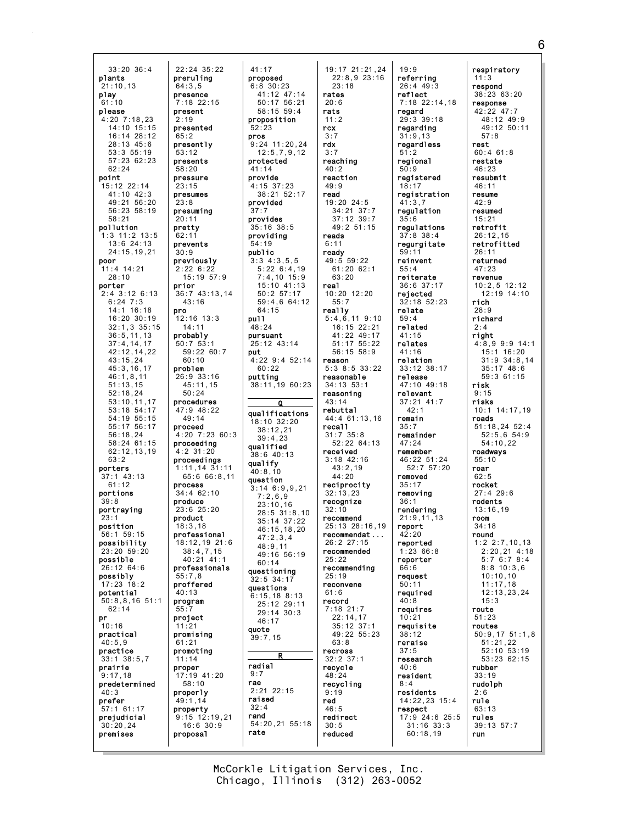33:20 36:4 plants 21:10,13 play  $61:10$ please 4:20 7:18,23 14:10 15:15 16:14 28:12 28:13 45:6 53:3 55:19 57:23 62:23 62:24 point 15:12 22:14 41:10 42:3 49:21 56:20 56:23 58:19 58:21 pollution 1:3 11:2 13:5 13:6 24:13 24:15,19,21 poor 11:4 14:21 28:10 porter 2:4 3:12 6:13 6:24 7:3 14:1 16:18 16:20 30:19 32:1,3 35:15 36:5,11,13 37:4,14,17 42:12,14,22 43:15,24 45:3,16,17 46:1,8,11 51:13,15 52:18,24 53:10,11,17 53:18 54:17 54:19 55:15 55:17 56:17 56:18,24 58:24 61:15 62:12,13,19 63:2 porters 37:1 43:13  $61:12$ portions  $39:8$ portraying  $23:1$ position 56:1 59:15 possibility 23:20 59:20 possible 26:12 64:6 possibly  $17:23$   $18:2$ potential 50:8,8,16 51:1 62:14 pr  $10.16$ practical 40:5,9 practice 33:1 38:5,7 prairie 9:17,18 predetermined 40:3 prefer 57:1 61:17 prejudicial 30:20,24 premises preruling presence present presented presently presents pressure presumes presuming pretty prevents previously prior pro probably problem procedures proceed proceeding proceedings process produce product professional professionals proffered program project promoting proper properly property proposal

22:24 35:22

7:18 22:15

64:3,5

 $2.10$ 

 $65.2$ 

53:12

58:20

23:15

23:8

 $20:11$ 

 $62:11$ 

30:9

2:22 6:22 15:19 57:9

43:16

12:16 13:3 14:11

50:7 53:1 59:22 60:7 60:10

26:9 33:16 45:11,15 50:24

47:9 48:22  $49:14$ 

4:2 31:20

34:4 62:10

 $23.6$   $25.20$ 

38:4,7,15 40:21 41:1

18:3,18

55:7,8

40:13

11:21 promising 61:21

17:19 41:20 58:10

16:6 30:9

11:14

49:1,14

 $55:$ 

36:7 43:13,14 4:20 7:23 60:3  $1:11$ ,  $14$ ,  $31:11$ 65:6 66:8,11 18:12,19 21:6 9:15 12:19,21 41:17 proposed 6:8 30:23 41:12 47:14 50:17 56:21 58:15 59:4 proposition 52:23 pros  $9:24$  11:20.24 12:5,7,9,12 protected 41:14 provide 4:15 37:23 38:21 52:17 provided  $37.7$ provides 35:16 38:5 providing 54:19 public 3:3 4:3,5,5 5:22 6:4,19 7:4,10 15:9 15:10 41:13 50:2 57:17 59:4,6 64:12 64:15 pull 48:24 pursuant 25:12 43:14 put 4:22 9:4 52:14 60:22 putting 38:11,19 60:23 Q qualifications 18:10 32:20 38:12,21 39:4,23 qualified 38:6 40:13 qualify 40:8,10 question 3:14 6:9,9,21 7:2,6,9 23:10,16 28:5 31:8,10 35:14 37:22 46:15,18,20 47:2,3,4  $48.9, 11$ 49:16 56:19 60:14 questioning 32:5 34:17 questions 6:15,18 8:13 25:12 29:11 29:14 30:3 46:17 quote 39:7,15 R radial  $9.7$ rae 2:21 22:15 raised 32:4 rand 54:20,21 55:18 rate

19:17 21:21,24 22:8,9 23:16 23:18 rates 20:6 rats  $11:2$ rcx 3:7 rdx 3:7 reaching  $40:2$ reaction  $49.9$ read 19:20 24:5 34:21 37:7 37:12 39:7 49:2 51:15 reads 6:11 ready 49:5 59:22 61:20 62:1 63:20 real 10:20 12:20 55:7 really 5:4,6,11 9:10 16:15 22:21 41:22 49:17 51:17 55:22 56:15 58:9 reason 5:3 8:5 33:22 reasonable 34:13 53:1 reasoning 43:14 rebuttal 44:4 61:13,16 recall 31:7 35:8 52:22 64:13 received 3:18 42:16 43:2,19 44:20 reciprocity 32:13,23 recognize  $32:10$ recommend 25:13 28:16,19 recommendat ... 26:2 27:15 recommended  $25.22$ recommending 25:19 reconvene 61:6 record 7:18 21:7 22:14,17 35:12 37:1 49:22 55:23 63:8 recross 32:2 37:1 recycle 48:24 recycling 9:19 red 46:5 redirect 30:5 reduced

19:9 referring 26:4 49:3 reflect 7:18 22:14,18 regard 29:3 39:18 regarding 31:9,13 regardless 51:2 regional  $50.9$ registered 18:17 registration 41:3,7 regulation 35:6 regulations 37:8 38:4 regurgitate 59:11 reinvent 55:4 reiterate 36:6 37:17 rejected 32:18 52:23 relate 59:4 related 41:15 relates 41:16 relation 33:12 38:17 release 47:10 49:18 relevant 37:21 41:7 42:1 remain 35:7 remainder 47:24 remember 46:22 51:24  $52:7$   $57:20$ removed 35:17 removing 36:1 rendering 21:9,11,13 report  $42.20$ reported 1:23 66:8 reporter 66:6 request 50:11 required 40:8 requires 10:21 requisite 38:12 reraise  $37:5$ research 40:6 resident 8:4 residents 14:22,23 15:4 respect 17:9 24:6 25:5 31:16 33:3 60:18,19

respiratory 11:3 respond 38:23 63:20 response 42:22 47:7 48:12 49:9 49:12 50:11 57:8 rest 60:4 61:8 restate 46:23 resubmit 46:11 resume 42:9 resumed 15:21 retrofit 26:12,15 retrofitted 26:11 returned 47:23 revenue 10:2,5 12:12 12:19 14:10 rich 28:9 richard 2:4 right 4:8,9 9:9 14:1 15:1 16:20 31:9 34:8,14 35:17 48:6 59:3 61:15 risk 9:15 risks 10:1 14:17,19 roads 51:18,24 52:4 52:5,6 54:9 54:10,22 roadways 55:10 roar 62:5 rocket 27:4 29:6 rodents 13:16,19 room 34:18 round 1:2 2:7,10,13 2:20,21 4:18 5:7 6:7 8:4 8:8 10:3,6 10:10,10 11:17,18 12:13,23,24 15:3 route 51:23 routes 50:9,17 51:1,8 51:21,22  $52 \cdot 10 \cdot 53 \cdot 19$ 53:23 62:15 rubber 33:19 rudolph 2:6 rule 63:13 rules 39:13 57:7 run

6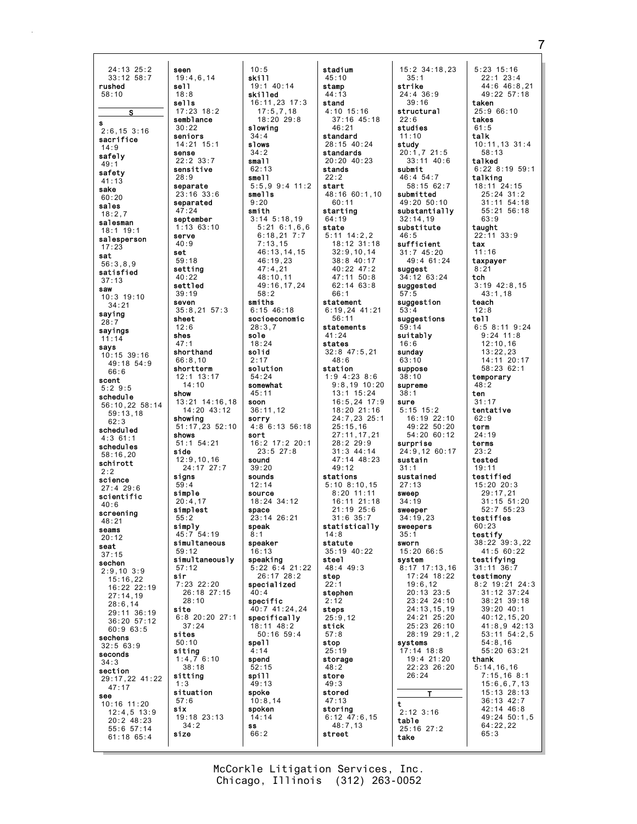24:13 25:2 seen  $33:12$   $58:7$  $19:4.6.14$ rushed sell.  $58.10$  $18:8$ sells  $17:23$   $18:2$  $\overline{\mathbf{s}}$ semblance  $30:22$  $2.6$  15  $3.16$ seniors sacrifice  $14.21$   $15.1$  $14:9$ sense safely  $22:2$  33:7  $49:1$ sensitive safety  $28:9$  $41:13$ separate sake  $23:16.33:6$  $60.20$ separated sales  $A7.2A$  $18:2.7$ september salesman  $18:1$  19:1 serve salesperson  $40:9$  $17:23$ set sat  $59.18$  $56:3.8.9$ setting satisfied 40:22  $37:13$ settled saw  $39:19$  $10:3$  19:10 seven  $34:21$ saving sheet  $28:7$  $12:6$ sayings shes  $11 \cdot 14$  $47:1$ savs shorthand  $10:15$  39:16  $66:8,10$  $49:18$  54:9 shortterm  $66:6$  $12:1$   $13:17$ scent  $5:29:5$ show schedule 56:10.22 58:14  $59:13.18$ showing  $62.3$ scheduled shows  $4:361:1$  $51:1$  54:21 schedules side  $58.1620$  $12:9, 10, 16$ schirott sians science  $59.4$  $27:4$  29:6 simple scientific  $20:4.17$  $40.6$  $simplest$ screening  $55:2$  $18.21$ simply seams  $45.7.54.19$  $20:12$ seat  $59:12$  $37:15$ sechen  $57:12$  $2:9,10$  3:9 sir  $15:16,22$ 16:22 22:19  $27:14,19$  $28:6,14$ site 29:11 36:19 36:20 57:12  $37.24$  $60:963:5$ sites sechens  $50:10$  $32:563:9$ siting seconds  $1:4,76:10$  $34.3$ section sitting 29:17.22 41:22  $47:17$  $1:3$ situation see  $57:6$  $10:16$  11:20 six  $12:4.5$  13:9  $20:2$  48:23  $34:2$  $55:6$  57:14 size  $61:18$   $65:4$ 

 $10:5$ skill  $19:1$  40:14 skilled  $16:11,23$  17:3  $17:5,7,18$ <br> $18:20,29:8$ slowing  $34:4$ slows  $34:2$ small  $62.13$  $sma11$  $5:5.9$   $9:4$  11:2 smells  $9:20$ smith  $3:14$   $5:18,19$  $1:1363:10$  $5:21$  6:1,6,6  $6:18.217:7$  $7:13.15$ 46:13,14,15  $46:19.23$  $47:4,21$ 48:10,11 49:16,17,24  $58:2$ smiths  $35:8,21$  57:3  $6:15$  46:18 socioeconomic  $28:3.7$ sole  $18:24$ solid  $2:17$ solution  $54:24$ somewhat  $45:11$ 13:21 14:16,18 soon  $14:20$   $43:12$  $36:11.12$ sorry 51:17,23 52:10  $4:8$  6:13 56:18 sort  $16:2$  17:2 20:1  $23:5$  27:8 sound  $24:17$  27:7  $39:20$ sounds  $12.14$ source  $18:24$   $34:12$ space  $23:14$   $26:21$ speak  $R \cdot 1$ simultaneous speaker  $16:13$ simultaneously speaking  $5:22$  6:4 21:22  $26:17$   $28:2$  $7:23$  22:20 specialized  $26:18$   $27:15$  $40:4$ specific 40:7 41:24.24 specifically 6:8 20:20 27:1 18:11 48:2  $50:16$  59:4 spel1  $\overline{4} \cdot 14$ spend  $52:15$ spill  $49:13$ spoke  $10:8.14$ spoken 19:18 23:13  $14:14$ ss  $66:2$ 

 $14:10$ 

 $28:10$ 

 $38:18$ 

stadium  $45:10$ stamp  $44:13$ stand  $4:10$  15:16  $37:16$  45:18  $46:21$ standard 28:15 40:24 standards  $20:20$  40:23 stands  $22:2$ start  $48:16$  60:1.10  $60:11$ starting  $64:19$ state  $5:11$  14:2.2  $18:12.31:18$  $32:9, 10, 14$  $38.8$   $40.17$ 40:22 47:2 47:11 50:8  $62:14$   $63:8$  $66:1$ statement  $6:19,24$  41:21  $56:11$ statements  $41:24$ states  $32:8$  47:5.21  $48:6$ station  $1:9$  4:23 8:6  $9:8,19$  10:20  $13:1$  15:24  $16:5, 24$  17:9 18:20 21:16 24:7,23 25:1  $25:15.16$  $27:11, 17, 21$  $28:229:9$  $31:3$  44:14 47:14 48:23  $49.12$ stations  $5:10, 8:10, 15$  $8:20$  11:11 16:11 21:18  $21:19$   $25:6$  $31:6$   $35:7$ statistically  $14.8$ statute 35:19 40:22 steel 48:4 49:3 step  $22.$ stephen  $2:12$ steps  $25:9,12$ stick  $57:8$ stop  $25:19$ storage  $48:2$ store  $49:3$ stored  $47:13$ storing  $6:12$  47:6,15<br>48:7,13 street

 $15:2$  34:18,23  $35:1$ strike  $24:4$  36:9  $39:16$ structural  $22.6$ studies  $11.10$ study  $20:1.721:5$  $33:11$  40:6 submit  $46:454:7$  $58:1562:7$ submitted 49:20 50:10 substantially  $32:14.19$ substitute  $16.5$ sufficient  $31:745:20$  $49:4$  61:24 suggest 34:12 63:24 suggested suggestion suggestions suitably  $16:6$ sunday  $63:10$ suppose  $38:10$ supreme  $38:1$ sure  $5:15$  15:2 16:19 22:10  $49:22$  50:20 54:20 60:12 surprise 24:9,12 60:17 sustain  $31:1$ sustained  $27:13$ sweep  $34:19$ sweeper  $34:19.23$ sweepers  $35:1$ sworn 15:20 66:5 system  $8:17$  17:13,16 17:24 18:22  $19:6.12$  $20:13$   $23:5$ 23:24 24:10  $24:13, 15, 19$ 24:21 25:20  $25:23$   $26:10$ 28:19 29:1,2 svstems  $17:14$   $18:8$ 19:4 21:20 22:23 26:20  $26:24$  $\mathbf{T}$  $\mathbf t$  $2:12$  3:16 table  $25:16$  27:2 take

 $5:23$  15:16  $22:1$   $23:4$  $44:6$   $46:8.21$  $49:22$  57:18 taken  $25:966:10$ takes  $61:5$  $t$ alk  $10:11,13$  31:4  $58:13$ talked  $6:22$   $8:19$   $59:1$ talking 18:11 24:15<br>25:24 31:2  $31:11$   $54:18$  $55.2156.18$  $63.9$ taught  $22:11$  33:9 tax  $11:16$ taxpayer  $8:21$ tch  $3:19$  42:8,15  $43:1,18$ teach  $12:8$ tell  $6:58:119:24$  $9:24$  11:8  $12:10, 16$  $13:22.23$ 14:11 20:17 58:23 62:1 temporary  $48:2$ ten  $31:17$ tentative  $62:9$ term  $24:19$ terms  $23:2$ tested  $19.11$ testified 15:20 20:3<br>29:17.21  $31:15.51:20$  $52.755.23$ testifies  $60:23$ testify 38:22 39:3,22  $41:560:22$ testifying  $31:11$   $36:7$ testimony  $8:2$  19:21 24:3  $31:12$   $37:24$ 38:21 39:18 39:20 40:1  $40:12, 15, 20$  $41:8.9$   $42:13$  $53:11$   $54:2,5$  $54:8,16$  $55:20$  63:21 thank  $5:14, 16, 16$  $7:15,168:1$  $15:6,6,7,13$ 15:13 28:13  $36:13$  42:7 42:14 46:8 49:24 50:1.5  $64:22,22$  $65:3$ 

McCorkle Litigation Services, Inc. Chicago, Illinois (312) 263-0052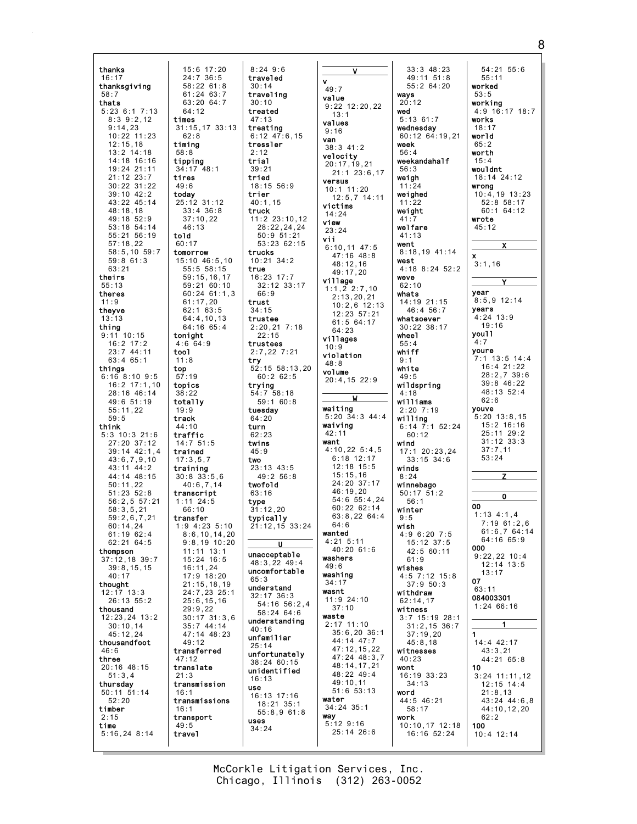thanks 15:6 17:20<br>24:7 36:5  $16:17$ thanksgiving  $58:22$  61:8  $61:24$   $63:7$  $58:7$ thats  $63:20.64:7$  $5:236:17:13$  $64:12$  $8:3$  9:2,12 times  $9:14.23$  $31:15.17.33:13$ 10:22 11:23  $62.8$  $12:15.18$ timing  $13:2$  14:18  $58:8$ 14:18 16:16 tipping 19:24 21:11  $34:17$   $48:1$  $21:12$   $23:7$ tires 30:22 31:22  $49:6$  $39:10$  42:2 today 43:22 45:14 25:12 31:12  $48.18$  18  $33 \cdot 4$   $36 \cdot 8$  $49:18.52:9$  $37:10.22$ 53:18 54:14  $46:13$  $55:21$   $56:19$ told  $60:17$  $57:18.22$ 58:5,10 59:7 tomorrow  $59:861:3$ 15:10 46:5,10  $63:21$  $55:5$  58:15 theirs  $59:15, 16, 17$  $59:21$  60:10  $55:13$ theres  $61:17,20$  $11:9$  $62:1$  63:5 theyve  $64:4,10,13$  $13:13$ thing  $64:16$   $65:4$  $9:11$  10:15 tonight  $16:2$  17:2  $4:6$  64:9  $23:7$  44:11 tool  $63:465:1$  $11:8$ things top  $6:16$  8:10 9:5  $57:19$  $16:2$  17:1,10 topics 28:16 46:14  $38:22$ 49:6 51:19 totally  $55:11.22$  $19:9$  $59.5$ track think 44:10  $5:3$  10:3 21:6 traffic  $27:20$  37:12  $14:751:5$  $39:14$  42:1.4 trained  $43:6,7,9,10$  $17:3.5.7$  $43:11$   $44:2$ training  $44:14$   $48:15$  $30:8,33:5.6$  $50:11.22$  $40:6,7,14$  $51:23:52:8$ transcript  $56:2.557:21$  $1:11$  24:5<br>66:10  $58.3521$  $59:2.6.7.21$ transfer  $60:14,24$ 1:9 4:23 5:10  $61:1962:4$  $62:2164:5$ thompson  $11:11$   $13:1$  $37:12,18$  39:7  $15.24$  16:5  $39:8.15.15$  $16:11.24$  $40 \cdot 17$ 17:9 18:20 thought  $21:15, 18, 19$  $12:17$  13:3 26:13 55:2  $25:6, 15, 16$ thousand  $29:9.22$  $12:23.24$  13:2  $35:744:14$  $30:10,14$  $45:12.24$ 47:14 48:23 thousandfoot 49:12  $46.6$ transferred three  $47:12$ 20:16 48:15 translate  $51:3.4$  $21:3$ thursday transmission  $50:11$   $51:14$ 16:1  $52:20$ transmissions timber  $16:1$ transport  $2:15$ time  $49:5$  $5:16,248:14$ travel

 $8:249:6$ traveled  $30:14$ traveling  $30:10$ treated  $47.13$ treating  $6:12$   $47:6.15$ tressler  $2:12$ trial  $39:21$ tried  $18:15$  56:9 trier  $40:1,15$ truck  $11:2$  23:10,12 28:22,24,24  $50:951:21$  $53:23.62:15$ trucks  $10:21$   $34:2$ true  $16:23$  17:7 32:12 33:17  $60:24$  61:1,3 66:9 trust  $34:15$ trustee  $2:20,21$  7:18  $22:15$ trustees  $2:7,22$  7:21 trv  $52:15$   $58:13,20$  $60:262:5$ trvina  $54:7$  58:18  $59:160:8$ tuesdav  $64.20$ turn  $62:23$ twins  $45:9$ two  $23:13$  43:5  $49:256:8$ twofold  $63:16$ type  $31:12.20$ typically 21:12,15 33:24  $8:6, 10, 14, 20$  $9:8.19.10:20$ unacceptable 48:3,22 49:4 uncomfortable  $65:3$ understand 24:7,23 25:1  $32:17$   $36:3$ 54:16 56:2,4  $58:24$  64:6  $30:17$   $31:3,6$ understanding  $40:16$ unfamiliar  $25:14$ unfortunately  $38.24 60.15$ unidentified  $16:13$ use  $16:13$   $17:16$ 18:21 35:1  $55:8.961:8$ uses  $34:24$ 

 $\overline{\mathsf{v}}$  $\mathbf{v}$  $49:7$ value  $9:22$   $12:20,22$  $13:1$ values  $9:16$ van  $38:3$  41:2 velocity  $20:17,19,21$  $21:1$   $23:6,17$ versus  $10:1$  11:20  $12:5,7$  14:11 victims  $14:24$ view  $23:24$ vii  $6:10,11$  47:5  $47:16$   $48:8$  $48:12,16$  $49:17.20$ village  $1:1,2$  2:7,10  $2:13,20,21$  $10:2.6$  12:13  $12:23:57:21$  $61:5$  64:17  $64:23$ villages  $10:9$ violation  $48:8$ volume  $20:4,15$  22:9 W waiting  $5:20$   $34:3$   $44:4$ waiving  $42:11$ want  $4:10,225:4,5$  $6:18$  12:17  $12:18$  15:5  $15:15,16$ 24:20 37:17 46:19,20  $54:6$   $55:4,24$ 60:22 62:14  $63:8,2264:4$  $64:6$ wanted  $4:21$  5:11  $40:20$  61:6 washers  $49:6$ washing  $34 \cdot 17$ wasnt  $11:9$  24:10  $37:10$ waste  $2:17$  11:10  $35:6.20$  36:1 44:14 47:7  $47:12,15,22$  $47:24 \ 48:3.7$ 48:14,17,21  $48:22 \ 49:4$  $49:10.11$  $51:6$   $53:13$ water  $34:24$   $35:1$ way  $5:12$   $9:16$ 25:14 26:6

 $33:3$  48:23  $54:21$   $55:6$  $49:11 \quad 51:8$  $55:264:20$ wavs  $53:5$  $20:12$ wed  $\frac{1}{5}:13$  61:7 wednesday 60:12 64:19.21 world WAAK  $65.2$  $56:4$ worth weekandaha1f  $15:4$  $56.3$ weigh  $11:24$ weighed  $11:22$ weight  $\Delta$ 1 welfare  $41:13$ went 8:18,19 41:14  $\mathbf{x}$ west 4:18 8:24 52:2 weve  $62:10$ year whats 14:19 21:15 46:4 56:7 whatsoever  $30:22$   $38:17$ whee 1  $4:7$  $55:4$ whiff  $9:1$ white  $49.5$ wildspring  $4:18$ williams  $2:20 \ 7:19$ willing  $6:14$  7:1 52:24  $60:12$ wind  $17:1$  20:23.24  $33:15$   $34:6$ winds  $8:24$ winnebago  $50:17.51:2$  $56:1$ 00 winter  $9:5$ wish  $4.96.207.5$  $15:12.37:5$  $000$ 42:5 60:11  $61.0$ wishes 4:5 7:12 15:8  $07$  $37.950:3$ withdraw  $62:14,17$ witness  $3:7$  15:19 28:1  $31:2.15.36:7$  $37:19.20$  $45:8,18$ witnesses  $40:23$ wont  $10$  $16:19$  33:23  $34:13$ word 44:5 46:21  $58:17$ work  $10:10,17$  12:18  $100$ 16:16 52:24  $10:4$  12:14

 $55:11$ worked working  $4:9$  16:17 18:7 works  $18:17$ wouldnt 18:14 24:12 wrong  $10:4,19$  13:23  $52:8$  58:17  $60.164.12$ wrote  $45:12$  $3:1,16$  $8:5.9$  12:14 years  $4:24$  13:9  $19.16$ you11 youre  $7:1$  13:5 14:4  $16:4$  21:22  $28:2.7.39:6$  $39:8$  46:22 48:13 52:4  $62.6$ **youve**<br> $5:20, 13:8.15$ 15:2 16:16 25:11 29:2  $31:12$   $33:3$  $37:7,11$  $53:24$  $\overline{\mathbf{0}}$  $1:13$  4:1.4  $7:19$  61:2.6  $61:6.764:14$  $64:1665:9$  $9.22 22 10.4$  $12:14$   $13:5$  $13:17$  $63.11$ 084003301  $1:2466:16$ 14:4 42:17  $43:3,21$  $44:2165:8$  $3:24$  11:11,12  $12:15$  14:4  $21:8,13$ 43:24 44:6.8  $44:10, 12, 20$  $62:2$ 

McCorkle Litigation Services, Inc. Chicago, Illinois (312) 263-0052